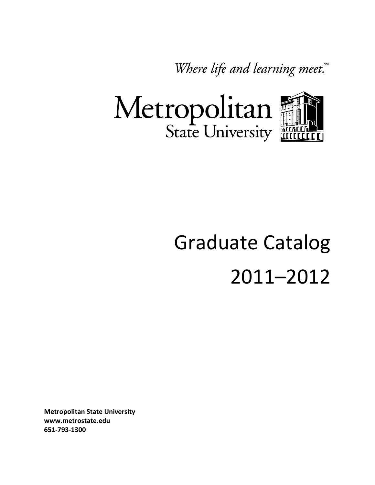Where life and learning meet.



# Graduate Catalog 2011–2012

**Metropolitan State University www.metrostate.edu 651-793-1300**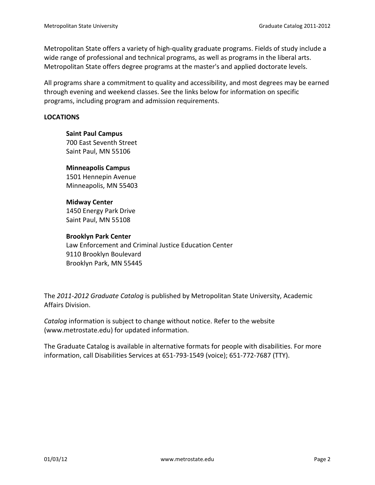Metropolitan State offers a variety of high-quality graduate programs. Fields of study include a wide range of professional and technical programs, as well as programs in the liberal arts. Metropolitan State offers degree programs at the master's and applied doctorate levels.

All programs share a commitment to quality and accessibility, and most degrees may be earned through evening and weekend classes. See the links below for information on specific programs, including program and admission requirements.

#### **LOCATIONS**

**Saint Paul Campus** 700 East Seventh Street Saint Paul, MN 55106

#### **Minneapolis Campus**

1501 Hennepin Avenue Minneapolis, MN 55403

**Midway Center** 1450 Energy Park Drive Saint Paul, MN 55108

#### **Brooklyn Park Center**

Law Enforcement and Criminal Justice Education Center 9110 Brooklyn Boulevard Brooklyn Park, MN 55445

The *2011-2012 Graduate Catalog* is published by Metropolitan State University, Academic Affairs Division.

*Catalog* information is subject to change without notice. Refer to the website (www.metrostate.edu) for updated information.

The Graduate Catalog is available in alternative formats for people with disabilities. For more information, call Disabilities Services at 651-793-1549 (voice); 651-772-7687 (TTY).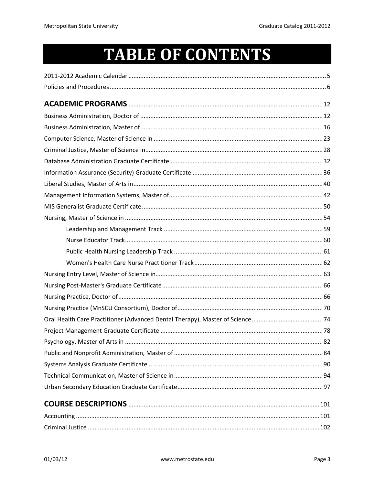# **TABLE OF CONTENTS**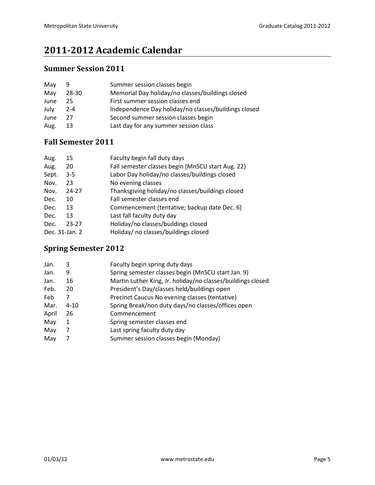# <span id="page-4-0"></span>**2011-2012 Academic Calendar**

# **Summer Session 2011**

| 9       | Summer session classes begin                         |
|---------|------------------------------------------------------|
| 28-30   | Memorial Day holiday/no classes/buildings closed     |
| 25      | First summer session classes end                     |
| $2 - 4$ | Independence Day holiday/no classes/buildings closed |
| 27      | Second summer session classes begin                  |
| 13      | Last day for any summer session class                |
|         |                                                      |

# **Fall Semester 2011**

| 15             | Faculty begin fall duty days                      |
|----------------|---------------------------------------------------|
| 20             | Fall semester classes begin (MnSCU start Aug. 22) |
| $3 - 5$        | Labor Day holiday/no classes/buildings closed     |
| 23             | No evening classes                                |
| 24-27          | Thanksgiving holiday/no classes/buildings closed  |
| 10             | Fall semester classes end                         |
| 13             | Commencement (tentative; backup date Dec. 6)      |
| 13             | Last fall faculty duty day                        |
| 23-27          | Holiday/no classes/buildings closed               |
| Dec. 31-Jan. 2 | Holiday/ no classes/buildings closed              |
|                |                                                   |

# **Spring Semester 2012**

| Jan.  | 3        | Faculty begin spring duty days                              |
|-------|----------|-------------------------------------------------------------|
| Jan.  | 9        | Spring semester classes begin (MnSCU start Jan. 9)          |
| Jan.  | 16       | Martin Luther King, Jr. holiday/no classes/buildings closed |
| Feb.  | 20       | President's Day/classes held/buildings open                 |
| Feb   | 7        | Precinct Caucus No evening classes (tentative)              |
| Mar.  | $4 - 10$ | Spring Break/non duty days/no classes/offices open          |
| April | 26       | Commencement                                                |
| May   | 1        | Spring semester classes end                                 |
| May   | 7        | Last spring faculty duty day                                |
| May   | 7        | Summer session classes begin (Monday)                       |
|       |          |                                                             |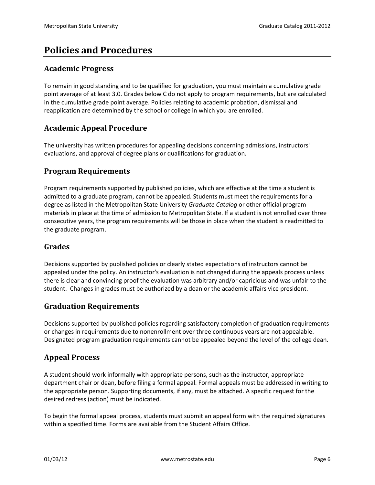# <span id="page-5-0"></span>**Policies and Procedures**

#### **Academic Progress**

To remain in good standing and to be qualified for graduation, you must maintain a cumulative grade point average of at least 3.0. Grades below C do not apply to program requirements, but are calculated in the cumulative grade point average. Policies relating to academic probation, dismissal and reapplication are determined by the school or college in which you are enrolled.

# **Academic Appeal Procedure**

The university has written procedures for appealing decisions concerning admissions, instructors' evaluations, and approval of degree plans or qualifications for graduation.

## **Program Requirements**

Program requirements supported by published policies, which are effective at the time a student is admitted to a graduate program, cannot be appealed. Students must meet the requirements for a degree as listed in the Metropolitan State University *Graduate Catalog* or other official program materials in place at the time of admission to Metropolitan State. If a student is not enrolled over three consecutive years, the program requirements will be those in place when the student is readmitted to the graduate program.

#### **Grades**

Decisions supported by published policies or clearly stated expectations of instructors cannot be appealed under the policy. An instructor's evaluation is not changed during the appeals process unless there is clear and convincing proof the evaluation was arbitrary and/or capricious and was unfair to the student. Changes in grades must be authorized by a dean or the academic affairs vice president.

#### **Graduation Requirements**

Decisions supported by published policies regarding satisfactory completion of graduation requirements or changes in requirements due to nonenrollment over three continuous years are not appealable. Designated program graduation requirements cannot be appealed beyond the level of the college dean.

# **Appeal Process**

A student should work informally with appropriate persons, such as the instructor, appropriate department chair or dean, before filing a formal appeal. Formal appeals must be addressed in writing to the appropriate person. Supporting documents, if any, must be attached. A specific request for the desired redress (action) must be indicated.

To begin the formal appeal process, students must submit an appeal form with the required signatures within a specified time. Forms are available from the Student Affairs Office.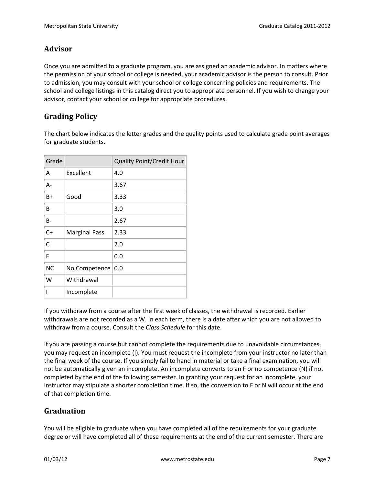# **Advisor**

Once you are admitted to a graduate program, you are assigned an academic advisor. In matters where the permission of your school or college is needed, your academic advisor is the person to consult. Prior to admission, you may consult with your school or college concerning policies and requirements. The school and college listings in this catalog direct you to appropriate personnel. If you wish to change your advisor, contact your school or college for appropriate procedures.

# **Grading Policy**

The chart below indicates the letter grades and the quality points used to calculate grade point averages for graduate students.

| Grade     |                      | <b>Quality Point/Credit Hour</b> |
|-----------|----------------------|----------------------------------|
| A         | Excellent            | 4.0                              |
| A-        |                      | 3.67                             |
| B+        | Good                 | 3.33                             |
| B         |                      | 3.0                              |
| B-        |                      | 2.67                             |
| $C+$      | <b>Marginal Pass</b> | 2.33                             |
| C         |                      | 2.0                              |
| F         |                      | 0.0                              |
| <b>NC</b> | No Competence        | 0.0                              |
| W         | Withdrawal           |                                  |
|           | Incomplete           |                                  |

If you withdraw from a course after the first week of classes, the withdrawal is recorded. Earlier withdrawals are not recorded as a W. In each term, there is a date after which you are not allowed to withdraw from a course. Consult the *Class Schedule* for this date.

If you are passing a course but cannot complete the requirements due to unavoidable circumstances, you may request an incomplete (I). You must request the incomplete from your instructor no later than the final week of the course. If you simply fail to hand in material or take a final examination, you will not be automatically given an incomplete. An incomplete converts to an F or no competence (N) if not completed by the end of the following semester. In granting your request for an incomplete, your instructor may stipulate a shorter completion time. If so, the conversion to F or N will occur at the end of that completion time.

# **Graduation**

You will be eligible to graduate when you have completed all of the requirements for your graduate degree or will have completed all of these requirements at the end of the current semester. There are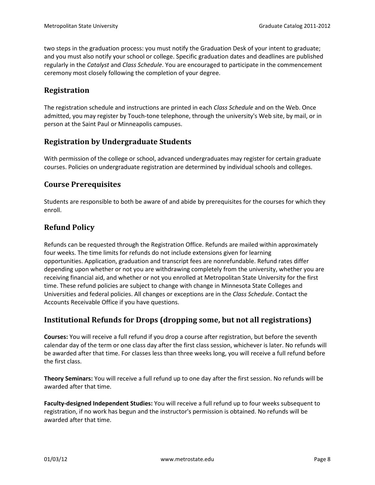two steps in the graduation process: you must notify the Graduation Desk of your intent to graduate; and you must also notify your school or college. Specific graduation dates and deadlines are published regularly in the *Catalyst* and *Class Schedule*. You are encouraged to participate in the commencement ceremony most closely following the completion of your degree.

## **Registration**

The registration schedule and instructions are printed in each *Class Schedule* and on the Web. Once admitted, you may register by Touch-tone telephone, through the university's Web site, by mail, or in person at the Saint Paul or Minneapolis campuses.

## **Registration by Undergraduate Students**

With permission of the college or school, advanced undergraduates may register for certain graduate courses. Policies on undergraduate registration are determined by individual schools and colleges.

#### **Course Prerequisites**

Students are responsible to both be aware of and abide by prerequisites for the courses for which they enroll.

## **Refund Policy**

Refunds can be requested through the Registration Office. Refunds are mailed within approximately four weeks. The time limits for refunds do not include extensions given for learning opportunities. Application, graduation and transcript fees are nonrefundable. Refund rates differ depending upon whether or not you are withdrawing completely from the university, whether you are receiving financial aid, and whether or not you enrolled at Metropolitan State University for the first time. These refund policies are subject to change with change in Minnesota State Colleges and Universities and federal policies. All changes or exceptions are in the *Class Schedule*. Contact the Accounts Receivable Office if you have questions.

# **Institutional Refunds for Drops (dropping some, but not all registrations)**

**Courses:** You will receive a full refund if you drop a course after registration, but before the seventh calendar day of the term or one class day after the first class session, whichever is later. No refunds will be awarded after that time. For classes less than three weeks long, you will receive a full refund before the first class.

**Theory Seminars:** You will receive a full refund up to one day after the first session. No refunds will be awarded after that time.

**Faculty-designed Independent Studies:** You will receive a full refund up to four weeks subsequent to registration, if no work has begun and the instructor's permission is obtained. No refunds will be awarded after that time.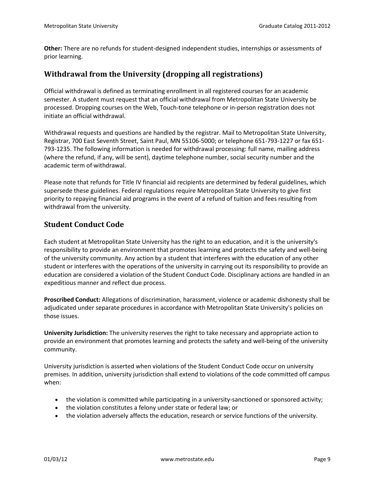**Other:** There are no refunds for student-designed independent studies, internships or assessments of prior learning.

## **Withdrawal from the University (dropping all registrations)**

Official withdrawal is defined as terminating enrollment in all registered courses for an academic semester. A student must request that an official withdrawal from Metropolitan State University be processed. Dropping courses on the Web, Touch-tone telephone or in-person registration does not initiate an official withdrawal.

Withdrawal requests and questions are handled by the registrar. Mail to Metropolitan State University, Registrar, 700 East Seventh Street, Saint Paul, MN 55106-5000; or telephone 651-793-1227 or fax 651- 793-1235. The following information is needed for withdrawal processing: full name, mailing address (where the refund, if any, will be sent), daytime telephone number, social security number and the academic term of withdrawal.

Please note that refunds for Title IV financial aid recipients are determined by federal guidelines, which supersede these guidelines. Federal regulations require Metropolitan State University to give first priority to repaying financial aid programs in the event of a refund of tuition and fees resulting from withdrawal from the university.

## **Student Conduct Code**

Each student at Metropolitan State University has the right to an education, and it is the university's responsibility to provide an environment that promotes learning and protects the safety and well-being of the university community. Any action by a student that interferes with the education of any other student or interferes with the operations of the university in carrying out its responsibility to provide an education are considered a violation of the Student Conduct Code. Disciplinary actions are handled in an expeditious manner and reflect due process.

**Proscribed Conduct:** Allegations of discrimination, harassment, violence or academic dishonesty shall be adjudicated under separate procedures in accordance with Metropolitan State University's policies on those issues.

**University Jurisdiction:** The university reserves the right to take necessary and appropriate action to provide an environment that promotes learning and protects the safety and well-being of the university community.

University jurisdiction is asserted when violations of the Student Conduct Code occur on university premises. In addition, university jurisdiction shall extend to violations of the code committed off campus when:

- the violation is committed while participating in a university-sanctioned or sponsored activity;
- the violation constitutes a felony under state or federal law; or
- the violation adversely affects the education, research or service functions of the university.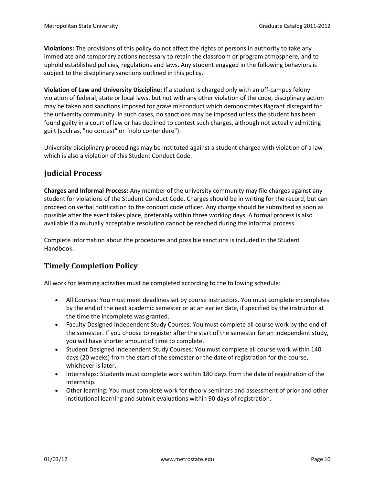**Violations:** The provisions of this policy do not affect the rights of persons in authority to take any immediate and temporary actions necessary to retain the classroom or program atmosphere, and to uphold established policies, regulations and laws. Any student engaged in the following behaviors is subject to the disciplinary sanctions outlined in this policy.

**Violation of Law and University Discipline:** If a student is charged only with an off-campus felony violation of federal, state or local laws, but not with any other violation of the code, disciplinary action may be taken and sanctions imposed for grave misconduct which demonstrates flagrant disregard for the university community. In such cases, no sanctions may be imposed unless the student has been found guilty in a court of law or has declined to contest such charges, although not actually admitting guilt (such as, "no contest" or "nolo contendere").

University disciplinary proceedings may be instituted against a student charged with violation of a law which is also a violation of this Student Conduct Code.

# **Judicial Process**

**Charges and Informal Process:** Any member of the university community may file charges against any student for violations of the Student Conduct Code. Charges should be in writing for the record, but can proceed on verbal notification to the conduct code officer. Any charge should be submitted as soon as possible after the event takes place, preferably within three working days. A formal process is also available if a mutually acceptable resolution cannot be reached during the informal process.

Complete information about the procedures and possible sanctions is included in the Student Handbook.

# **Timely Completion Policy**

All work for learning activities must be completed according to the following schedule:

- All Courses: You must meet deadlines set by course instructors. You must complete incompletes by the end of the next academic semester or at an earlier date, if specified by the instructor at the time the incomplete was granted.
- Faculty Designed Independent Study Courses: You must complete all course work by the end of the semester. If you choose to register after the start of the semester for an independent study, you will have shorter amount of time to complete.
- Student Designed Independent Study Courses: You must complete all course work within 140 days (20 weeks) from the start of the semester or the date of registration for the course, whichever is later.
- Internships: Students must complete work within 180 days from the date of registration of the internship.
- Other learning: You must complete work for theory seminars and assessment of prior and other institutional learning and submit evaluations within 90 days of registration.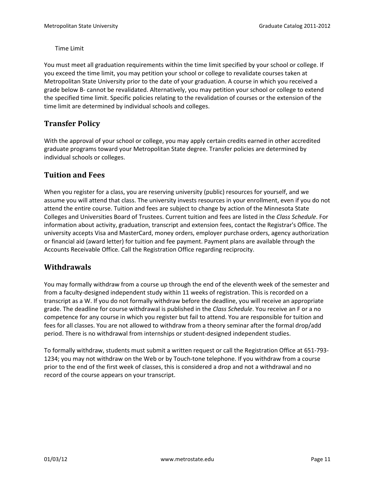Time Limit

You must meet all graduation requirements within the time limit specified by your school or college. If you exceed the time limit, you may petition your school or college to revalidate courses taken at Metropolitan State University prior to the date of your graduation. A course in which you received a grade below B- cannot be revalidated. Alternatively, you may petition your school or college to extend the specified time limit. Specific policies relating to the revalidation of courses or the extension of the time limit are determined by individual schools and colleges.

# **Transfer Policy**

With the approval of your school or college, you may apply certain credits earned in other accredited graduate programs toward your Metropolitan State degree. Transfer policies are determined by individual schools or colleges.

# **Tuition and Fees**

When you register for a class, you are reserving university (public) resources for yourself, and we assume you will attend that class. The university invests resources in your enrollment, even if you do not attend the entire course. Tuition and fees are subject to change by action of the Minnesota State Colleges and Universities Board of Trustees. Current tuition and fees are listed in the *Class Schedule*. For information about activity, graduation, transcript and extension fees, contact the Registrar's Office. The university accepts Visa and MasterCard, money orders, employer purchase orders, agency authorization or financial aid (award letter) for tuition and fee payment. Payment plans are available through the Accounts Receivable Office. Call the Registration Office regarding reciprocity.

# **Withdrawals**

You may formally withdraw from a course up through the end of the eleventh week of the semester and from a faculty-designed independent study within 11 weeks of registration. This is recorded on a transcript as a W. If you do not formally withdraw before the deadline, you will receive an appropriate grade. The deadline for course withdrawal is published in the *Class Schedule*. You receive an F or a no competence for any course in which you register but fail to attend. You are responsible for tuition and fees for all classes. You are not allowed to withdraw from a theory seminar after the formal drop/add period. There is no withdrawal from internships or student-designed independent studies.

To formally withdraw, students must submit a written request or call the Registration Office at 651-793- 1234; you may not withdraw on the Web or by Touch-tone telephone. If you withdraw from a course prior to the end of the first week of classes, this is considered a drop and not a withdrawal and no record of the course appears on your transcript.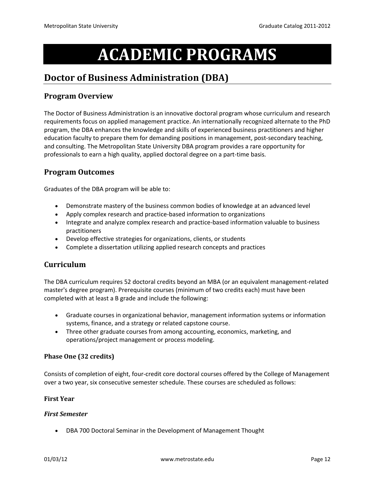# **ACADEMIC PROGRAMS**

# <span id="page-11-1"></span><span id="page-11-0"></span>**Doctor of Business Administration (DBA)**

# **Program Overview**

The Doctor of Business Administration is an innovative doctoral program whose curriculum and research requirements focus on applied management practice. An internationally recognized alternate to the PhD program, the DBA enhances the knowledge and skills of experienced business practitioners and higher education faculty to prepare them for demanding positions in management, post-secondary teaching, and consulting. The Metropolitan State University DBA program provides a rare opportunity for professionals to earn a high quality, applied doctoral degree on a part-time basis.

# **Program Outcomes**

Graduates of the DBA program will be able to:

- Demonstrate mastery of the business common bodies of knowledge at an advanced level
- Apply complex research and practice-based information to organizations
- Integrate and analyze complex research and practice-based information valuable to business practitioners
- Develop effective strategies for organizations, clients, or students
- Complete a dissertation utilizing applied research concepts and practices

#### **Curriculum**

The DBA curriculum requires 52 doctoral credits beyond an MBA (or an equivalent management-related master's degree program). Prerequisite courses (minimum of two credits each) must have been completed with at least a B grade and include the following:

- Graduate courses in organizational behavior, management information systems or information systems, finance, and a strategy or related capstone course.
- Three other graduate courses from among accounting, economics, marketing, and operations/project management or process modeling.

#### **Phase One (32 credits)**

Consists of completion of eight, four-credit core doctoral courses offered by the College of Management over a two year, six consecutive semester schedule. These courses are scheduled as follows:

#### **First Year**

#### *First Semester*

• DBA 700 Doctoral Seminar in the Development of Management Thought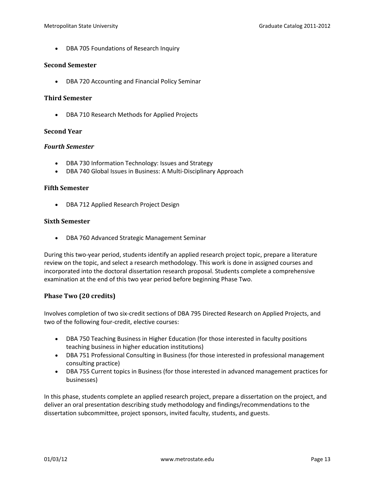• DBA 705 Foundations of Research Inquiry

#### **Second Semester**

• DBA 720 Accounting and Financial Policy Seminar

#### **Third Semester**

• DBA 710 Research Methods for Applied Projects

#### **Second Year**

#### *Fourth Semester*

- DBA 730 Information Technology: Issues and Strategy
- DBA 740 Global Issues in Business: A Multi-Disciplinary Approach

#### **Fifth Semester**

• DBA 712 Applied Research Project Design

#### **Sixth Semester**

• DBA 760 Advanced Strategic Management Seminar

During this two-year period, students identify an applied research project topic, prepare a literature review on the topic, and select a research methodology. This work is done in assigned courses and incorporated into the doctoral dissertation research proposal. Students complete a comprehensive examination at the end of this two year period before beginning Phase Two.

#### **Phase Two (20 credits)**

Involves completion of two six-credit sections of DBA 795 Directed Research on Applied Projects, and two of the following four-credit, elective courses:

- DBA 750 Teaching Business in Higher Education (for those interested in faculty positions teaching business in higher education institutions)
- DBA 751 Professional Consulting in Business (for those interested in professional management consulting practice)
- DBA 755 Current topics in Business (for those interested in advanced management practices for businesses)

In this phase, students complete an applied research project, prepare a dissertation on the project, and deliver an oral presentation describing study methodology and findings/recommendations to the dissertation subcommittee, project sponsors, invited faculty, students, and guests.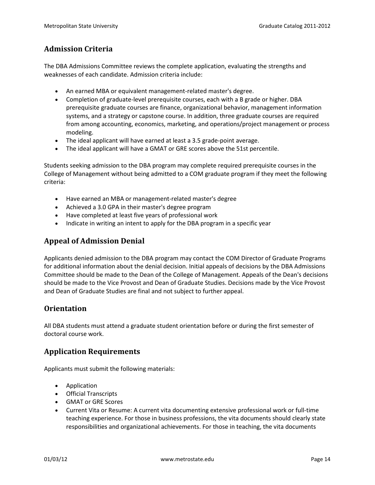# **Admission Criteria**

The DBA Admissions Committee reviews the complete application, evaluating the strengths and weaknesses of each candidate. Admission criteria include:

- An earned MBA or equivalent management-related master's degree.
- Completion of graduate-level prerequisite courses, each with a B grade or higher. DBA prerequisite graduate courses are finance, organizational behavior, management information systems, and a strategy or capstone course. In addition, three graduate courses are required from among accounting, economics, marketing, and operations/project management or process modeling.
- The ideal applicant will have earned at least a 3.5 grade-point average.
- The ideal applicant will have a GMAT or GRE scores above the 51st percentile.

Students seeking admission to the DBA program may complete required prerequisite courses in the College of Management without being admitted to a COM graduate program if they meet the following criteria:

- Have earned an MBA or management-related master's degree
- Achieved a 3.0 GPA in their master's degree program
- Have completed at least five years of professional work
- Indicate in writing an intent to apply for the DBA program in a specific year

# **Appeal of Admission Denial**

Applicants denied admission to the DBA program may contact the COM Director of Graduate Programs for additional information about the denial decision. Initial appeals of decisions by the DBA Admissions Committee should be made to the Dean of the College of Management. Appeals of the Dean's decisions should be made to the Vice Provost and Dean of Graduate Studies. Decisions made by the Vice Provost and Dean of Graduate Studies are final and not subject to further appeal.

#### **Orientation**

All DBA students must attend a graduate student orientation before or during the first semester of doctoral course work.

# **Application Requirements**

Applicants must submit the following materials:

- Application
- Official Transcripts
- GMAT or GRE Scores
- Current Vita or Resume: A current vita documenting extensive professional work or full-time teaching experience. For those in business professions, the vita documents should clearly state responsibilities and organizational achievements. For those in teaching, the vita documents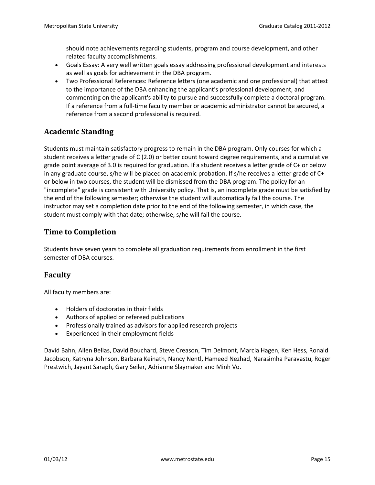should note achievements regarding students, program and course development, and other related faculty accomplishments.

- Goals Essay: A very well written goals essay addressing professional development and interests as well as goals for achievement in the DBA program.
- Two Professional References: Reference letters (one academic and one professional) that attest to the importance of the DBA enhancing the applicant's professional development, and commenting on the applicant's ability to pursue and successfully complete a doctoral program. If a reference from a full-time faculty member or academic administrator cannot be secured, a reference from a second professional is required.

# **Academic Standing**

Students must maintain satisfactory progress to remain in the DBA program. Only courses for which a student receives a letter grade of C (2.0) or better count toward degree requirements, and a cumulative grade point average of 3.0 is required for graduation. If a student receives a letter grade of C+ or below in any graduate course, s/he will be placed on academic probation. If s/he receives a letter grade of C+ or below in two courses, the student will be dismissed from the DBA program. The policy for an "incomplete" grade is consistent with University policy. That is, an incomplete grade must be satisfied by the end of the following semester; otherwise the student will automatically fail the course. The instructor may set a completion date prior to the end of the following semester, in which case, the student must comply with that date; otherwise, s/he will fail the course.

# **Time to Completion**

Students have seven years to complete all graduation requirements from enrollment in the first semester of DBA courses.

# **Faculty**

All faculty members are:

- Holders of doctorates in their fields
- Authors of applied or refereed publications
- Professionally trained as advisors for applied research projects
- Experienced in their employment fields

David Bahn, Allen Bellas, David Bouchard, Steve Creason, Tim Delmont, Marcia Hagen, Ken Hess, Ronald Jacobson, Katryna Johnson, Barbara Keinath, Nancy Nentl, Hameed Nezhad, Narasimha Paravastu, Roger Prestwich, Jayant Saraph, Gary Seiler, Adrianne Slaymaker and Minh Vo.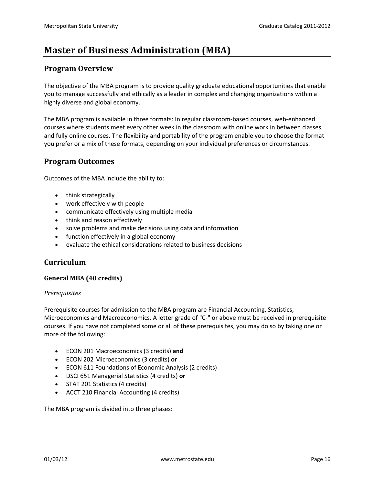# <span id="page-15-0"></span>**Master of Business Administration (MBA)**

#### **Program Overview**

The objective of the MBA program is to provide quality graduate educational opportunities that enable you to manage successfully and ethically as a leader in complex and changing organizations within a highly diverse and global economy.

The MBA program is available in three formats: In regular classroom-based courses, web-enhanced courses where students meet every other week in the classroom with online work in between classes, and fully online courses. The flexibility and portability of the program enable you to choose the format you prefer or a mix of these formats, depending on your individual preferences or circumstances.

#### **Program Outcomes**

Outcomes of the MBA include the ability to:

- think strategically
- work effectively with people
- communicate effectively using multiple media
- think and reason effectively
- solve problems and make decisions using data and information
- function effectively in a global economy
- evaluate the ethical considerations related to business decisions

#### **Curriculum**

#### **General MBA (40 credits)**

#### *Prerequisites*

Prerequisite courses for admission to the MBA program are Financial Accounting, Statistics, Microeconomics and Macroeconomics. A letter grade of "C-" or above must be received in prerequisite courses. If you have not completed some or all of these prerequisites, you may do so by taking one or more of the following:

- ECON 201 Macroeconomics (3 credits) **and**
- ECON 202 Microeconomics (3 credits) **or**
- ECON 611 Foundations of Economic Analysis (2 credits)
- DSCI 651 Managerial Statistics (4 credits) **or**
- STAT 201 Statistics (4 credits)
- ACCT 210 Financial Accounting (4 credits)

The MBA program is divided into three phases: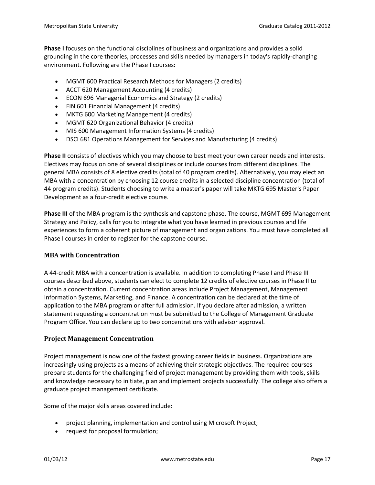**Phase I** focuses on the functional disciplines of business and organizations and provides a solid grounding in the core theories, processes and skills needed by managers in today's rapidly-changing environment. Following are the Phase I courses:

- MGMT 600 Practical Research Methods for Managers (2 credits)
- ACCT 620 Management Accounting (4 credits)
- ECON 696 Managerial Economics and Strategy (2 credits)
- FIN 601 Financial Management (4 credits)
- MKTG 600 Marketing Management (4 credits)
- MGMT 620 Organizational Behavior (4 credits)
- MIS 600 Management Information Systems (4 credits)
- DSCI 681 Operations Management for Services and Manufacturing (4 credits)

**Phase II** consists of electives which you may choose to best meet your own career needs and interests. Electives may focus on one of several disciplines or include courses from different disciplines. The general MBA consists of 8 elective credits (total of 40 program credits). Alternatively, you may elect an MBA with a concentration by choosing 12 course credits in a selected discipline concentration (total of 44 program credits). Students choosing to write a master's paper will take MKTG 695 Master's Paper Development as a four-credit elective course.

**Phase III** of the MBA program is the synthesis and capstone phase. The course, MGMT 699 Management Strategy and Policy, calls for you to integrate what you have learned in previous courses and life experiences to form a coherent picture of management and organizations. You must have completed all Phase I courses in order to register for the capstone course.

#### **MBA with Concentration**

A 44-credit MBA with a concentration is available. In addition to completing Phase I and Phase III courses described above, students can elect to complete 12 credits of elective courses in Phase II to obtain a concentration. Current concentration areas include Project Management, Management Information Systems, Marketing, and Finance. A concentration can be declared at the time of application to the MBA program or after full admission. If you declare after admission, a written statement requesting a concentration must be submitted to the College of Management Graduate Program Office. You can declare up to two concentrations with advisor approval.

#### **Project Management Concentration**

Project management is now one of the fastest growing career fields in business. Organizations are increasingly using projects as a means of achieving their strategic objectives. The required courses prepare students for the challenging field of project management by providing them with tools, skills and knowledge necessary to initiate, plan and implement projects successfully. The college also offers a graduate project management certificate.

Some of the major skills areas covered include:

- project planning, implementation and control using Microsoft Project;
- request for proposal formulation;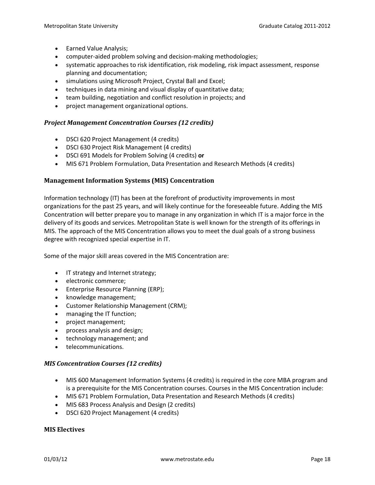- Earned Value Analysis;
- computer-aided problem solving and decision-making methodologies;
- systematic approaches to risk identification, risk modeling, risk impact assessment, response planning and documentation;
- simulations using Microsoft Project, Crystal Ball and Excel;
- techniques in data mining and visual display of quantitative data;
- team building, negotiation and conflict resolution in projects; and
- project management organizational options.

#### *Project Management Concentration Courses (12 credits)*

- DSCI 620 Project Management (4 credits)
- DSCI 630 Project Risk Management (4 credits)
- DSCI 691 Models for Problem Solving (4 credits) **or**
- MIS 671 Problem Formulation, Data Presentation and Research Methods (4 credits)

#### **Management Information Systems (MIS) Concentration**

Information technology (IT) has been at the forefront of productivity improvements in most organizations for the past 25 years, and will likely continue for the foreseeable future. Adding the MIS Concentration will better prepare you to manage in any organization in which IT is a major force in the delivery of its goods and services. Metropolitan State is well known for the strength of its offerings in MIS. The approach of the MIS Concentration allows you to meet the dual goals of a strong business degree with recognized special expertise in IT.

Some of the major skill areas covered in the MIS Concentration are:

- IT strategy and Internet strategy;
- electronic commerce;
- Enterprise Resource Planning (ERP);
- knowledge management;
- Customer Relationship Management (CRM);
- managing the IT function;
- project management;
- process analysis and design;
- technology management; and
- telecommunications.

#### *MIS Concentration Courses (12 credits)*

- MIS 600 Management Information Systems (4 credits) is required in the core MBA program and is a prerequisite for the MIS Concentration courses. Courses in the MIS Concentration include:
- MIS 671 Problem Formulation, Data Presentation and Research Methods (4 credits)
- MIS 683 Process Analysis and Design (2 credits)
- DSCI 620 Project Management (4 credits)

#### **MIS Electives**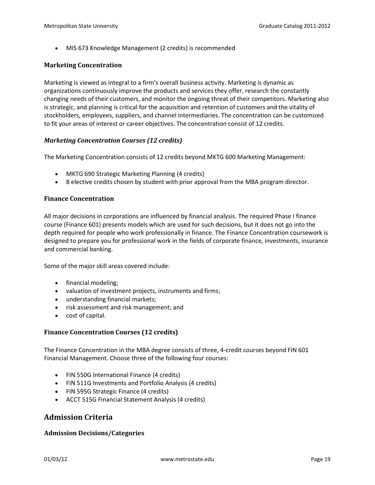• MIS 673 Knowledge Management (2 credits) is recommended

#### **Marketing Concentration**

Marketing is viewed as integral to a firm's overall business activity. Marketing is dynamic as organizations continuously improve the products and services they offer, research the constantly changing needs of their customers, and monitor the ongoing threat of their competitors. Marketing also is strategic, and planning is critical for the acquisition and retention of customers and the vitality of stockholders, employees, suppliers, and channel intermediaries. The concentration can be customized to fit your areas of interest or career objectives. The concentration consist of 12 credits.

#### *Marketing Concentration Courses (12 credits)*

The Marketing Concentration consists of 12 credits beyond MKTG 600 Marketing Management:

- MKTG 690 Strategic Marketing Planning (4 credits)
- 8 elective credits chosen by student with prior approval from the MBA program director.

#### **Finance Concentration**

All major decisions in corporations are influenced by financial analysis. The required Phase I finance course (Finance 601) presents models which are used for such decisions, but it does not go into the depth required for people who work professionally in finance. The Finance Concentration coursework is designed to prepare you for professional work in the fields of corporate finance, investments, insurance and commercial banking.

Some of the major skill areas covered include:

- financial modeling;
- valuation of investment projects, instruments and firms;
- understanding financial markets;
- risk assessment and risk management; and
- cost of capital.

#### **Finance Concentration Courses (12 credits)**

The Finance Concentration in the MBA degree consists of three, 4-credit courses beyond FIN 601 Financial Management. Choose three of the following four courses:

- FIN 550G International Finance (4 credits)
- FIN 511G Investments and Portfolio Analysis (4 credits)
- FIN 595G Strategic Finance (4 credits)
- ACCT 515G Financial Statement Analysis (4 credits)

#### **Admission Criteria**

#### **Admission Decisions/Categories**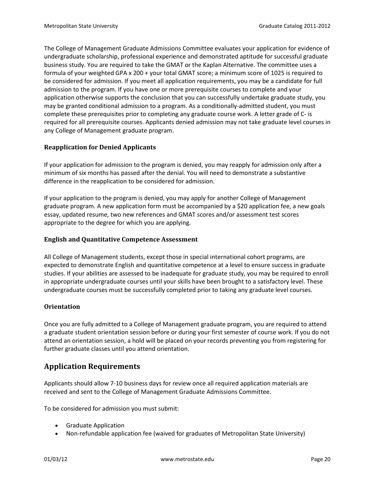The College of Management Graduate Admissions Committee evaluates your application for evidence of undergraduate scholarship, professional experience and demonstrated aptitude for successful graduate business study. You are required to take the GMAT or the Kaplan Alternative. The committee uses a formula of your weighted GPA x 200 + your total GMAT score; a minimum score of 1025 is required to be considered for admission. If you meet all application requirements, you may be a candidate for full admission to the program. If you have one or more prerequisite courses to complete and your application otherwise supports the conclusion that you can successfully undertake graduate study, you may be granted conditional admission to a program. As a conditionally-admitted student, you must complete these prerequisites prior to completing any graduate course work. A letter grade of C- is required for all prerequisite courses. Applicants denied admission may not take graduate level courses in any College of Management graduate program.

#### **Reapplication for Denied Applicants**

If your application for admission to the program is denied, you may reapply for admission only after a minimum of six months has passed after the denial. You will need to demonstrate a substantive difference in the reapplication to be considered for admission.

If your application to the program is denied, you may apply for another College of Management graduate program. A new application form must be accompanied by a \$20 application fee, a new goals essay, updated resume, two new references and GMAT scores and/or assessment test scores appropriate to the degree for which you are applying.

#### **English and Quantitative Competence Assessment**

All College of Management students, except those in special international cohort programs, are expected to demonstrate English and quantitative competence at a level to ensure success in graduate studies. If your abilities are assessed to be inadequate for graduate study, you may be required to enroll in appropriate undergraduate courses until your skills have been brought to a satisfactory level. These undergraduate courses must be successfully completed prior to taking any graduate level courses.

#### **Orientation**

Once you are fully admitted to a College of Management graduate program, you are required to attend a graduate student orientation session before or during your first semester of course work. If you do not attend an orientation session, a hold will be placed on your records preventing you from registering for further graduate classes until you attend orientation.

# **Application Requirements**

Applicants should allow 7-10 business days for review once all required application materials are received and sent to the College of Management Graduate Admissions Committee.

To be considered for admission you must submit:

- Graduate Application
- Non-refundable application fee (waived for graduates of Metropolitan State University)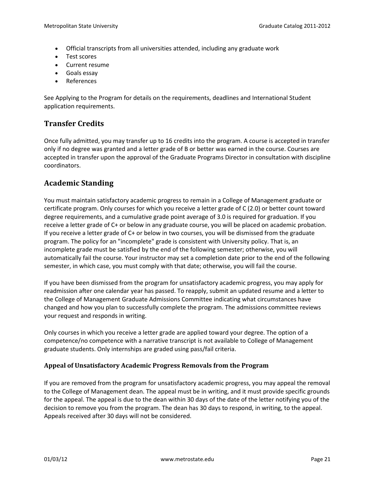- Official transcripts from all universities attended, including any graduate work
- Test scores
- Current resume
- Goals essay
- References

See Applying to the Program for details on the requirements, deadlines and International Student application requirements.

## **Transfer Credits**

Once fully admitted, you may transfer up to 16 credits into the program. A course is accepted in transfer only if no degree was granted and a letter grade of B or better was earned in the course. Courses are accepted in transfer upon the approval of the Graduate Programs Director in consultation with discipline coordinators.

## **Academic Standing**

You must maintain satisfactory academic progress to remain in a College of Management graduate or certificate program. Only courses for which you receive a letter grade of C (2.0) or better count toward degree requirements, and a cumulative grade point average of 3.0 is required for graduation. If you receive a letter grade of C+ or below in any graduate course, you will be placed on academic probation. If you receive a letter grade of C+ or below in two courses, you will be dismissed from the graduate program. The policy for an "incomplete" grade is consistent with University policy. That is, an incomplete grade must be satisfied by the end of the following semester; otherwise, you will automatically fail the course. Your instructor may set a completion date prior to the end of the following semester, in which case, you must comply with that date; otherwise, you will fail the course.

If you have been dismissed from the program for unsatisfactory academic progress, you may apply for readmission after one calendar year has passed. To reapply, submit an updated resume and a letter to the College of Management Graduate Admissions Committee indicating what circumstances have changed and how you plan to successfully complete the program. The admissions committee reviews your request and responds in writing.

Only courses in which you receive a letter grade are applied toward your degree. The option of a competence/no competence with a narrative transcript is not available to College of Management graduate students. Only internships are graded using pass/fail criteria.

#### **Appeal of Unsatisfactory Academic Progress Removals from the Program**

If you are removed from the program for unsatisfactory academic progress, you may appeal the removal to the College of Management dean. The appeal must be in writing, and it must provide specific grounds for the appeal. The appeal is due to the dean within 30 days of the date of the letter notifying you of the decision to remove you from the program. The dean has 30 days to respond, in writing, to the appeal. Appeals received after 30 days will not be considered.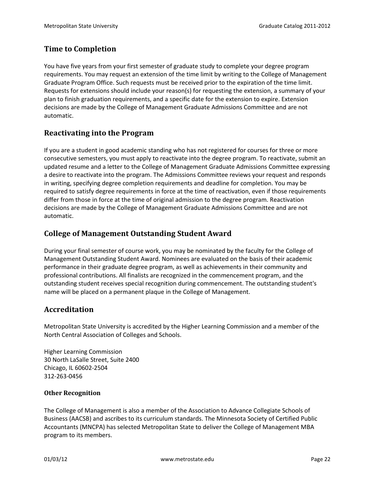# **Time to Completion**

You have five years from your first semester of graduate study to complete your degree program requirements. You may request an extension of the time limit by writing to the College of Management Graduate Program Office. Such requests must be received prior to the expiration of the time limit. Requests for extensions should include your reason(s) for requesting the extension, a summary of your plan to finish graduation requirements, and a specific date for the extension to expire. Extension decisions are made by the College of Management Graduate Admissions Committee and are not automatic.

#### **Reactivating into the Program**

If you are a student in good academic standing who has not registered for courses for three or more consecutive semesters, you must apply to reactivate into the degree program. To reactivate, submit an updated resume and a letter to the College of Management Graduate Admissions Committee expressing a desire to reactivate into the program. The Admissions Committee reviews your request and responds in writing, specifying degree completion requirements and deadline for completion. You may be required to satisfy degree requirements in force at the time of reactivation, even if those requirements differ from those in force at the time of original admission to the degree program. Reactivation decisions are made by the College of Management Graduate Admissions Committee and are not automatic.

## **College of Management Outstanding Student Award**

During your final semester of course work, you may be nominated by the faculty for the College of Management Outstanding Student Award. Nominees are evaluated on the basis of their academic performance in their graduate degree program, as well as achievements in their community and professional contributions. All finalists are recognized in the commencement program, and the outstanding student receives special recognition during commencement. The outstanding student's name will be placed on a permanent plaque in the College of Management.

#### **Accreditation**

Metropolitan State University is accredited by the Higher Learning Commission and a member of the North Central Association of Colleges and Schools.

Higher Learning Commission 30 North LaSalle Street, Suite 2400 Chicago, IL 60602-2504 312-263-0456

#### **Other Recognition**

The College of Management is also a member of the Association to Advance Collegiate Schools of Business (AACSB) and ascribes to its curriculum standards. The Minnesota Society of Certified Public Accountants (MNCPA) has selected Metropolitan State to deliver the College of Management MBA program to its members.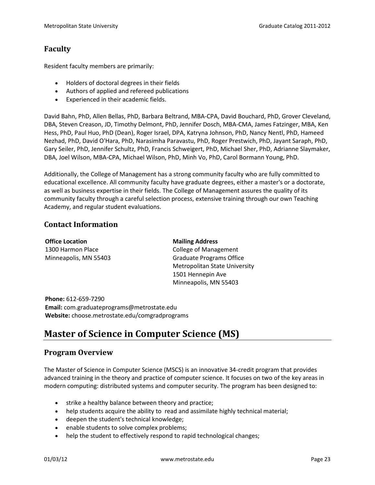## **Faculty**

Resident faculty members are primarily:

- Holders of doctoral degrees in their fields
- Authors of applied and refereed publications
- Experienced in their academic fields.

David Bahn, PhD, Allen Bellas, PhD, Barbara Beltrand, MBA-CPA, David Bouchard, PhD, Grover Cleveland, DBA, Steven Creason, JD, Timothy Delmont, PhD, Jennifer Dosch, MBA-CMA, James Fatzinger, MBA, Ken Hess, PhD, Paul Huo, PhD (Dean), Roger Israel, DPA, Katryna Johnson, PhD, Nancy Nentl, PhD, Hameed Nezhad, PhD, David O'Hara, PhD, Narasimha Paravastu, PhD, Roger Prestwich, PhD, Jayant Saraph, PhD, Gary Seiler, PhD, Jennifer Schultz, PhD, Francis Schweigert, PhD, Michael Sher, PhD, Adrianne Slaymaker, DBA, Joel Wilson, MBA-CPA, Michael Wilson, PhD, Minh Vo, PhD, Carol Bormann Young, PhD.

Additionally, the College of Management has a strong community faculty who are fully committed to educational excellence. All community faculty have graduate degrees, either a master's or a doctorate, as well as business expertise in their fields. The College of Management assures the quality of its community faculty through a careful selection process, extensive training through our own Teaching Academy, and regular student evaluations.

#### **Contact Information**

| <b>Office Location</b> | <b>Mailing Address</b>               |
|------------------------|--------------------------------------|
| 1300 Harmon Place      | <b>College of Management</b>         |
| Minneapolis, MN 55403  | <b>Graduate Programs Office</b>      |
|                        | <b>Metropolitan State University</b> |
|                        | 1501 Hennepin Ave                    |
|                        | Minneapolis, MN 55403                |
|                        |                                      |

**Phone:** 612-659-7290 **Email:** com.graduateprograms@metrostate.edu **Website:** choose.metrostate.edu/comgradprograms

# <span id="page-22-0"></span>**Master of Science in Computer Science (MS)**

#### **Program Overview**

The Master of Science in Computer Science (MSCS) is an innovative 34-credit program that provides advanced training in the theory and practice of computer science. It focuses on two of the key areas in modern computing: distributed systems and computer security. The program has been designed to:

- strike a healthy balance between theory and practice;
- help students acquire the ability to read and assimilate highly technical material;
- deepen the student's technical knowledge;
- enable students to solve complex problems;
- help the student to effectively respond to rapid technological changes;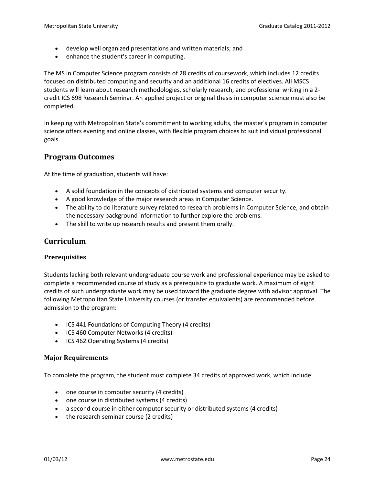- develop well organized presentations and written materials; and
- enhance the student's career in computing.

The MS in Computer Science program consists of 28 credits of coursework, which includes 12 credits focused on distributed computing and security and an additional 16 credits of electives. All MSCS students will learn about research methodologies, scholarly research, and professional writing in a 2 credit ICS 698 Research Seminar. An applied project or original thesis in computer science must also be completed.

In keeping with Metropolitan State's commitment to working adults, the master's program in computer science offers evening and online classes, with flexible program choices to suit individual professional goals.

#### **Program Outcomes**

At the time of graduation, students will have:

- A solid foundation in the concepts of distributed systems and computer security.
- A good knowledge of the major research areas in Computer Science.
- The ability to do literature survey related to research problems in Computer Science, and obtain the necessary background information to further explore the problems.
- The skill to write up research results and present them orally.

#### **Curriculum**

#### **Prerequisites**

Students lacking both relevant undergraduate course work and professional experience may be asked to complete a recommended course of study as a prerequisite to graduate work. A maximum of eight credits of such undergraduate work may be used toward the graduate degree with advisor approval. The following Metropolitan State University courses (or transfer equivalents) are recommended before admission to the program:

- ICS 441 Foundations of Computing Theory (4 credits)
- ICS 460 Computer Networks (4 credits)
- ICS 462 Operating Systems (4 credits)

#### **Major Requirements**

To complete the program, the student must complete 34 credits of approved work, which include:

- one course in computer security (4 credits)
- one course in distributed systems (4 credits)
- a second course in either computer security or distributed systems (4 credits)
- the research seminar course (2 credits)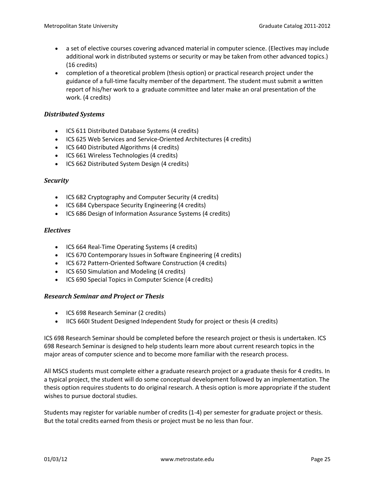- a set of elective courses covering advanced material in computer science. (Electives may include additional work in distributed systems or security or may be taken from other advanced topics.) (16 credits)
- completion of a theoretical problem (thesis option) or practical research project under the guidance of a full-time faculty member of the department. The student must submit a written report of his/her work to a graduate committee and later make an oral presentation of the work. (4 credits)

#### *Distributed Systems*

- ICS 611 Distributed Database Systems (4 credits)
- ICS 625 Web Services and Service-Oriented Architectures (4 credits)
- ICS 640 Distributed Algorithms (4 credits)
- ICS 661 Wireless Technologies (4 credits)
- ICS 662 Distributed System Design (4 credits)

#### *Security*

- ICS 682 Cryptography and Computer Security (4 credits)
- ICS 684 Cyberspace Security Engineering (4 credits)
- ICS 686 Design of Information Assurance Systems (4 credits)

#### *Electives*

- ICS 664 Real-Time Operating Systems (4 credits)
- ICS 670 Contemporary Issues in Software Engineering (4 credits)
- ICS 672 Pattern-Oriented Software Construction (4 credits)
- ICS 650 Simulation and Modeling (4 credits)
- ICS 690 Special Topics in Computer Science (4 credits)

#### *Research Seminar and Project or Thesis*

- ICS 698 Research Seminar (2 credits)
- IICS 660I Student Designed Independent Study for project or thesis (4 credits)

ICS 698 Research Seminar should be completed before the research project or thesis is undertaken. ICS 698 Research Seminar is designed to help students learn more about current research topics in the major areas of computer science and to become more familiar with the research process.

All MSCS students must complete either a graduate research project or a graduate thesis for 4 credits. In a typical project, the student will do some conceptual development followed by an implementation. The thesis option requires students to do original research. A thesis option is more appropriate if the student wishes to pursue doctoral studies.

Students may register for variable number of credits (1-4) per semester for graduate project or thesis. But the total credits earned from thesis or project must be no less than four.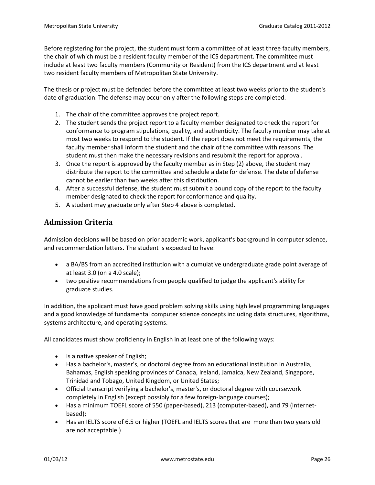Before registering for the project, the student must form a committee of at least three faculty members, the chair of which must be a resident faculty member of the ICS department. The committee must include at least two faculty members (Community or Resident) from the ICS department and at least two resident faculty members of Metropolitan State University.

The thesis or project must be defended before the committee at least two weeks prior to the student's date of graduation. The defense may occur only after the following steps are completed.

- 1. The chair of the committee approves the project report.
- 2. The student sends the project report to a faculty member designated to check the report for conformance to program stipulations, quality, and authenticity. The faculty member may take at most two weeks to respond to the student. If the report does not meet the requirements, the faculty member shall inform the student and the chair of the committee with reasons. The student must then make the necessary revisions and resubmit the report for approval.
- 3. Once the report is approved by the faculty member as in Step (2) above, the student may distribute the report to the committee and schedule a date for defense. The date of defense cannot be earlier than two weeks after this distribution.
- 4. After a successful defense, the student must submit a bound copy of the report to the faculty member designated to check the report for conformance and quality.
- 5. A student may graduate only after Step 4 above is completed.

# **Admission Criteria**

Admission decisions will be based on prior academic work, applicant's background in computer science, and recommendation letters. The student is expected to have:

- a BA/BS from an accredited institution with a cumulative undergraduate grade point average of at least 3.0 (on a 4.0 scale);
- two positive recommendations from people qualified to judge the applicant's ability for graduate studies.

In addition, the applicant must have good problem solving skills using high level programming languages and a good knowledge of fundamental computer science concepts including data structures, algorithms, systems architecture, and operating systems.

All candidates must show proficiency in English in at least one of the following ways:

- Is a native speaker of English;
- Has a bachelor's, master's, or doctoral degree from an educational institution in Australia, Bahamas, English speaking provinces of Canada, Ireland, Jamaica, New Zealand, Singapore, Trinidad and Tobago, United Kingdom, or United States;
- Official transcript verifying a bachelor's, master's, or doctoral degree with coursework completely in English (except possibly for a few foreign-language courses);
- Has a minimum TOEFL score of 550 (paper-based), 213 (computer-based), and 79 (Internetbased);
- Has an IELTS score of 6.5 or higher (TOEFL and IELTS scores that are more than two years old are not acceptable.)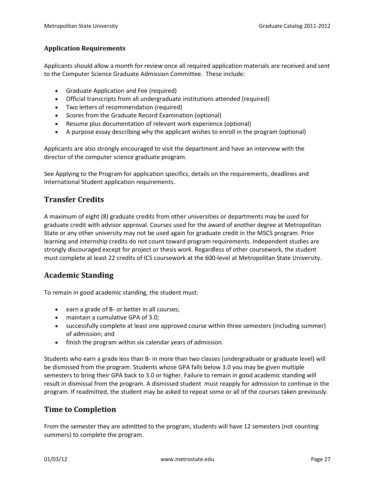#### **Application Requirements**

Applicants should allow a month for review once all required application materials are received and sent to the Computer Science Graduate Admission Committee. These include:

- Graduate Application and Fee (required)
- Official transcripts from all undergraduate institutions attended (required)
- Two letters of recommendation (required)
- Scores from the Graduate Record Examination (optional)
- Resume plus documentation of relevant work experience (optional)
- A purpose essay describing why the applicant wishes to enroll in the program (optional)

Applicants are also strongly encouraged to visit the department and have an interview with the director of the computer science graduate program.

See Applying to the Program for application specifics, details on the requirements, deadlines and International Student application requirements.

## **Transfer Credits**

A maximum of eight (8) graduate credits from other universities or departments may be used for graduate credit with advisor approval. Courses used for the award of another degree at Metropolitan State or any other university may not be used again for graduate credit in the MSCS program. Prior learning and internship credits do not count toward program requirements. Independent studies are strongly discouraged except for project or thesis work. Regardless of other coursework, the student must complete at least 22 credits of ICS coursework at the 600-level at Metropolitan State University.

#### **Academic Standing**

To remain in good academic standing, the student must:

- earn a grade of B- or better in all courses;
- maintain a cumulative GPA of 3.0;
- successfully complete at least one approved course within three semesters (including summer) of admission; and
- finish the program within six calendar years of admission.

Students who earn a grade less than B- in more than two classes (undergraduate or graduate level) will be dismissed from the program. Students whose GPA falls below 3.0 you may be given multiple semesters to bring their GPA back to 3.0 or higher. Failure to remain in good academic standing will result in dismissal from the program. A dismissed student must reapply for admission to continue in the program. If readmitted, the student may be asked to repeat some or all of the courses taken previously.

#### **Time to Completion**

From the semester they are admitted to the program, students will have 12 semesters (not counting summers) to complete the program.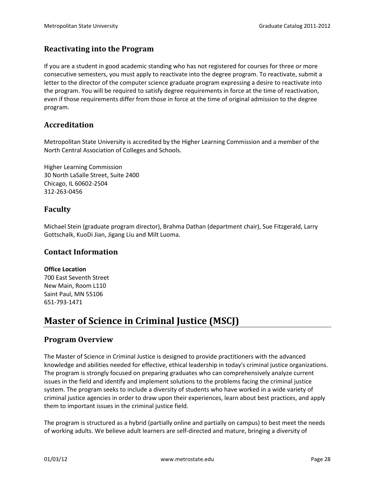#### **Reactivating into the Program**

If you are a student in good academic standing who has not registered for courses for three or more consecutive semesters, you must apply to reactivate into the degree program. To reactivate, submit a letter to the director of the computer science graduate program expressing a desire to reactivate into the program. You will be required to satisfy degree requirements in force at the time of reactivation, even if those requirements differ from those in force at the time of original admission to the degree program.

## **Accreditation**

Metropolitan State University is accredited by the Higher Learning Commission and a member of the North Central Association of Colleges and Schools.

Higher Learning Commission 30 North LaSalle Street, Suite 2400 Chicago, IL 60602-2504 312-263-0456

#### **Faculty**

Michael Stein (graduate program director), Brahma Dathan (department chair), Sue Fitzgerald, Larry Gottschalk, KuoDi Jian, Jigang Liu and Milt Luoma.

#### **Contact Information**

#### **Office Location**

700 East Seventh Street New Main, Room L110 Saint Paul, MN 55106 651-793-1471

# <span id="page-27-0"></span>**Master of Science in Criminal Justice (MSCJ)**

#### **Program Overview**

The Master of Science in Criminal Justice is designed to provide practitioners with the advanced knowledge and abilities needed for effective, ethical leadership in today's criminal justice organizations. The program is strongly focused on preparing graduates who can comprehensively analyze current issues in the field and identify and implement solutions to the problems facing the criminal justice system. The program seeks to include a diversity of students who have worked in a wide variety of criminal justice agencies in order to draw upon their experiences, learn about best practices, and apply them to important issues in the criminal justice field.

The program is structured as a hybrid (partially online and partially on campus) to best meet the needs of working adults. We believe adult learners are self-directed and mature, bringing a diversity of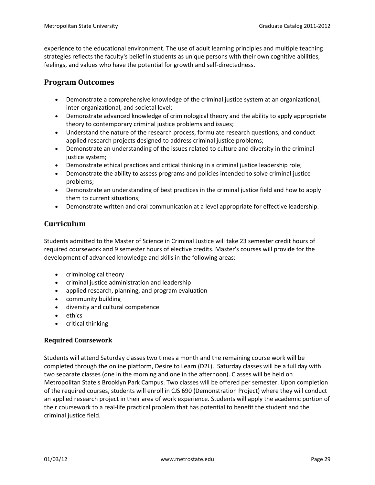experience to the educational environment. The use of adult learning principles and multiple teaching strategies reflects the faculty's belief in students as unique persons with their own cognitive abilities, feelings, and values who have the potential for growth and self-directedness.

# **Program Outcomes**

- Demonstrate a comprehensive knowledge of the criminal justice system at an organizational, inter-organizational, and societal level;
- Demonstrate advanced knowledge of criminological theory and the ability to apply appropriate theory to contemporary criminal justice problems and issues;
- Understand the nature of the research process, formulate research questions, and conduct applied research projects designed to address criminal justice problems;
- Demonstrate an understanding of the issues related to culture and diversity in the criminal justice system;
- Demonstrate ethical practices and critical thinking in a criminal justice leadership role;
- Demonstrate the ability to assess programs and policies intended to solve criminal justice problems;
- Demonstrate an understanding of best practices in the criminal justice field and how to apply them to current situations;
- Demonstrate written and oral communication at a level appropriate for effective leadership.

# **Curriculum**

Students admitted to the Master of Science in Criminal Justice will take 23 semester credit hours of required coursework and 9 semester hours of elective credits. Master's courses will provide for the development of advanced knowledge and skills in the following areas:

- criminological theory
- criminal justice administration and leadership
- applied research, planning, and program evaluation
- community building
- diversity and cultural competence
- ethics
- critical thinking

#### **Required Coursework**

Students will attend Saturday classes two times a month and the remaining course work will be completed through the online platform, Desire to Learn (D2L). Saturday classes will be a full day with two separate classes (one in the morning and one in the afternoon). Classes will be held on Metropolitan State's Brooklyn Park Campus. Two classes will be offered per semester. Upon completion of the required courses, students will enroll in CJS 690 (Demonstration Project) where they will conduct an applied research project in their area of work experience. Students will apply the academic portion of their coursework to a real-life practical problem that has potential to benefit the student and the criminal justice field.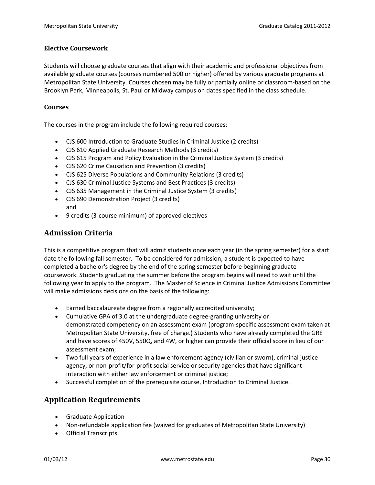#### **Elective Coursework**

Students will choose graduate courses that align with their academic and professional objectives from available graduate courses (courses numbered 500 or higher) offered by various graduate programs at Metropolitan State University. Courses chosen may be fully or partially online or classroom-based on the Brooklyn Park, Minneapolis, St. Paul or Midway campus on dates specified in the class schedule.

#### **Courses**

The courses in the program include the following required courses:

- CJS 600 Introduction to Graduate Studies in Criminal Justice (2 credits)
- CJS 610 Applied Graduate Research Methods (3 credits)
- CJS 615 Program and Policy Evaluation in the Criminal Justice System (3 credits)
- CJS 620 Crime Causation and Prevention (3 credits)
- CJS 625 Diverse Populations and Community Relations (3 credits)
- CJS 630 Criminal Justice Systems and Best Practices (3 credits)
- CJS 635 Management in the Criminal Justice System (3 credits)
- CJS 690 Demonstration Project (3 credits) and
- 9 credits (3-course minimum) of approved electives

# **Admission Criteria**

This is a competitive program that will admit students once each year (in the spring semester) for a start date the following fall semester. To be considered for admission, a student is expected to have completed a bachelor's degree by the end of the spring semester before beginning graduate coursework. Students graduating the summer before the program begins will need to wait until the following year to apply to the program. The Master of Science in Criminal Justice Admissions Committee will make admissions decisions on the basis of the following:

- Earned baccalaureate degree from a regionally accredited university;
- Cumulative GPA of 3.0 at the undergraduate degree-granting university or demonstrated competency on an assessment exam (program-specific assessment exam taken at Metropolitan State University, free of charge.) Students who have already completed the GRE and have scores of 450V, 550Q, and 4W, or higher can provide their official score in lieu of our assessment exam;
- Two full years of experience in a law enforcement agency (civilian or sworn), criminal justice agency, or non-profit/for-profit social service or security agencies that have significant interaction with either law enforcement or criminal justice;
- Successful completion of the prerequisite course, Introduction to Criminal Justice.

# **Application Requirements**

- Graduate Application
- Non-refundable application fee (waived for graduates of Metropolitan State University)
- Official Transcripts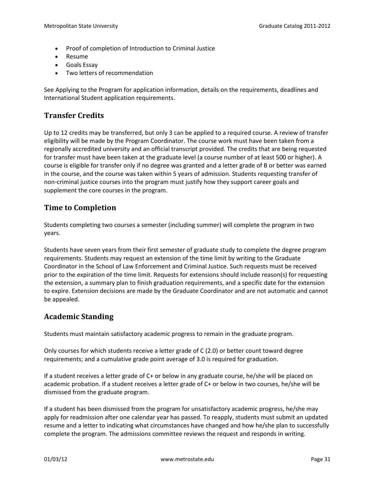- Proof of completion of Introduction to Criminal Justice
- Resume
- Goals Essay
- Two letters of recommendation

See Applying to the Program for application information, details on the requirements, deadlines and International Student application requirements.

# **Transfer Credits**

Up to 12 credits may be transferred, but only 3 can be applied to a required course. A review of transfer eligibility will be made by the Program Coordinator. The course work must have been taken from a regionally accredited university and an official transcript provided. The credits that are being requested for transfer must have been taken at the graduate level (a course number of at least 500 or higher). A course is eligible for transfer only if no degree was granted and a letter grade of B or better was earned in the course, and the course was taken within 5 years of admission. Students requesting transfer of non-criminal justice courses into the program must justify how they support career goals and supplement the core courses in the program.

# **Time to Completion**

Students completing two courses a semester (including summer) will complete the program in two years.

Students have seven years from their first semester of graduate study to complete the degree program requirements. Students may request an extension of the time limit by writing to the Graduate Coordinator in the School of Law Enforcement and Criminal Justice. Such requests must be received prior to the expiration of the time limit. Requests for extensions should include reason(s) for requesting the extension, a summary plan to finish graduation requirements, and a specific date for the extension to expire. Extension decisions are made by the Graduate Coordinator and are not automatic and cannot be appealed.

# **Academic Standing**

Students must maintain satisfactory academic progress to remain in the graduate program.

Only courses for which students receive a letter grade of C (2.0) or better count toward degree requirements; and a cumulative grade point average of 3.0 is required for graduation.

If a student receives a letter grade of C+ or below in any graduate course, he/she will be placed on academic probation. If a student receives a letter grade of C+ or below in two courses, he/she will be dismissed from the graduate program.

If a student has been dismissed from the program for unsatisfactory academic progress, he/she may apply for readmission after one calendar year has passed. To reapply, students must submit an updated resume and a letter to indicating what circumstances have changed and how he/she plan to successfully complete the program. The admissions committee reviews the request and responds in writing.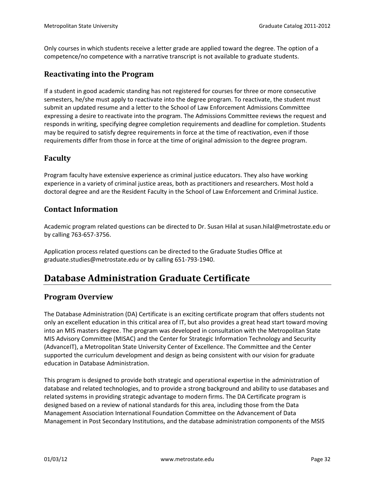Only courses in which students receive a letter grade are applied toward the degree. The option of a competence/no competence with a narrative transcript is not available to graduate students.

#### **Reactivating into the Program**

If a student in good academic standing has not registered for courses for three or more consecutive semesters, he/she must apply to reactivate into the degree program. To reactivate, the student must submit an updated resume and a letter to the School of Law Enforcement Admissions Committee expressing a desire to reactivate into the program. The Admissions Committee reviews the request and responds in writing, specifying degree completion requirements and deadline for completion. Students may be required to satisfy degree requirements in force at the time of reactivation, even if those requirements differ from those in force at the time of original admission to the degree program.

#### **Faculty**

Program faculty have extensive experience as criminal justice educators. They also have working experience in a variety of criminal justice areas, both as practitioners and researchers. Most hold a doctoral degree and are the Resident Faculty in the School of Law Enforcement and Criminal Justice.

#### **Contact Information**

Academic program related questions can be directed to Dr. Susan Hilal at susan.hilal@metrostate.edu or by calling 763-657-3756.

Application process related questions can be directed to the Graduate Studies Office at graduate.studies@metrostate.edu or by calling 651-793-1940.

# <span id="page-31-0"></span>**Database Administration Graduate Certificate**

#### **Program Overview**

The Database Administration (DA) Certificate is an exciting certificate program that offers students not only an excellent education in this critical area of IT, but also provides a great head start toward moving into an MIS masters degree. The program was developed in consultation with the Metropolitan State MIS Advisory Committee (MISAC) and the Center for Strategic Information Technology and Security (AdvanceIT), a Metropolitan State University Center of Excellence. The Committee and the Center supported the curriculum development and design as being consistent with our vision for graduate education in Database Administration.

This program is designed to provide both strategic and operational expertise in the administration of database and related technologies, and to provide a strong background and ability to use databases and related systems in providing strategic advantage to modern firms. The DA Certificate program is designed based on a review of national standards for this area, including those from the Data Management Association International Foundation Committee on the Advancement of Data Management in Post Secondary Institutions, and the database administration components of the MSIS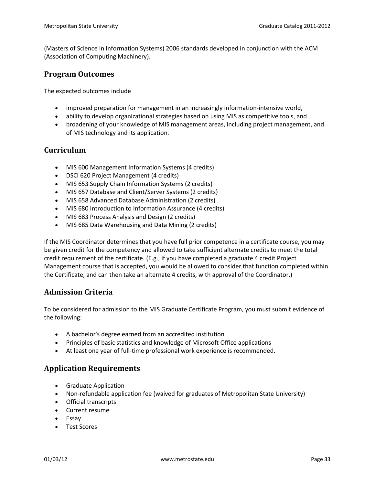(Masters of Science in Information Systems) 2006 standards developed in conjunction with the ACM (Association of Computing Machinery).

#### **Program Outcomes**

The expected outcomes include

- improved preparation for management in an increasingly information-intensive world,
- ability to develop organizational strategies based on using MIS as competitive tools, and
- broadening of your knowledge of MIS management areas, including project management, and of MIS technology and its application.

#### **Curriculum**

- MIS 600 Management Information Systems (4 credits)
- DSCI 620 Project Management (4 credits)
- MIS 653 Supply Chain Information Systems (2 credits)
- MIS 657 Database and Client/Server Systems (2 credits)
- MIS 658 Advanced Database Administration (2 credits)
- MIS 680 Introduction to Information Assurance (4 credits)
- MIS 683 Process Analysis and Design (2 credits)
- MIS 685 Data Warehousing and Data Mining (2 credits)

If the MIS Coordinator determines that you have full prior competence in a certificate course, you may be given credit for the competency and allowed to take sufficient alternate credits to meet the total credit requirement of the certificate. (E.g., if you have completed a graduate 4 credit Project Management course that is accepted, you would be allowed to consider that function completed within the Certificate, and can then take an alternate 4 credits, with approval of the Coordinator.)

# **Admission Criteria**

To be considered for admission to the MIS Graduate Certificate Program, you must submit evidence of the following:

- A bachelor's degree earned from an accredited institution
- Principles of basic statistics and knowledge of Microsoft Office applications
- At least one year of full-time professional work experience is recommended.

# **Application Requirements**

- Graduate Application
- Non-refundable application fee (waived for graduates of Metropolitan State University)
- Official transcripts
- Current resume
- Essay
- Test Scores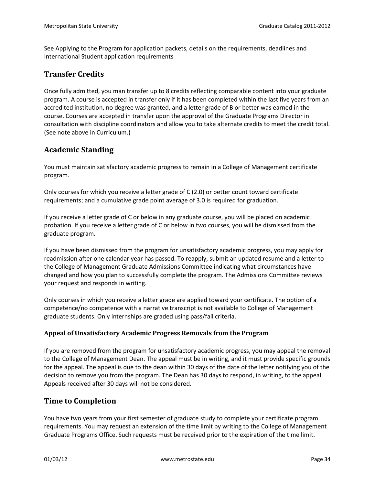See Applying to the Program for application packets, details on the requirements, deadlines and International Student application requirements

#### **Transfer Credits**

Once fully admitted, you man transfer up to 8 credits reflecting comparable content into your graduate program. A course is accepted in transfer only if it has been completed within the last five years from an accredited institution, no degree was granted, and a letter grade of B or better was earned in the course. Courses are accepted in transfer upon the approval of the Graduate Programs Director in consultation with discipline coordinators and allow you to take alternate credits to meet the credit total. (See note above in Curriculum.)

# **Academic Standing**

You must maintain satisfactory academic progress to remain in a College of Management certificate program.

Only courses for which you receive a letter grade of C (2.0) or better count toward certificate requirements; and a cumulative grade point average of 3.0 is required for graduation.

If you receive a letter grade of C or below in any graduate course, you will be placed on academic probation. If you receive a letter grade of C or below in two courses, you will be dismissed from the graduate program.

If you have been dismissed from the program for unsatisfactory academic progress, you may apply for readmission after one calendar year has passed. To reapply, submit an updated resume and a letter to the College of Management Graduate Admissions Committee indicating what circumstances have changed and how you plan to successfully complete the program. The Admissions Committee reviews your request and responds in writing.

Only courses in which you receive a letter grade are applied toward your certificate. The option of a competence/no competence with a narrative transcript is not available to College of Management graduate students. Only internships are graded using pass/fail criteria.

#### **Appeal of Unsatisfactory Academic Progress Removals from the Program**

If you are removed from the program for unsatisfactory academic progress, you may appeal the removal to the College of Management Dean. The appeal must be in writing, and it must provide specific grounds for the appeal. The appeal is due to the dean within 30 days of the date of the letter notifying you of the decision to remove you from the program. The Dean has 30 days to respond, in writing, to the appeal. Appeals received after 30 days will not be considered.

#### **Time to Completion**

You have two years from your first semester of graduate study to complete your certificate program requirements. You may request an extension of the time limit by writing to the College of Management Graduate Programs Office. Such requests must be received prior to the expiration of the time limit.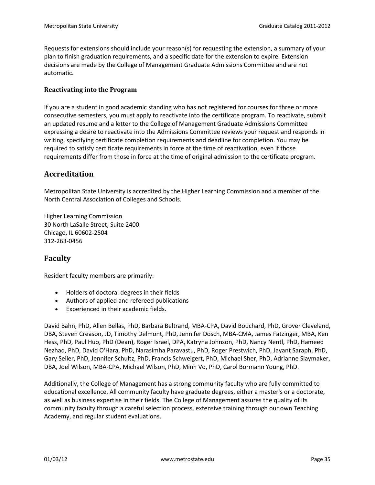Requests for extensions should include your reason(s) for requesting the extension, a summary of your plan to finish graduation requirements, and a specific date for the extension to expire. Extension decisions are made by the College of Management Graduate Admissions Committee and are not automatic.

#### **Reactivating into the Program**

If you are a student in good academic standing who has not registered for courses for three or more consecutive semesters, you must apply to reactivate into the certificate program. To reactivate, submit an updated resume and a letter to the College of Management Graduate Admissions Committee expressing a desire to reactivate into the Admissions Committee reviews your request and responds in writing, specifying certificate completion requirements and deadline for completion. You may be required to satisfy certificate requirements in force at the time of reactivation, even if those requirements differ from those in force at the time of original admission to the certificate program.

#### **Accreditation**

Metropolitan State University is accredited by the Higher Learning Commission and a member of the North Central Association of Colleges and Schools.

Higher Learning Commission 30 North LaSalle Street, Suite 2400 Chicago, IL 60602-2504 312-263-0456

#### **Faculty**

Resident faculty members are primarily:

- Holders of doctoral degrees in their fields
- Authors of applied and refereed publications
- Experienced in their academic fields.

David Bahn, PhD, Allen Bellas, PhD, Barbara Beltrand, MBA-CPA, David Bouchard, PhD, Grover Cleveland, DBA, Steven Creason, JD, Timothy Delmont, PhD, Jennifer Dosch, MBA-CMA, James Fatzinger, MBA, Ken Hess, PhD, Paul Huo, PhD (Dean), Roger Israel, DPA, Katryna Johnson, PhD, Nancy Nentl, PhD, Hameed Nezhad, PhD, David O'Hara, PhD, Narasimha Paravastu, PhD, Roger Prestwich, PhD, Jayant Saraph, PhD, Gary Seiler, PhD, Jennifer Schultz, PhD, Francis Schweigert, PhD, Michael Sher, PhD, Adrianne Slaymaker, DBA, Joel Wilson, MBA-CPA, Michael Wilson, PhD, Minh Vo, PhD, Carol Bormann Young, PhD.

Additionally, the College of Management has a strong community faculty who are fully committed to educational excellence. All community faculty have graduate degrees, either a master's or a doctorate, as well as business expertise in their fields. The College of Management assures the quality of its community faculty through a careful selection process, extensive training through our own Teaching Academy, and regular student evaluations.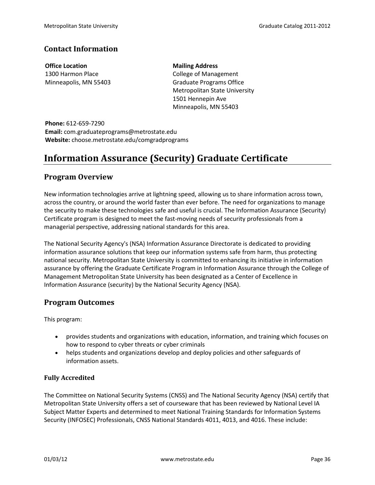# **Contact Information**

**Office Location** 1300 Harmon Place Minneapolis, MN 55403 **Mailing Address** College of Management Graduate Programs Office Metropolitan State University 1501 Hennepin Ave Minneapolis, MN 55403

**Phone:** 612-659-7290 **Email:** com.graduateprograms@metrostate.edu **Website:** choose.metrostate.edu/comgradprograms

# <span id="page-35-0"></span>**Information Assurance (Security) Graduate Certificate**

#### **Program Overview**

New information technologies arrive at lightning speed, allowing us to share information across town, across the country, or around the world faster than ever before. The need for organizations to manage the security to make these technologies safe and useful is crucial. The Information Assurance (Security) Certificate program is designed to meet the fast-moving needs of security professionals from a managerial perspective, addressing national standards for this area.

The National Security Agency's (NSA) Information Assurance Directorate is dedicated to providing information assurance solutions that keep our information systems safe from harm, thus protecting national security. Metropolitan State University is committed to enhancing its initiative in information assurance by offering the Graduate Certificate Program in Information Assurance through the College of Management Metropolitan State University has been designated as a Center of Excellence in Information Assurance (security) by the National Security Agency (NSA).

# **Program Outcomes**

This program:

- provides students and organizations with education, information, and training which focuses on how to respond to cyber threats or cyber criminals
- helps students and organizations develop and deploy policies and other safeguards of information assets.

#### **Fully Accredited**

The Committee on National Security Systems (CNSS) and The National Security Agency (NSA) certify that Metropolitan State University offers a set of courseware that has been reviewed by National Level IA Subject Matter Experts and determined to meet National Training Standards for Information Systems Security (INFOSEC) Professionals, CNSS National Standards 4011, 4013, and 4016. These include: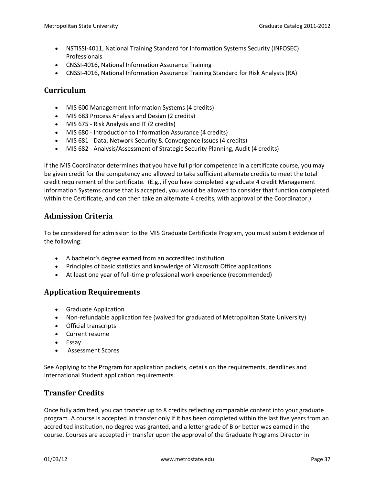- NSTISSI-4011, National Training Standard for Information Systems Security (INFOSEC) Professionals
- CNSSI-4016, National Information Assurance Training
- CNSSI-4016, National Information Assurance Training Standard for Risk Analysts (RA)

# **Curriculum**

- MIS 600 Management Information Systems (4 credits)
- MIS 683 Process Analysis and Design (2 credits)
- MIS 675 Risk Analysis and IT (2 credits)
- MIS 680 Introduction to Information Assurance (4 credits)
- MIS 681 Data, Network Security & Convergence Issues (4 credits)
- MIS 682 Analysis/Assessment of Strategic Security Planning, Audit (4 credits)

If the MIS Coordinator determines that you have full prior competence in a certificate course, you may be given credit for the competency and allowed to take sufficient alternate credits to meet the total credit requirement of the certificate. (E.g., if you have completed a graduate 4 credit Management Information Systems course that is accepted, you would be allowed to consider that function completed within the Certificate, and can then take an alternate 4 credits, with approval of the Coordinator.)

# **Admission Criteria**

To be considered for admission to the MIS Graduate Certificate Program, you must submit evidence of the following:

- A bachelor's degree earned from an accredited institution
- Principles of basic statistics and knowledge of Microsoft Office applications
- At least one year of full-time professional work experience (recommended)

# **Application Requirements**

- Graduate Application
- Non-refundable application fee (waived for graduated of Metropolitan State University)
- Official transcripts
- Current resume
- Essay
- Assessment Scores

See Applying to the Program for application packets, details on the requirements, deadlines and International Student application requirements

# **Transfer Credits**

Once fully admitted, you can transfer up to 8 credits reflecting comparable content into your graduate program. A course is accepted in transfer only if it has been completed within the last five years from an accredited institution, no degree was granted, and a letter grade of B or better was earned in the course. Courses are accepted in transfer upon the approval of the Graduate Programs Director in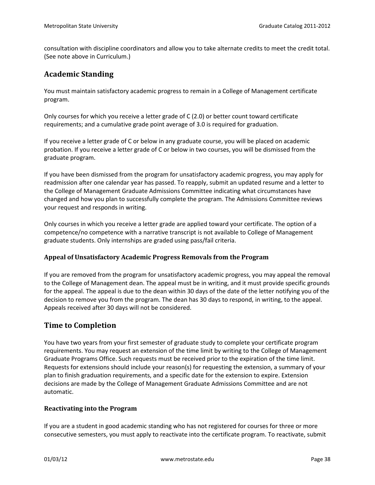consultation with discipline coordinators and allow you to take alternate credits to meet the credit total. (See note above in Curriculum.)

## **Academic Standing**

You must maintain satisfactory academic progress to remain in a College of Management certificate program.

Only courses for which you receive a letter grade of C (2.0) or better count toward certificate requirements; and a cumulative grade point average of 3.0 is required for graduation.

If you receive a letter grade of C or below in any graduate course, you will be placed on academic probation. If you receive a letter grade of C or below in two courses, you will be dismissed from the graduate program.

If you have been dismissed from the program for unsatisfactory academic progress, you may apply for readmission after one calendar year has passed. To reapply, submit an updated resume and a letter to the College of Management Graduate Admissions Committee indicating what circumstances have changed and how you plan to successfully complete the program. The Admissions Committee reviews your request and responds in writing.

Only courses in which you receive a letter grade are applied toward your certificate. The option of a competence/no competence with a narrative transcript is not available to College of Management graduate students. Only internships are graded using pass/fail criteria.

#### **Appeal of Unsatisfactory Academic Progress Removals from the Program**

If you are removed from the program for unsatisfactory academic progress, you may appeal the removal to the College of Management dean. The appeal must be in writing, and it must provide specific grounds for the appeal. The appeal is due to the dean within 30 days of the date of the letter notifying you of the decision to remove you from the program. The dean has 30 days to respond, in writing, to the appeal. Appeals received after 30 days will not be considered.

## **Time to Completion**

You have two years from your first semester of graduate study to complete your certificate program requirements. You may request an extension of the time limit by writing to the College of Management Graduate Programs Office. Such requests must be received prior to the expiration of the time limit. Requests for extensions should include your reason(s) for requesting the extension, a summary of your plan to finish graduation requirements, and a specific date for the extension to expire. Extension decisions are made by the College of Management Graduate Admissions Committee and are not automatic.

#### **Reactivating into the Program**

If you are a student in good academic standing who has not registered for courses for three or more consecutive semesters, you must apply to reactivate into the certificate program. To reactivate, submit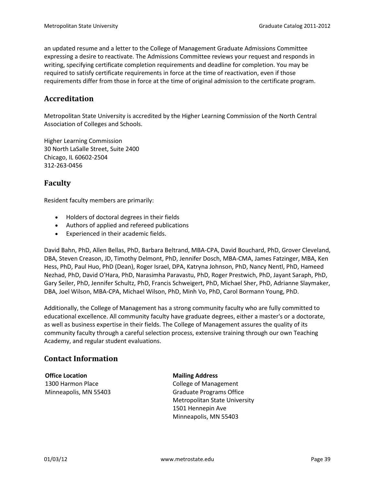an updated resume and a letter to the College of Management Graduate Admissions Committee expressing a desire to reactivate. The Admissions Committee reviews your request and responds in writing, specifying certificate completion requirements and deadline for completion. You may be required to satisfy certificate requirements in force at the time of reactivation, even if those requirements differ from those in force at the time of original admission to the certificate program.

## **Accreditation**

Metropolitan State University is accredited by the Higher Learning Commission of the North Central Association of Colleges and Schools.

Higher Learning Commission 30 North LaSalle Street, Suite 2400 Chicago, IL 60602-2504 312-263-0456

## **Faculty**

Resident faculty members are primarily:

- Holders of doctoral degrees in their fields
- Authors of applied and refereed publications
- Experienced in their academic fields.

David Bahn, PhD, Allen Bellas, PhD, Barbara Beltrand, MBA-CPA, David Bouchard, PhD, Grover Cleveland, DBA, Steven Creason, JD, Timothy Delmont, PhD, Jennifer Dosch, MBA-CMA, James Fatzinger, MBA, Ken Hess, PhD, Paul Huo, PhD (Dean), Roger Israel, DPA, Katryna Johnson, PhD, Nancy Nentl, PhD, Hameed Nezhad, PhD, David O'Hara, PhD, Narasimha Paravastu, PhD, Roger Prestwich, PhD, Jayant Saraph, PhD, Gary Seiler, PhD, Jennifer Schultz, PhD, Francis Schweigert, PhD, Michael Sher, PhD, Adrianne Slaymaker, DBA, Joel Wilson, MBA-CPA, Michael Wilson, PhD, Minh Vo, PhD, Carol Bormann Young, PhD.

Additionally, the College of Management has a strong community faculty who are fully committed to educational excellence. All community faculty have graduate degrees, either a master's or a doctorate, as well as business expertise in their fields. The College of Management assures the quality of its community faculty through a careful selection process, extensive training through our own Teaching Academy, and regular student evaluations.

# **Contact Information**

**Office Location** 1300 Harmon Place Minneapolis, MN 55403 **Mailing Address** College of Management Graduate Programs Office Metropolitan State University 1501 Hennepin Ave Minneapolis, MN 55403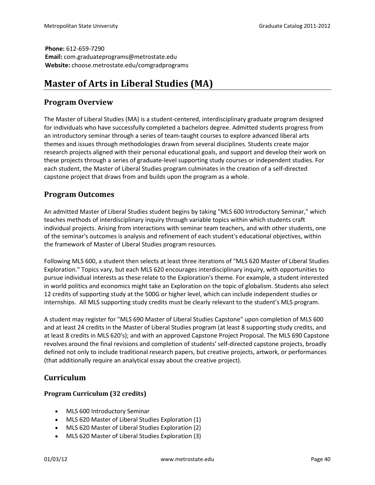**Phone:** 612-659-7290 **Email:** com.graduateprograms@metrostate.edu **Website:** choose.metrostate.edu/comgradprograms

# **Master of Arts in Liberal Studies (MA)**

## **Program Overview**

The Master of Liberal Studies (MA) is a student-centered, interdisciplinary graduate program designed for individuals who have successfully completed a bachelors degree. Admitted students progress from an introductory seminar through a series of team-taught courses to explore advanced liberal arts themes and issues through methodologies drawn from several disciplines. Students create major research projects aligned with their personal educational goals, and support and develop their work on these projects through a series of graduate-level supporting study courses or independent studies. For each student, the Master of Liberal Studies program culminates in the creation of a self-directed capstone project that draws from and builds upon the program as a whole.

## **Program Outcomes**

An admitted Master of Liberal Studies student begins by taking "MLS 600 Introductory Seminar," which teaches methods of interdisciplinary inquiry through variable topics within which students craft individual projects. Arising from interactions with seminar team teachers, and with other students, one of the seminar's outcomes is analysis and refinement of each student's educational objectives, within the framework of Master of Liberal Studies program resources.

Following MLS 600, a student then selects at least three iterations of "MLS 620 Master of Liberal Studies Exploration." Topics vary, but each MLS 620 encourages interdisciplinary inquiry, with opportunities to pursue individual interests as these relate to the Exploration's theme. For example, a student interested in world politics and economics might take an Exploration on the topic of globalism. Students also select 12 credits of supporting study at the 500G or higher level, which can include independent studies or internships. All MLS supporting study credits must be clearly relevant to the student's MLS program.

A student may register for "MLS 690 Master of Liberal Studies Capstone" upon completion of MLS 600 and at least 24 credits in the Master of Liberal Studies program (at least 8 supporting study credits, and at least 8 credits in MLS 620's); and with an approved Capstone Project Proposal. The MLS 690 Capstone revolves around the final revisions and completion of students' self-directed capstone projects, broadly defined not only to include traditional research papers, but creative projects, artwork, or performances (that additionally require an analytical essay about the creative project).

# **Curriculum**

## **Program Curriculum (32 credits)**

- MLS 600 Introductory Seminar
- MLS 620 Master of Liberal Studies Exploration (1)
- MLS 620 Master of Liberal Studies Exploration (2)
- MLS 620 Master of Liberal Studies Exploration (3)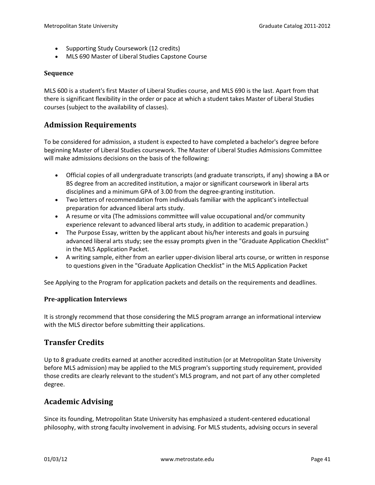- Supporting Study Coursework (12 credits)
- MLS 690 Master of Liberal Studies Capstone Course

#### **Sequence**

MLS 600 is a student's first Master of Liberal Studies course, and MLS 690 is the last. Apart from that there is significant flexibility in the order or pace at which a student takes Master of Liberal Studies courses (subject to the availability of classes).

## **Admission Requirements**

To be considered for admission, a student is expected to have completed a bachelor's degree before beginning Master of Liberal Studies coursework. The Master of Liberal Studies Admissions Committee will make admissions decisions on the basis of the following:

- Official copies of all undergraduate transcripts (and graduate transcripts, if any) showing a BA or BS degree from an accredited institution, a major or significant coursework in liberal arts disciplines and a minimum GPA of 3.00 from the degree-granting institution.
- Two letters of recommendation from individuals familiar with the applicant's intellectual preparation for advanced liberal arts study.
- A resume or vita (The admissions committee will value occupational and/or community experience relevant to advanced liberal arts study, in addition to academic preparation.)
- The Purpose Essay, written by the applicant about his/her interests and goals in pursuing advanced liberal arts study; see the essay prompts given in the "Graduate Application Checklist" in the MLS Application Packet.
- A writing sample, either from an earlier upper-division liberal arts course, or written in response to questions given in the "Graduate Application Checklist" in the MLS Application Packet

See Applying to the Program for application packets and details on the requirements and deadlines.

#### **Pre-application Interviews**

It is strongly recommend that those considering the MLS program arrange an informational interview with the MLS director before submitting their applications.

## **Transfer Credits**

Up to 8 graduate credits earned at another accredited institution (or at Metropolitan State University before MLS admission) may be applied to the MLS program's supporting study requirement, provided those credits are clearly relevant to the student's MLS program, and not part of any other completed degree.

## **Academic Advising**

Since its founding, Metropolitan State University has emphasized a student-centered educational philosophy, with strong faculty involvement in advising. For MLS students, advising occurs in several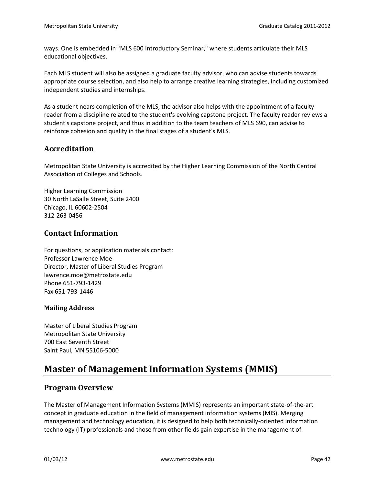ways. One is embedded in "MLS 600 Introductory Seminar," where students articulate their MLS educational objectives.

Each MLS student will also be assigned a graduate faculty advisor, who can advise students towards appropriate course selection, and also help to arrange creative learning strategies, including customized independent studies and internships.

As a student nears completion of the MLS, the advisor also helps with the appointment of a faculty reader from a discipline related to the student's evolving capstone project. The faculty reader reviews a student's capstone project, and thus in addition to the team teachers of MLS 690, can advise to reinforce cohesion and quality in the final stages of a student's MLS.

# **Accreditation**

Metropolitan State University is accredited by the Higher Learning Commission of the North Central Association of Colleges and Schools.

Higher Learning Commission 30 North LaSalle Street, Suite 2400 Chicago, IL 60602-2504 312-263-0456

# **Contact Information**

For questions, or application materials contact: Professor Lawrence Moe Director, Master of Liberal Studies Program lawrence.moe@metrostate.edu Phone 651-793-1429 Fax 651-793-1446

## **Mailing Address**

Master of Liberal Studies Program Metropolitan State University 700 East Seventh Street Saint Paul, MN 55106-5000

# **Master of Management Information Systems (MMIS)**

## **Program Overview**

The Master of Management Information Systems (MMIS) represents an important state-of-the-art concept in graduate education in the field of management information systems (MIS). Merging management and technology education, it is designed to help both technically-oriented information technology (IT) professionals and those from other fields gain expertise in the management of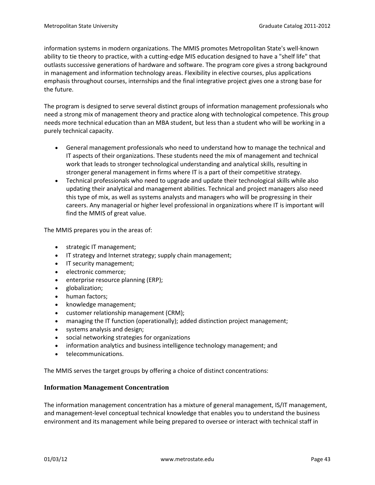information systems in modern organizations. The MMIS promotes Metropolitan State's well-known ability to tie theory to practice, with a cutting-edge MIS education designed to have a "shelf life" that outlasts successive generations of hardware and software. The program core gives a strong background in management and information technology areas. Flexibility in elective courses, plus applications emphasis throughout courses, internships and the final integrative project gives one a strong base for the future.

The program is designed to serve several distinct groups of information management professionals who need a strong mix of management theory and practice along with technological competence. This group needs more technical education than an MBA student, but less than a student who will be working in a purely technical capacity.

- General management professionals who need to understand how to manage the technical and IT aspects of their organizations. These students need the mix of management and technical work that leads to stronger technological understanding and analytical skills, resulting in stronger general management in firms where IT is a part of their competitive strategy.
- Technical professionals who need to upgrade and update their technological skills while also updating their analytical and management abilities. Technical and project managers also need this type of mix, as well as systems analysts and managers who will be progressing in their careers. Any managerial or higher level professional in organizations where IT is important will find the MMIS of great value.

The MMIS prepares you in the areas of:

- strategic IT management;
- IT strategy and Internet strategy; supply chain management;
- IT security management;
- electronic commerce;
- enterprise resource planning (ERP);
- globalization;
- human factors;
- knowledge management;
- customer relationship management (CRM);
- managing the IT function (operationally); added distinction project management;
- systems analysis and design;
- social networking strategies for organizations
- information analytics and business intelligence technology management; and
- telecommunications.

The MMIS serves the target groups by offering a choice of distinct concentrations:

#### **Information Management Concentration**

The information management concentration has a mixture of general management, IS/IT management, and management-level conceptual technical knowledge that enables you to understand the business environment and its management while being prepared to oversee or interact with technical staff in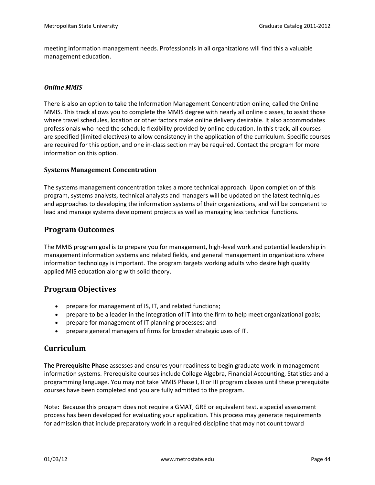meeting information management needs. Professionals in all organizations will find this a valuable management education.

#### *Online MMIS*

There is also an option to take the Information Management Concentration online, called the Online MMIS. This track allows you to complete the MMIS degree with nearly all online classes, to assist those where travel schedules, location or other factors make online delivery desirable. It also accommodates professionals who need the schedule flexibility provided by online education. In this track, all courses are specified (limited electives) to allow consistency in the application of the curriculum. Specific courses are required for this option, and one in-class section may be required. Contact the program for more information on this option.

### **Systems Management Concentration**

The systems management concentration takes a more technical approach. Upon completion of this program, systems analysts, technical analysts and managers will be updated on the latest techniques and approaches to developing the information systems of their organizations, and will be competent to lead and manage systems development projects as well as managing less technical functions.

## **Program Outcomes**

The MMIS program goal is to prepare you for management, high-level work and potential leadership in management information systems and related fields, and general management in organizations where information technology is important. The program targets working adults who desire high quality applied MIS education along with solid theory.

## **Program Objectives**

- prepare for management of IS, IT, and related functions;
- prepare to be a leader in the integration of IT into the firm to help meet organizational goals;
- prepare for management of IT planning processes; and
- prepare general managers of firms for broader strategic uses of IT.

## **Curriculum**

**The Prerequisite Phase** assesses and ensures your readiness to begin graduate work in management information systems. Prerequisite courses include College Algebra, Financial Accounting, Statistics and a programming language. You may not take MMIS Phase I, II or III program classes until these prerequisite courses have been completed and you are fully admitted to the program.

Note: Because this program does not require a GMAT, GRE or equivalent test, a special assessment process has been developed for evaluating your application. This process may generate requirements for admission that include preparatory work in a required discipline that may not count toward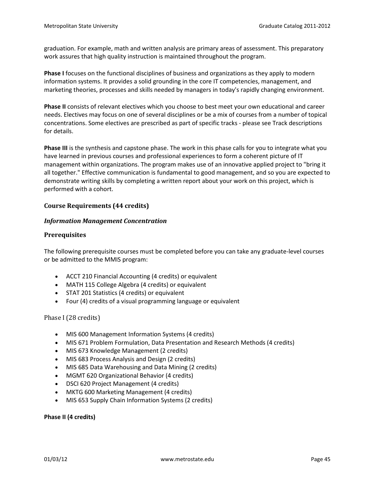graduation. For example, math and written analysis are primary areas of assessment. This preparatory work assures that high quality instruction is maintained throughout the program.

**Phase I** focuses on the functional disciplines of business and organizations as they apply to modern information systems. It provides a solid grounding in the core IT competencies, management, and marketing theories, processes and skills needed by managers in today's rapidly changing environment.

**Phase II** consists of relevant electives which you choose to best meet your own educational and career needs. Electives may focus on one of several disciplines or be a mix of courses from a number of topical concentrations. Some electives are prescribed as part of specific tracks - please see Track descriptions for details.

**Phase III** is the synthesis and capstone phase. The work in this phase calls for you to integrate what you have learned in previous courses and professional experiences to form a coherent picture of IT management within organizations. The program makes use of an innovative applied project to "bring it all together." Effective communication is fundamental to good management, and so you are expected to demonstrate writing skills by completing a written report about your work on this project, which is performed with a cohort.

#### **Course Requirements (44 credits)**

#### *Information Management Concentration*

#### **Prerequisites**

The following prerequisite courses must be completed before you can take any graduate-level courses or be admitted to the MMIS program:

- ACCT 210 Financial Accounting (4 credits) or equivalent
- MATH 115 College Algebra (4 credits) or equivalent
- STAT 201 Statistics (4 credits) or equivalent
- Four (4) credits of a visual programming language or equivalent

#### Phase I (28 credits)

- MIS 600 Management Information Systems (4 credits)
- MIS 671 Problem Formulation, Data Presentation and Research Methods (4 credits)
- MIS 673 Knowledge Management (2 credits)
- MIS 683 Process Analysis and Design (2 credits)
- MIS 685 Data Warehousing and Data Mining (2 credits)
- MGMT 620 Organizational Behavior (4 credits)
- DSCI 620 Project Management (4 credits)
- MKTG 600 Marketing Management (4 credits)
- MIS 653 Supply Chain Information Systems (2 credits)

#### **Phase II (4 credits)**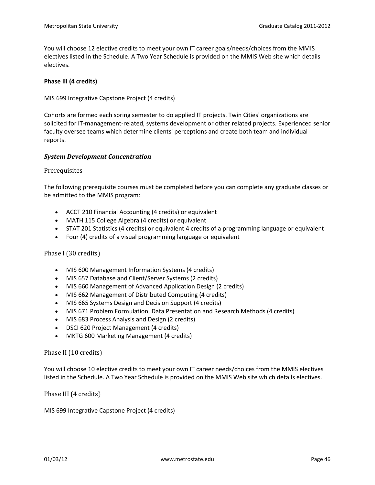You will choose 12 elective credits to meet your own IT career goals/needs/choices from the MMIS electives listed in the Schedule. A Two Year Schedule is provided on the MMIS Web site which details electives.

#### **Phase III (4 credits)**

MIS 699 Integrative Capstone Project (4 credits)

Cohorts are formed each spring semester to do applied IT projects. Twin Cities' organizations are solicited for IT-management-related, systems development or other related projects. Experienced senior faculty oversee teams which determine clients' perceptions and create both team and individual reports.

#### *System Development Concentration*

Prerequisites

The following prerequisite courses must be completed before you can complete any graduate classes or be admitted to the MMIS program:

- ACCT 210 Financial Accounting (4 credits) or equivalent
- MATH 115 College Algebra (4 credits) or equivalent
- STAT 201 Statistics (4 credits) or equivalent 4 credits of a programming language or equivalent
- Four (4) credits of a visual programming language or equivalent

Phase I (30 credits)

- MIS 600 Management Information Systems (4 credits)
- MIS 657 Database and Client/Server Systems (2 credits)
- MIS 660 Management of Advanced Application Design (2 credits)
- MIS 662 Management of Distributed Computing (4 credits)
- MIS 665 Systems Design and Decision Support (4 credits)
- MIS 671 Problem Formulation, Data Presentation and Research Methods (4 credits)
- MIS 683 Process Analysis and Design (2 credits)
- DSCI 620 Project Management (4 credits)
- MKTG 600 Marketing Management (4 credits)

Phase II (10 credits)

You will choose 10 elective credits to meet your own IT career needs/choices from the MMIS electives listed in the Schedule. A Two Year Schedule is provided on the MMIS Web site which details electives.

Phase III (4 credits)

MIS 699 Integrative Capstone Project (4 credits)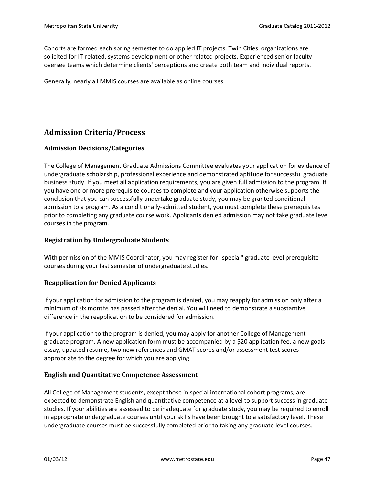Cohorts are formed each spring semester to do applied IT projects. Twin Cities' organizations are solicited for IT-related, systems development or other related projects. Experienced senior faculty oversee teams which determine clients' perceptions and create both team and individual reports.

Generally, nearly all MMIS courses are available as online courses

# **Admission Criteria/Process**

### **Admission Decisions/Categories**

The College of Management Graduate Admissions Committee evaluates your application for evidence of undergraduate scholarship, professional experience and demonstrated aptitude for successful graduate business study. If you meet all application requirements, you are given full admission to the program. If you have one or more prerequisite courses to complete and your application otherwise supports the conclusion that you can successfully undertake graduate study, you may be granted conditional admission to a program. As a conditionally-admitted student, you must complete these prerequisites prior to completing any graduate course work. Applicants denied admission may not take graduate level courses in the program.

#### **Registration by Undergraduate Students**

With permission of the MMIS Coordinator, you may register for "special" graduate level prerequisite courses during your last semester of undergraduate studies.

#### **Reapplication for Denied Applicants**

If your application for admission to the program is denied, you may reapply for admission only after a minimum of six months has passed after the denial. You will need to demonstrate a substantive difference in the reapplication to be considered for admission.

If your application to the program is denied, you may apply for another College of Management graduate program. A new application form must be accompanied by a \$20 application fee, a new goals essay, updated resume, two new references and GMAT scores and/or assessment test scores appropriate to the degree for which you are applying

#### **English and Quantitative Competence Assessment**

All College of Management students, except those in special international cohort programs, are expected to demonstrate English and quantitative competence at a level to support success in graduate studies. If your abilities are assessed to be inadequate for graduate study, you may be required to enroll in appropriate undergraduate courses until your skills have been brought to a satisfactory level. These undergraduate courses must be successfully completed prior to taking any graduate level courses.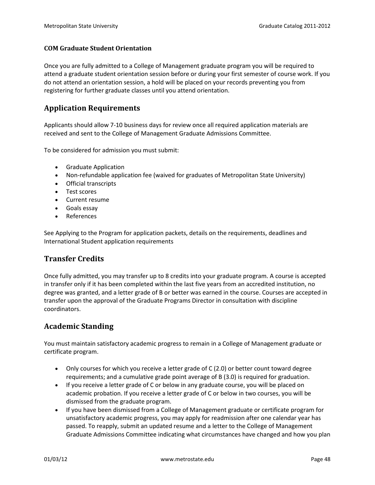### **COM Graduate Student Orientation**

Once you are fully admitted to a College of Management graduate program you will be required to attend a graduate student orientation session before or during your first semester of course work. If you do not attend an orientation session, a hold will be placed on your records preventing you from registering for further graduate classes until you attend orientation.

## **Application Requirements**

Applicants should allow 7-10 business days for review once all required application materials are received and sent to the College of Management Graduate Admissions Committee.

To be considered for admission you must submit:

- Graduate Application
- Non-refundable application fee (waived for graduates of Metropolitan State University)
- Official transcripts
- Test scores
- Current resume
- Goals essay
- **References**

See Applying to the Program for application packets, details on the requirements, deadlines and International Student application requirements

## **Transfer Credits**

Once fully admitted, you may transfer up to 8 credits into your graduate program. A course is accepted in transfer only if it has been completed within the last five years from an accredited institution, no degree was granted, and a letter grade of B or better was earned in the course. Courses are accepted in transfer upon the approval of the Graduate Programs Director in consultation with discipline coordinators.

## **Academic Standing**

You must maintain satisfactory academic progress to remain in a College of Management graduate or certificate program.

- Only courses for which you receive a letter grade of C (2.0) or better count toward degree requirements; and a cumulative grade point average of B (3.0) is required for graduation.
- If you receive a letter grade of C or below in any graduate course, you will be placed on academic probation. If you receive a letter grade of C or below in two courses, you will be dismissed from the graduate program.
- If you have been dismissed from a College of Management graduate or certificate program for unsatisfactory academic progress, you may apply for readmission after one calendar year has passed. To reapply, submit an updated resume and a letter to the College of Management Graduate Admissions Committee indicating what circumstances have changed and how you plan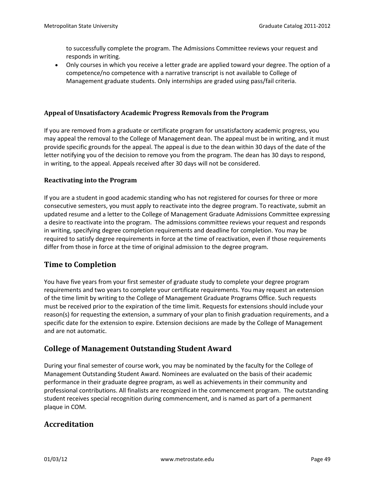to successfully complete the program. The Admissions Committee reviews your request and responds in writing.

• Only courses in which you receive a letter grade are applied toward your degree. The option of a competence/no competence with a narrative transcript is not available to College of Management graduate students. Only internships are graded using pass/fail criteria.

### **Appeal of Unsatisfactory Academic Progress Removals from the Program**

If you are removed from a graduate or certificate program for unsatisfactory academic progress, you may appeal the removal to the College of Management dean. The appeal must be in writing, and it must provide specific grounds for the appeal. The appeal is due to the dean within 30 days of the date of the letter notifying you of the decision to remove you from the program. The dean has 30 days to respond, in writing, to the appeal. Appeals received after 30 days will not be considered.

#### **Reactivating into the Program**

If you are a student in good academic standing who has not registered for courses for three or more consecutive semesters, you must apply to reactivate into the degree program. To reactivate, submit an updated resume and a letter to the College of Management Graduate Admissions Committee expressing a desire to reactivate into the program. The admissions committee reviews your request and responds in writing, specifying degree completion requirements and deadline for completion. You may be required to satisfy degree requirements in force at the time of reactivation, even if those requirements differ from those in force at the time of original admission to the degree program.

## **Time to Completion**

You have five years from your first semester of graduate study to complete your degree program requirements and two years to complete your certificate requirements. You may request an extension of the time limit by writing to the College of Management Graduate Programs Office. Such requests must be received prior to the expiration of the time limit. Requests for extensions should include your reason(s) for requesting the extension, a summary of your plan to finish graduation requirements, and a specific date for the extension to expire. Extension decisions are made by the College of Management and are not automatic.

## **College of Management Outstanding Student Award**

During your final semester of course work, you may be nominated by the faculty for the College of Management Outstanding Student Award. Nominees are evaluated on the basis of their academic performance in their graduate degree program, as well as achievements in their community and professional contributions. All finalists are recognized in the commencement program. The outstanding student receives special recognition during commencement, and is named as part of a permanent plaque in COM.

## **Accreditation**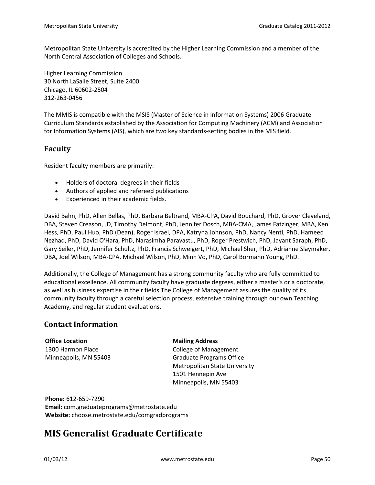Metropolitan State University is accredited by the Higher Learning Commission and a member of the North Central Association of Colleges and Schools.

Higher Learning Commission 30 North LaSalle Street, Suite 2400 Chicago, IL 60602-2504 312-263-0456

The MMIS is compatible with the MSIS (Master of Science in Information Systems) 2006 Graduate Curriculum Standards established by the Association for Computing Machinery (ACM) and Association for Information Systems (AIS), which are two key standards-setting bodies in the MIS field.

## **Faculty**

Resident faculty members are primarily:

- Holders of doctoral degrees in their fields
- Authors of applied and refereed publications
- Experienced in their academic fields.

David Bahn, PhD, Allen Bellas, PhD, Barbara Beltrand, MBA-CPA, David Bouchard, PhD, Grover Cleveland, DBA, Steven Creason, JD, Timothy Delmont, PhD, Jennifer Dosch, MBA-CMA, James Fatzinger, MBA, Ken Hess, PhD, Paul Huo, PhD (Dean), Roger Israel, DPA, Katryna Johnson, PhD, Nancy Nentl, PhD, Hameed Nezhad, PhD, David O'Hara, PhD, Narasimha Paravastu, PhD, Roger Prestwich, PhD, Jayant Saraph, PhD, Gary Seiler, PhD, Jennifer Schultz, PhD, Francis Schweigert, PhD, Michael Sher, PhD, Adrianne Slaymaker, DBA, Joel Wilson, MBA-CPA, Michael Wilson, PhD, Minh Vo, PhD, Carol Bormann Young, PhD.

Additionally, the College of Management has a strong community faculty who are fully committed to educational excellence. All community faculty have graduate degrees, either a master's or a doctorate, as well as business expertise in their fields.The College of Management assures the quality of its community faculty through a careful selection process, extensive training through our own Teaching Academy, and regular student evaluations.

## **Contact Information**

**Office Location** 1300 Harmon Place Minneapolis, MN 55403 **Mailing Address**

College of Management Graduate Programs Office Metropolitan State University 1501 Hennepin Ave Minneapolis, MN 55403

**Phone:** 612-659-7290 **Email:** com.graduateprograms@metrostate.edu **Website:** choose.metrostate.edu/comgradprograms

# **MIS Generalist Graduate Certificate**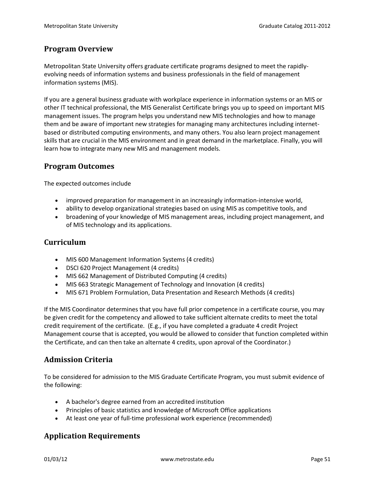## **Program Overview**

Metropolitan State University offers graduate certificate programs designed to meet the rapidlyevolving needs of information systems and business professionals in the field of management information systems (MIS).

If you are a general business graduate with workplace experience in information systems or an MIS or other IT technical professional, the MIS Generalist Certificate brings you up to speed on important MIS management issues. The program helps you understand new MIS technologies and how to manage them and be aware of important new strategies for managing many architectures including internetbased or distributed computing environments, and many others. You also learn project management skills that are crucial in the MIS environment and in great demand in the marketplace. Finally, you will learn how to integrate many new MIS and management models.

## **Program Outcomes**

The expected outcomes include

- improved preparation for management in an increasingly information-intensive world,
- ability to develop organizational strategies based on using MIS as competitive tools, and
- broadening of your knowledge of MIS management areas, including project management, and of MIS technology and its applications.

## **Curriculum**

- MIS 600 Management Information Systems (4 credits)
- DSCI 620 Project Management (4 credits)
- MIS 662 Management of Distributed Computing (4 credits)
- MIS 663 Strategic Management of Technology and Innovation (4 credits)
- MIS 671 Problem Formulation, Data Presentation and Research Methods (4 credits)

If the MIS Coordinator determines that you have full prior competence in a certificate course, you may be given credit for the competency and allowed to take sufficient alternate credits to meet the total credit requirement of the certificate. (E.g., if you have completed a graduate 4 credit Project Management course that is accepted, you would be allowed to consider that function completed within the Certificate, and can then take an alternate 4 credits, upon aproval of the Coordinator.)

## **Admission Criteria**

To be considered for admission to the MIS Graduate Certificate Program, you must submit evidence of the following:

- A bachelor's degree earned from an accredited institution
- Principles of basic statistics and knowledge of Microsoft Office applications
- At least one year of full-time professional work experience (recommended)

## **Application Requirements**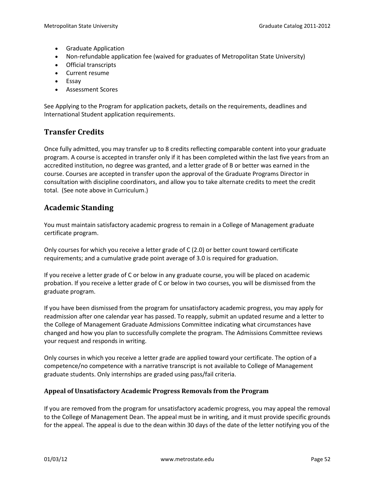- Graduate Application
- Non-refundable application fee (waived for graduates of Metropolitan State University)
- Official transcripts
- Current resume
- Essay
- Assessment Scores

See Applying to the Program for application packets, details on the requirements, deadlines and International Student application requirements.

## **Transfer Credits**

Once fully admitted, you may transfer up to 8 credits reflecting comparable content into your graduate program. A course is accepted in transfer only if it has been completed within the last five years from an accredited institution, no degree was granted, and a letter grade of B or better was earned in the course. Courses are accepted in transfer upon the approval of the Graduate Programs Director in consultation with discipline coordinators, and allow you to take alternate credits to meet the credit total. (See note above in Curriculum.)

# **Academic Standing**

You must maintain satisfactory academic progress to remain in a College of Management graduate certificate program.

Only courses for which you receive a letter grade of C (2.0) or better count toward certificate requirements; and a cumulative grade point average of 3.0 is required for graduation.

If you receive a letter grade of C or below in any graduate course, you will be placed on academic probation. If you receive a letter grade of C or below in two courses, you will be dismissed from the graduate program.

If you have been dismissed from the program for unsatisfactory academic progress, you may apply for readmission after one calendar year has passed. To reapply, submit an updated resume and a letter to the College of Management Graduate Admissions Committee indicating what circumstances have changed and how you plan to successfully complete the program. The Admissions Committee reviews your request and responds in writing.

Only courses in which you receive a letter grade are applied toward your certificate. The option of a competence/no competence with a narrative transcript is not available to College of Management graduate students. Only internships are graded using pass/fail criteria.

## **Appeal of Unsatisfactory Academic Progress Removals from the Program**

If you are removed from the program for unsatisfactory academic progress, you may appeal the removal to the College of Management Dean. The appeal must be in writing, and it must provide specific grounds for the appeal. The appeal is due to the dean within 30 days of the date of the letter notifying you of the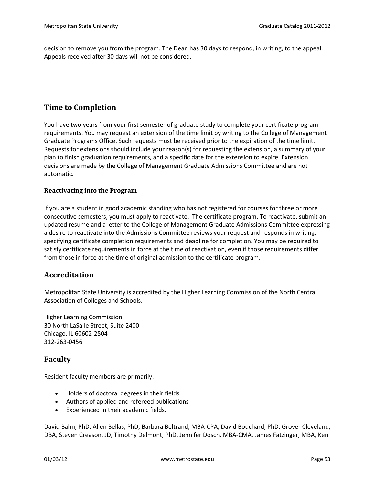decision to remove you from the program. The Dean has 30 days to respond, in writing, to the appeal. Appeals received after 30 days will not be considered.

## **Time to Completion**

You have two years from your first semester of graduate study to complete your certificate program requirements. You may request an extension of the time limit by writing to the College of Management Graduate Programs Office. Such requests must be received prior to the expiration of the time limit. Requests for extensions should include your reason(s) for requesting the extension, a summary of your plan to finish graduation requirements, and a specific date for the extension to expire. Extension decisions are made by the College of Management Graduate Admissions Committee and are not automatic.

### **Reactivating into the Program**

If you are a student in good academic standing who has not registered for courses for three or more consecutive semesters, you must apply to reactivate. The certificate program. To reactivate, submit an updated resume and a letter to the College of Management Graduate Admissions Committee expressing a desire to reactivate into the Admissions Committee reviews your request and responds in writing, specifying certificate completion requirements and deadline for completion. You may be required to satisfy certificate requirements in force at the time of reactivation, even if those requirements differ from those in force at the time of original admission to the certificate program.

## **Accreditation**

Metropolitan State University is accredited by the Higher Learning Commission of the North Central Association of Colleges and Schools.

Higher Learning Commission 30 North LaSalle Street, Suite 2400 Chicago, IL 60602-2504 312-263-0456

## **Faculty**

Resident faculty members are primarily:

- Holders of doctoral degrees in their fields
- Authors of applied and refereed publications
- Experienced in their academic fields.

David Bahn, PhD, Allen Bellas, PhD, Barbara Beltrand, MBA-CPA, David Bouchard, PhD, Grover Cleveland, DBA, Steven Creason, JD, Timothy Delmont, PhD, Jennifer Dosch, MBA-CMA, James Fatzinger, MBA, Ken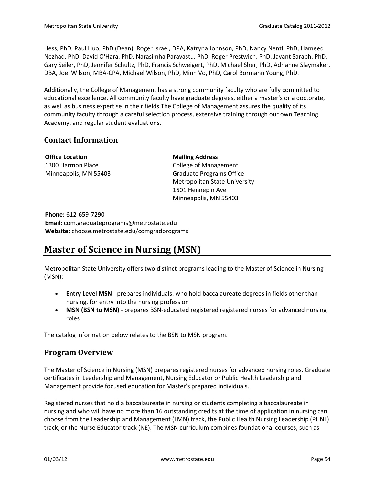Hess, PhD, Paul Huo, PhD (Dean), Roger Israel, DPA, Katryna Johnson, PhD, Nancy Nentl, PhD, Hameed Nezhad, PhD, David O'Hara, PhD, Narasimha Paravastu, PhD, Roger Prestwich, PhD, Jayant Saraph, PhD, Gary Seiler, PhD, Jennifer Schultz, PhD, Francis Schweigert, PhD, Michael Sher, PhD, Adrianne Slaymaker, DBA, Joel Wilson, MBA-CPA, Michael Wilson, PhD, Minh Vo, PhD, Carol Bormann Young, PhD.

Additionally, the College of Management has a strong community faculty who are fully committed to educational excellence. All community faculty have graduate degrees, either a master's or a doctorate, as well as business expertise in their fields.The College of Management assures the quality of its community faculty through a careful selection process, extensive training through our own Teaching Academy, and regular student evaluations.

# **Contact Information**

**Office Location** 1300 Harmon Place Minneapolis, MN 55403

## **Mailing Address**

College of Management Graduate Programs Office Metropolitan State University 1501 Hennepin Ave Minneapolis, MN 55403

**Phone:** 612-659-7290 **Email:** com.graduateprograms@metrostate.edu **Website:** choose.metrostate.edu/comgradprograms

# **Master of Science in Nursing (MSN)**

Metropolitan State University offers two distinct programs leading to the Master of Science in Nursing (MSN):

- **Entry Level MSN** prepares individuals, who hold baccalaureate degrees in fields other than nursing, for entry into the nursing profession
- MSN (BSN to MSN) prepares BSN-educated registered registered nurses for advanced nursing roles

The catalog information below relates to the BSN to MSN program.

# **Program Overview**

The Master of Science in Nursing (MSN) prepares registered nurses for advanced nursing roles. Graduate certificates in Leadership and Management, Nursing Educator or Public Health Leadership and Management provide focused education for Master's prepared individuals.

Registered nurses that hold a baccalaureate in nursing or students completing a baccalaureate in nursing and who will have no more than 16 outstanding credits at the time of application in nursing can choose from the Leadership and Management (LMN) track, the Public Health Nursing Leadership (PHNL) track, or the Nurse Educator track (NE). The MSN curriculum combines foundational courses, such as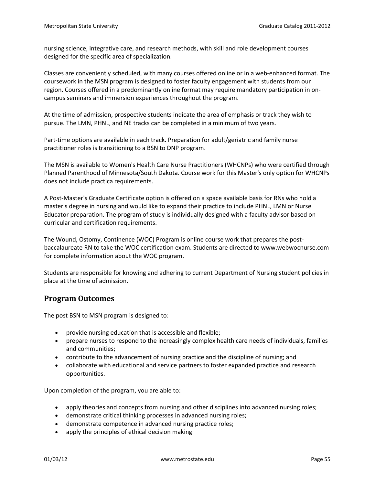nursing science, integrative care, and research methods, with skill and role development courses designed for the specific area of specialization.

Classes are conveniently scheduled, with many courses offered online or in a web-enhanced format. The coursework in the MSN program is designed to foster faculty engagement with students from our region. Courses offered in a predominantly online format may require mandatory participation in oncampus seminars and immersion experiences throughout the program.

At the time of admission, prospective students indicate the area of emphasis or track they wish to pursue. The LMN, PHNL, and NE tracks can be completed in a minimum of two years.

Part-time options are available in each track. Preparation for adult/geriatric and family nurse practitioner roles is transitioning to a BSN to DNP program.

The MSN is available to Women's Health Care Nurse Practitioners (WHCNPs) who were certified through Planned Parenthood of Minnesota/South Dakota. Course work for this Master's only option for WHCNPs does not include practica requirements.

A Post-Master's Graduate Certificate option is offered on a space available basis for RNs who hold a master's degree in nursing and would like to expand their practice to include PHNL, LMN or Nurse Educator preparation. The program of study is individually designed with a faculty advisor based on curricular and certification requirements.

The Wound, Ostomy, Continence (WOC) Program is online course work that prepares the postbaccalaureate RN to take the WOC certification exam. Students are directed to www.webwocnurse.com for complete information about the WOC program.

Students are responsible for knowing and adhering to current Department of Nursing student policies in place at the time of admission.

## **Program Outcomes**

The post BSN to MSN program is designed to:

- provide nursing education that is accessible and flexible;
- prepare nurses to respond to the increasingly complex health care needs of individuals, families and communities;
- contribute to the advancement of nursing practice and the discipline of nursing; and
- collaborate with educational and service partners to foster expanded practice and research opportunities.

Upon completion of the program, you are able to:

- apply theories and concepts from nursing and other disciplines into advanced nursing roles;
- demonstrate critical thinking processes in advanced nursing roles;
- demonstrate competence in advanced nursing practice roles;
- apply the principles of ethical decision making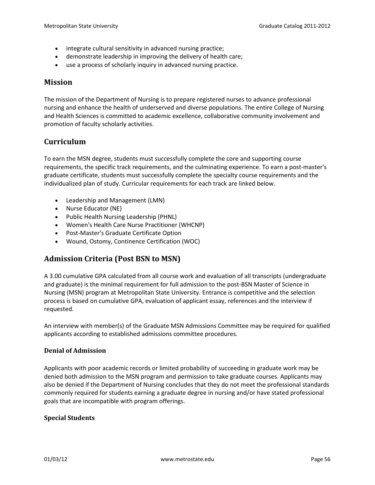- integrate cultural sensitivity in advanced nursing practice;
- demonstrate leadership in improving the delivery of health care;
- use a process of scholarly inquiry in advanced nursing practice.

### **Mission**

The mission of the Department of Nursing is to prepare registered nurses to advance professional nursing and enhance the health of underserved and diverse populations. The entire College of Nursing and Health Sciences is committed to academic excellence, collaborative community involvement and promotion of faculty scholarly activities.

## **Curriculum**

To earn the MSN degree, students must successfully complete the core and supporting course requirements, the specific track requirements, and the culminating experience. To earn a post-master's graduate certificate, students must successfully complete the specialty course requirements and the individualized plan of study. Curricular requirements for each track are linked below.

- Leadership and Management (LMN)
- Nurse Educator (NE)
- Public Health Nursing Leadership (PHNL)
- Women's Health Care Nurse Practitioner (WHCNP)
- Post-Master's Graduate Certificate Option
- Wound, Ostomy, Continence Certification (WOC)

## **Admission Criteria (Post BSN to MSN)**

A 3.00 cumulative GPA calculated from all course work and evaluation of all transcripts (undergraduate and graduate) is the minimal requirement for full admission to the post-BSN Master of Science in Nursing (MSN) program at Metropolitan State University. Entrance is competitive and the selection process is based on cumulative GPA, evaluation of applicant essay, references and the interview if requested.

An interview with member(s) of the Graduate MSN Admissions Committee may be required for qualified applicants according to established admissions committee procedures.

#### **Denial of Admission**

Applicants with poor academic records or limited probability of succeeding in graduate work may be denied both admission to the MSN program and permission to take graduate courses. Applicants may also be denied if the Department of Nursing concludes that they do not meet the professional standards commonly required for students earning a graduate degree in nursing and/or have stated professional goals that are incompatible with program offerings.

#### **Special Students**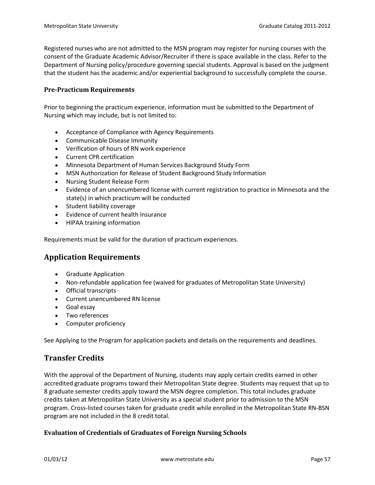Registered nurses who are not admitted to the MSN program may register for nursing courses with the consent of the Graduate Academic Advisor/Recruiter if there is space available in the class. Refer to the Department of Nursing policy/procedure governing special students. Approval is based on the judgment that the student has the academic and/or experiential background to successfully complete the course.

### **Pre-Practicum Requirements**

Prior to beginning the practicum experience, information must be submitted to the Department of Nursing which may include, but is not limited to:

- Acceptance of Compliance with Agency Requirements
- Communicable Disease Immunity
- Verification of hours of RN work experience
- Current CPR certification
- Minnesota Department of Human Services Background Study Form
- MSN Authorization for Release of Student Background Study Information
- Nursing Student Release Form
- Evidence of an unencumbered license with current registration to practice in Minnesota and the state(s) in which practicum will be conducted
- Student liability coverage
- Evidence of current health insurance
- HIPAA training information

Requirements must be valid for the duration of practicum experiences.

# **Application Requirements**

- Graduate Application
- Non-refundable application fee (waived for graduates of Metropolitan State University)
- Official transcripts
- Current unencumbered RN license
- Goal essay
- Two references
- Computer proficiency

See Applying to the Program for application packets and details on the requirements and deadlines.

# **Transfer Credits**

With the approval of the Department of Nursing, students may apply certain credits earned in other accredited graduate programs toward their Metropolitan State degree. Students may request that up to 8 graduate semester credits apply toward the MSN degree completion. This total includes graduate credits taken at Metropolitan State University as a special student prior to admission to the MSN program. Cross-listed courses taken for graduate credit while enrolled in the Metropolitan State RN-BSN program are not included in the 8 credit total.

## **Evaluation of Credentials of Graduates of Foreign Nursing Schools**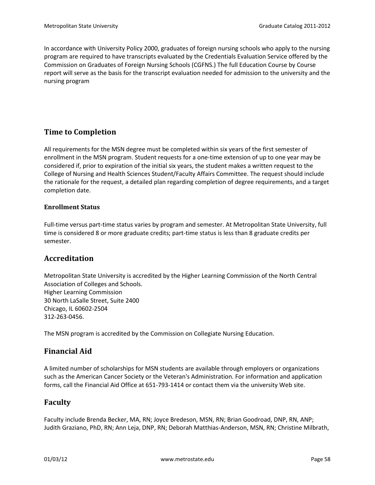In accordance with University Policy 2000, graduates of foreign nursing schools who apply to the nursing program are required to have transcripts evaluated by the Credentials Evaluation Service offered by the Commission on Graduates of Foreign Nursing Schools (CGFNS.) The full Education Course by Course report will serve as the basis for the transcript evaluation needed for admission to the university and the nursing program

# **Time to Completion**

All requirements for the MSN degree must be completed within six years of the first semester of enrollment in the MSN program. Student requests for a one-time extension of up to one year may be considered if, prior to expiration of the initial six years, the student makes a written request to the College of Nursing and Health Sciences Student/Faculty Affairs Committee. The request should include the rationale for the request, a detailed plan regarding completion of degree requirements, and a target completion date.

### **Enrollment Status**

Full-time versus part-time status varies by program and semester. At Metropolitan State University, full time is considered 8 or more graduate credits; part-time status is less than 8 graduate credits per semester.

## **Accreditation**

Metropolitan State University is accredited by the Higher Learning Commission of the North Central Association of Colleges and Schools. Higher Learning Commission 30 North LaSalle Street, Suite 2400 Chicago, IL 60602-2504 312-263-0456.

The MSN program is accredited by the Commission on Collegiate Nursing Education.

## **Financial Aid**

A limited number of scholarships for MSN students are available through employers or organizations such as the American Cancer Society or the Veteran's Administration. For information and application forms, call the Financial Aid Office at 651-793-1414 or contact them via the university Web site.

## **Faculty**

Faculty include Brenda Becker, MA, RN; Joyce Bredeson, MSN, RN; Brian Goodroad, DNP, RN, ANP; Judith Graziano, PhD, RN; Ann Leja, DNP, RN; Deborah Matthias-Anderson, MSN, RN; Christine Milbrath,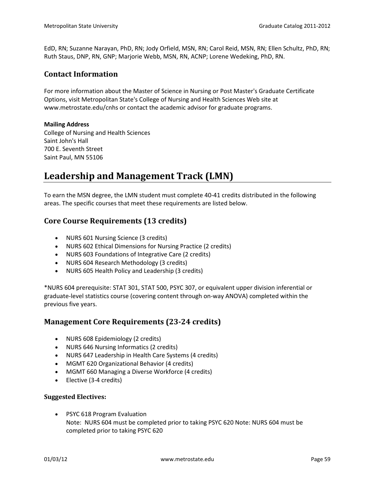EdD, RN; Suzanne Narayan, PhD, RN; Jody Orfield, MSN, RN; Carol Reid, MSN, RN; Ellen Schultz, PhD, RN; Ruth Staus, DNP, RN, GNP; Marjorie Webb, MSN, RN, ACNP; Lorene Wedeking, PhD, RN.

## **Contact Information**

For more information about the Master of Science in Nursing or Post Master's Graduate Certificate Options, visit Metropolitan State's College of Nursing and Health Sciences Web site at www.metrostate.edu/cnhs or contact the academic advisor for graduate programs.

#### **Mailing Address**

College of Nursing and Health Sciences Saint John's Hall 700 E. Seventh Street Saint Paul, MN 55106

# **Leadership and Management Track (LMN)**

To earn the MSN degree, the LMN student must complete 40-41 credits distributed in the following areas. The specific courses that meet these requirements are listed below.

## **Core Course Requirements (13 credits)**

- NURS 601 Nursing Science (3 credits)
- NURS 602 Ethical Dimensions for Nursing Practice (2 credits)
- NURS 603 Foundations of Integrative Care (2 credits)
- NURS 604 Research Methodology (3 credits)
- NURS 605 Health Policy and Leadership (3 credits)

\*NURS 604 prerequisite: STAT 301, STAT 500, PSYC 307, or equivalent upper division inferential or graduate-level statistics course (covering content through on-way ANOVA) completed within the previous five years.

## **Management Core Requirements (23-24 credits)**

- NURS 608 Epidemiology (2 credits)
- NURS 646 Nursing Informatics (2 credits)
- NURS 647 Leadership in Health Care Systems (4 credits)
- MGMT 620 Organizational Behavior (4 credits)
- MGMT 660 Managing a Diverse Workforce (4 credits)
- Elective (3-4 credits)

#### **Suggested Electives:**

• PSYC 618 Program Evaluation Note: NURS 604 must be completed prior to taking PSYC 620 Note: NURS 604 must be completed prior to taking PSYC 620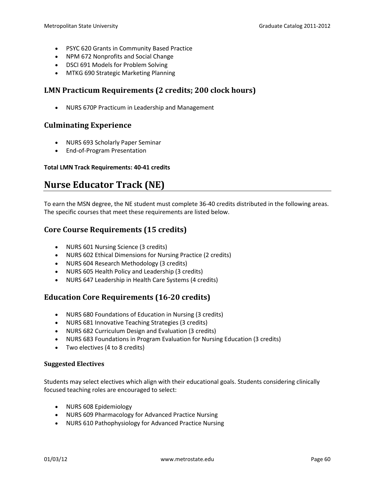- PSYC 620 Grants in Community Based Practice
- NPM 672 Nonprofits and Social Change
- DSCI 691 Models for Problem Solving
- MTKG 690 Strategic Marketing Planning

## **LMN Practicum Requirements (2 credits; 200 clock hours)**

• NURS 670P Practicum in Leadership and Management

## **Culminating Experience**

- NURS 693 Scholarly Paper Seminar
- End-of-Program Presentation

### **Total LMN Track Requirements: 40-41 credits**

# **Nurse Educator Track (NE)**

To earn the MSN degree, the NE student must complete 36-40 credits distributed in the following areas. The specific courses that meet these requirements are listed below.

# **Core Course Requirements (15 credits)**

- NURS 601 Nursing Science (3 credits)
- NURS 602 Ethical Dimensions for Nursing Practice (2 credits)
- NURS 604 Research Methodology (3 credits)
- NURS 605 Health Policy and Leadership (3 credits)
- NURS 647 Leadership in Health Care Systems (4 credits)

# **Education Core Requirements (16-20 credits)**

- NURS 680 Foundations of Education in Nursing (3 credits)
- NURS 681 Innovative Teaching Strategies (3 credits)
- NURS 682 Curriculum Design and Evaluation (3 credits)
- NURS 683 Foundations in Program Evaluation for Nursing Education (3 credits)
- Two electives (4 to 8 credits)

#### **Suggested Electives**

Students may select electives which align with their educational goals. Students considering clinically focused teaching roles are encouraged to select:

- NURS 608 Epidemiology
- NURS 609 Pharmacology for Advanced Practice Nursing
- NURS 610 Pathophysiology for Advanced Practice Nursing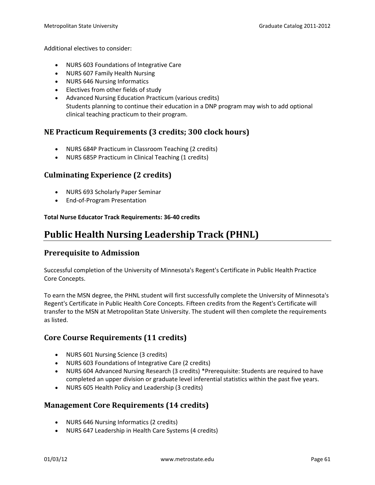Additional electives to consider:

- NURS 603 Foundations of Integrative Care
- NURS 607 Family Health Nursing
- NURS 646 Nursing Informatics
- Electives from other fields of study
- Advanced Nursing Education Practicum (various credits) Students planning to continue their education in a DNP program may wish to add optional clinical teaching practicum to their program.

## **NE Practicum Requirements (3 credits; 300 clock hours)**

- NURS 684P Practicum in Classroom Teaching (2 credits)
- NURS 685P Practicum in Clinical Teaching (1 credits)

## **Culminating Experience (2 credits)**

- NURS 693 Scholarly Paper Seminar
- End-of-Program Presentation

#### **Total Nurse Educator Track Requirements: 36-40 credits**

# **Public Health Nursing Leadership Track (PHNL)**

## **Prerequisite to Admission**

Successful completion of the University of Minnesota's Regent's Certificate in Public Health Practice Core Concepts.

To earn the MSN degree, the PHNL student will first successfully complete the University of Minnesota's Regent's Certificate in Public Health Core Concepts. Fifteen credits from the Regent's Certificate will transfer to the MSN at Metropolitan State University. The student will then complete the requirements as listed.

# **Core Course Requirements (11 credits)**

- NURS 601 Nursing Science (3 credits)
- NURS 603 Foundations of Integrative Care (2 credits)
- NURS 604 Advanced Nursing Research (3 credits) \*Prerequisite: Students are required to have completed an upper division or graduate level inferential statistics within the past five years.
- NURS 605 Health Policy and Leadership (3 credits)

## **Management Core Requirements (14 credits)**

- NURS 646 Nursing Informatics (2 credits)
- NURS 647 Leadership in Health Care Systems (4 credits)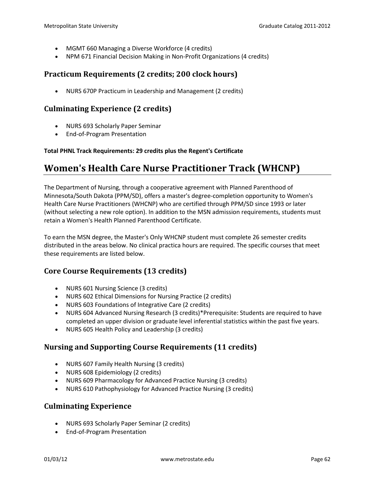- MGMT 660 Managing a Diverse Workforce (4 credits)
- NPM 671 Financial Decision Making in Non-Profit Organizations (4 credits)

## **Practicum Requirements (2 credits; 200 clock hours)**

• NURS 670P Practicum in Leadership and Management (2 credits)

## **Culminating Experience (2 credits)**

- NURS 693 Scholarly Paper Seminar
- End-of-Program Presentation

#### **Total PHNL Track Requirements: 29 credits plus the Regent's Certificate**

# **Women's Health Care Nurse Practitioner Track (WHCNP)**

The Department of Nursing, through a cooperative agreement with Planned Parenthood of Minnesota/South Dakota (PPM/SD), offers a master's degree-completion opportunity to Women's Health Care Nurse Practitioners (WHCNP) who are certified through PPM/SD since 1993 or later (without selecting a new role option). In addition to the MSN admission requirements, students must retain a Women's Health Planned Parenthood Certificate.

To earn the MSN degree, the Master's Only WHCNP student must complete 26 semester credits distributed in the areas below. No clinical practica hours are required. The specific courses that meet these requirements are listed below.

## **Core Course Requirements (13 credits)**

- NURS 601 Nursing Science (3 credits)
- NURS 602 Ethical Dimensions for Nursing Practice (2 credits)
- NURS 603 Foundations of Integrative Care (2 credits)
- NURS 604 Advanced Nursing Research (3 credits)\*Prerequisite: Students are required to have completed an upper division or graduate level inferential statistics within the past five years.
- NURS 605 Health Policy and Leadership (3 credits)

## **Nursing and Supporting Course Requirements (11 credits)**

- NURS 607 Family Health Nursing (3 credits)
- NURS 608 Epidemiology (2 credits)
- NURS 609 Pharmacology for Advanced Practice Nursing (3 credits)
- NURS 610 Pathophysiology for Advanced Practice Nursing (3 credits)

## **Culminating Experience**

- NURS 693 Scholarly Paper Seminar (2 credits)
- End-of-Program Presentation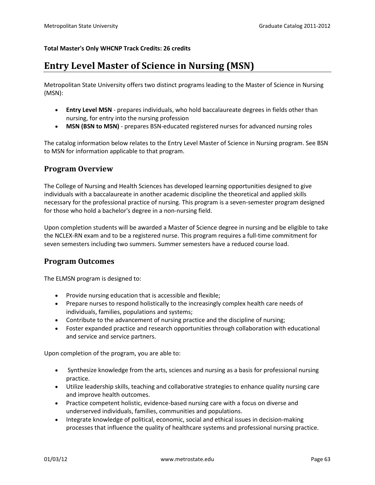#### **Total Master's Only WHCNP Track Credits: 26 credits**

# **Entry Level Master of Science in Nursing (MSN)**

Metropolitan State University offers two distinct programs leading to the Master of Science in Nursing (MSN):

- **Entry Level MSN** prepares individuals, who hold baccalaureate degrees in fields other than nursing, for entry into the nursing profession
- **MSN (BSN to MSN)** prepares BSN-educated registered nurses for advanced nursing roles

The catalog information below relates to the Entry Level Master of Science in Nursing program. See BSN to MSN for information applicable to that program.

## **Program Overview**

The College of Nursing and Health Sciences has developed learning opportunities designed to give individuals with a baccalaureate in another academic discipline the theoretical and applied skills necessary for the professional practice of nursing. This program is a seven-semester program designed for those who hold a bachelor's degree in a non-nursing field.

Upon completion students will be awarded a Master of Science degree in nursing and be eligible to take the NCLEX-RN exam and to be a registered nurse. This program requires a full-time commitment for seven semesters including two summers. Summer semesters have a reduced course load.

## **Program Outcomes**

The ELMSN program is designed to:

- Provide nursing education that is accessible and flexible;
- Prepare nurses to respond holistically to the increasingly complex health care needs of individuals, families, populations and systems;
- Contribute to the advancement of nursing practice and the discipline of nursing;
- Foster expanded practice and research opportunities through collaboration with educational and service and service partners.

Upon completion of the program, you are able to:

- Synthesize knowledge from the arts, sciences and nursing as a basis for professional nursing practice.
- Utilize leadership skills, teaching and collaborative strategies to enhance quality nursing care and improve health outcomes.
- Practice competent holistic, evidence-based nursing care with a focus on diverse and underserved individuals, families, communities and populations.
- Integrate knowledge of political, economic, social and ethical issues in decision-making processes that influence the quality of healthcare systems and professional nursing practice.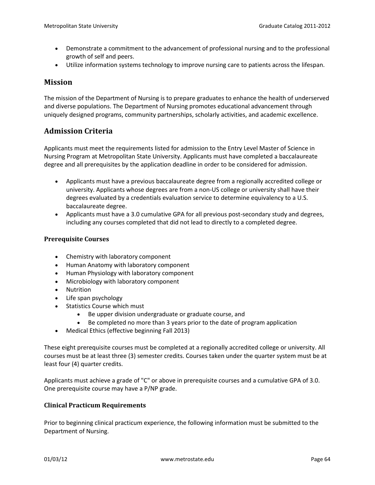- Demonstrate a commitment to the advancement of professional nursing and to the professional growth of self and peers.
- Utilize information systems technology to improve nursing care to patients across the lifespan.

## **Mission**

The mission of the Department of Nursing is to prepare graduates to enhance the health of underserved and diverse populations. The Department of Nursing promotes educational advancement through uniquely designed programs, community partnerships, scholarly activities, and academic excellence.

# **Admission Criteria**

Applicants must meet the requirements listed for admission to the Entry Level Master of Science in Nursing Program at Metropolitan State University. Applicants must have completed a baccalaureate degree and all prerequisites by the application deadline in order to be considered for admission.

- Applicants must have a previous baccalaureate degree from a regionally accredited college or university. Applicants whose degrees are from a non-US college or university shall have their degrees evaluated by a credentials evaluation service to determine equivalency to a U.S. baccalaureate degree.
- Applicants must have a 3.0 cumulative GPA for all previous post-secondary study and degrees, including any courses completed that did not lead to directly to a completed degree.

## **Prerequisite Courses**

- Chemistry with laboratory component
- Human Anatomy with laboratory component
- Human Physiology with laboratory component
- Microbiology with laboratory component
- Nutrition
- Life span psychology
- Statistics Course which must
	- Be upper division undergraduate or graduate course, and
	- Be completed no more than 3 years prior to the date of program application
- Medical Ethics (effective beginning Fall 2013)

These eight prerequisite courses must be completed at a regionally accredited college or university. All courses must be at least three (3) semester credits. Courses taken under the quarter system must be at least four (4) quarter credits.

Applicants must achieve a grade of "C" or above in prerequisite courses and a cumulative GPA of 3.0. One prerequisite course may have a P/NP grade.

## **Clinical Practicum Requirements**

Prior to beginning clinical practicum experience, the following information must be submitted to the Department of Nursing.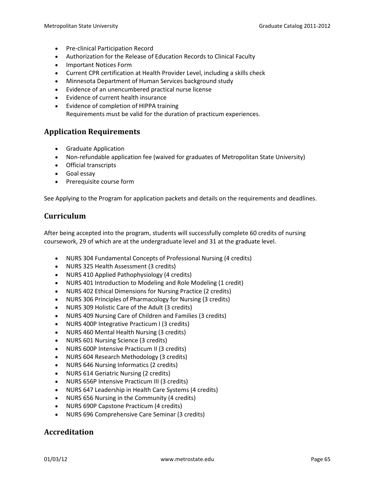- Pre-clinical Participation Record
- Authorization for the Release of Education Records to Clinical Faculty
- Important Notices Form
- Current CPR certification at Health Provider Level, including a skills check
- Minnesota Department of Human Services background study
- Evidence of an unencumbered practical nurse license
- Evidence of current health insurance
- Evidence of completion of HIPPA training Requirements must be valid for the duration of practicum experiences.

## **Application Requirements**

- Graduate Application
- Non-refundable application fee (waived for graduates of Metropolitan State University)
- Official transcripts
- Goal essay
- Prerequisite course form

See Applying to the Program for application packets and details on the requirements and deadlines.

## **Curriculum**

After being accepted into the program, students will successfully complete 60 credits of nursing coursework, 29 of which are at the undergraduate level and 31 at the graduate level.

- NURS 304 Fundamental Concepts of Professional Nursing (4 credits)
- NURS 325 Health Assessment (3 credits)
- NURS 410 Applied Pathophysiology (4 credits)
- NURS 401 Introduction to Modeling and Role Modeling (1 credit)
- NURS 402 Ethical Dimensions for Nursing Practice (2 credits)
- NURS 306 Principles of Pharmacology for Nursing (3 credits)
- NURS 309 Holistic Care of the Adult (3 credits)
- NURS 409 Nursing Care of Children and Families (3 credits)
- NURS 400P Integrative Practicum I (3 credits)
- NURS 460 Mental Health Nursing (3 credits)
- NURS 601 Nursing Science (3 credits)
- NURS 600P Intensive Practicum II (3 credits)
- NURS 604 Research Methodology (3 credits)
- NURS 646 Nursing Informatics (2 credits)
- NURS 614 Geriatric Nursing (2 credits)
- NURS 656P Intensive Practicum III (3 credits)
- NURS 647 Leadership in Health Care Systems (4 credits)
- NURS 656 Nursing in the Community (4 credits)
- NURS 690P Capstone Practicum (4 credits)
- NURS 696 Comprehensive Care Seminar (3 credits)

## **Accreditation**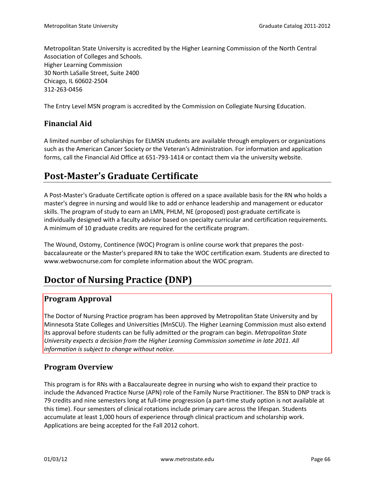Metropolitan State University is accredited by the Higher Learning Commission of the North Central Association of Colleges and Schools. Higher Learning Commission 30 North LaSalle Street, Suite 2400 Chicago, IL 60602-2504 312-263-0456

The Entry Level MSN program is accredited by the Commission on Collegiate Nursing Education.

# **Financial Aid**

A limited number of scholarships for ELMSN students are available through employers or organizations such as the American Cancer Society or the Veteran's Administration. For information and application forms, call the Financial Aid Office at 651-793-1414 or contact them via the university website.

# **Post-Master's Graduate Certificate**

A Post-Master's Graduate Certificate option is offered on a space available basis for the RN who holds a master's degree in nursing and would like to add or enhance leadership and management or educator skills. The program of study to earn an LMN, PHLM, NE (proposed) post-graduate certificate is individually designed with a faculty advisor based on specialty curricular and certification requirements. A minimum of 10 graduate credits are required for the certificate program.

The Wound, Ostomy, Continence (WOC) Program is online course work that prepares the postbaccalaureate or the Master's prepared RN to take the WOC certification exam. Students are directed to www.webwocnurse.com for complete information about the WOC program.

# **Doctor of Nursing Practice (DNP)**

## **Program Approval**

The Doctor of Nursing Practice program has been approved by Metropolitan State University and by Minnesota State Colleges and Universities (MnSCU). The Higher Learning Commission must also extend its approval before students can be fully admitted or the program can begin. *Metropolitan State University expects a decision from the Higher Learning Commission sometime in late 2011. All information is subject to change without notice.*

# **Program Overview**

This program is for RNs with a Baccalaureate degree in nursing who wish to expand their practice to include the Advanced Practice Nurse (APN) role of the Family Nurse Practitioner. The BSN to DNP track is 79 credits and nine semesters long at full-time progression (a part-time study option is not available at this time). Four semesters of clinical rotations include primary care across the lifespan. Students accumulate at least 1,000 hours of experience through clinical practicum and scholarship work. Applications are being accepted for the Fall 2012 cohort.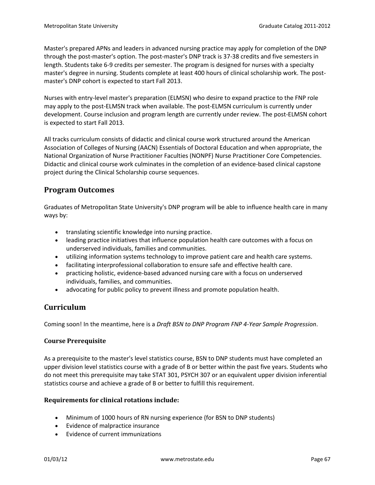Master's prepared APNs and leaders in advanced nursing practice may apply for completion of the DNP through the post-master's option. The post-master's DNP track is 37-38 credits and five semesters in length. Students take 6-9 credits per semester. The program is designed for nurses with a specialty master's degree in nursing. Students complete at least 400 hours of clinical scholarship work. The postmaster's DNP cohort is expected to start Fall 2013.

Nurses with entry-level master's preparation (ELMSN) who desire to expand practice to the FNP role may apply to the post-ELMSN track when available. The post-ELMSN curriculum is currently under development. Course inclusion and program length are currently under review. The post-ELMSN cohort is expected to start Fall 2013.

All tracks curriculum consists of didactic and clinical course work structured around the American Association of Colleges of Nursing (AACN) Essentials of Doctoral Education and when appropriate, the National Organization of Nurse Practitioner Faculties (NONPF) Nurse Practitioner Core Competencies. Didactic and clinical course work culminates in the completion of an evidence-based clinical capstone project during the Clinical Scholarship course sequences.

# **Program Outcomes**

Graduates of Metropolitan State University's DNP program will be able to influence health care in many ways by:

- translating scientific knowledge into nursing practice.
- leading practice initiatives that influence population health care outcomes with a focus on underserved individuals, families and communities.
- utilizing information systems technology to improve patient care and health care systems.
- facilitating interprofessional collaboration to ensure safe and effective health care.
- practicing holistic, evidence-based advanced nursing care with a focus on underserved individuals, families, and communities.
- advocating for public policy to prevent illness and promote population health.

# **Curriculum**

Coming soon! In the meantime, here is a *Draft BSN to DNP Program FNP 4-Year Sample Progression*.

## **Course Prerequisite**

As a prerequisite to the master's level statistics course, BSN to DNP students must have completed an upper division level statistics course with a grade of B or better within the past five years. Students who do not meet this prerequisite may take STAT 301, PSYCH 307 or an equivalent upper division inferential statistics course and achieve a grade of B or better to fulfill this requirement.

## **Requirements for clinical rotations include:**

- Minimum of 1000 hours of RN nursing experience (for BSN to DNP students)
- Evidence of malpractice insurance
- Evidence of current immunizations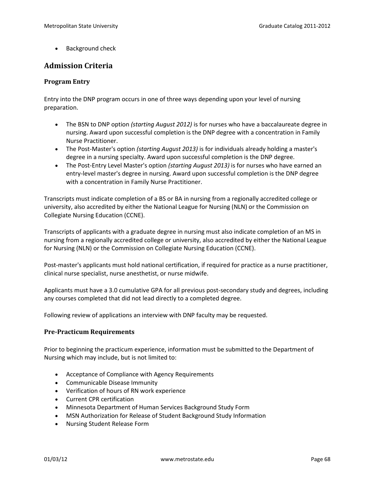• Background check

# **Admission Criteria**

#### **Program Entry**

Entry into the DNP program occurs in one of three ways depending upon your level of nursing preparation.

- The BSN to DNP option *(starting August 2012)* is for nurses who have a baccalaureate degree in nursing. Award upon successful completion is the DNP degree with a concentration in Family Nurse Practitioner.
- The Post-Master's option *(starting August 2013)* is for individuals already holding a master's degree in a nursing specialty. Award upon successful completion is the DNP degree.
- The Post-Entry Level Master's option *(starting August 2013)* is for nurses who have earned an entry-level master's degree in nursing. Award upon successful completion is the DNP degree with a concentration in Family Nurse Practitioner.

Transcripts must indicate completion of a BS or BA in nursing from a regionally accredited college or university, also accredited by either the National League for Nursing (NLN) or the Commission on Collegiate Nursing Education (CCNE).

Transcripts of applicants with a graduate degree in nursing must also indicate completion of an MS in nursing from a regionally accredited college or university, also accredited by either the National League for Nursing (NLN) or the Commission on Collegiate Nursing Education (CCNE).

Post-master's applicants must hold national certification, if required for practice as a nurse practitioner, clinical nurse specialist, nurse anesthetist, or nurse midwife.

Applicants must have a 3.0 cumulative GPA for all previous post-secondary study and degrees, including any courses completed that did not lead directly to a completed degree.

Following review of applications an interview with DNP faculty may be requested.

#### **Pre-Practicum Requirements**

Prior to beginning the practicum experience, information must be submitted to the Department of Nursing which may include, but is not limited to:

- Acceptance of Compliance with Agency Requirements
- Communicable Disease Immunity
- Verification of hours of RN work experience
- Current CPR certification
- Minnesota Department of Human Services Background Study Form
- MSN Authorization for Release of Student Background Study Information
- Nursing Student Release Form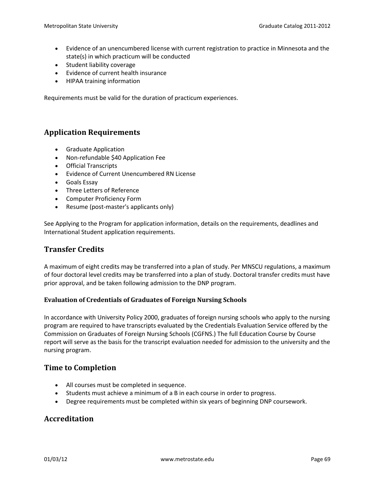- Evidence of an unencumbered license with current registration to practice in Minnesota and the state(s) in which practicum will be conducted
- Student liability coverage
- Evidence of current health insurance
- HIPAA training information

Requirements must be valid for the duration of practicum experiences.

# **Application Requirements**

- Graduate Application
- Non-refundable \$40 Application Fee
- Official Transcripts
- Evidence of Current Unencumbered RN License
- Goals Essay
- Three Letters of Reference
- Computer Proficiency Form
- Resume (post-master's applicants only)

See Applying to the Program for application information, details on the requirements, deadlines and International Student application requirements.

# **Transfer Credits**

A maximum of eight credits may be transferred into a plan of study. Per MNSCU regulations, a maximum of four doctoral level credits may be transferred into a plan of study. Doctoral transfer credits must have prior approval, and be taken following admission to the DNP program.

## **Evaluation of Credentials of Graduates of Foreign Nursing Schools**

In accordance with University Policy 2000, graduates of foreign nursing schools who apply to the nursing program are required to have transcripts evaluated by the Credentials Evaluation Service offered by the Commission on Graduates of Foreign Nursing Schools (CGFNS.) The full Education Course by Course report will serve as the basis for the transcript evaluation needed for admission to the university and the nursing program.

## **Time to Completion**

- All courses must be completed in sequence.
- Students must achieve a minimum of a B in each course in order to progress.
- Degree requirements must be completed within six years of beginning DNP coursework.

# **Accreditation**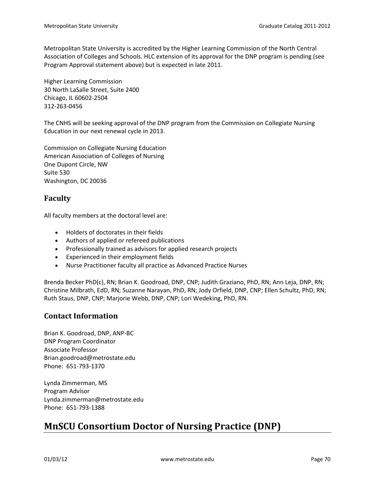Metropolitan State University is accredited by the Higher Learning Commission of the North Central Association of Colleges and Schools. HLC extension of its approval for the DNP program is pending (see Program Approval statement above) but is expected in late 2011.

Higher Learning Commission 30 North LaSalle Street, Suite 2400 Chicago, IL 60602-2504 312-263-0456

The CNHS will be seeking approval of the DNP program from the Commission on Collegiate Nursing Education in our next renewal cycle in 2013.

Commission on Collegiate Nursing Education American Association of Colleges of Nursing One Dupont Circle, NW Suite 530 Washington, DC 20036

# **Faculty**

All faculty members at the doctoral level are:

- Holders of doctorates in their fields
- Authors of applied or refereed publications
- Professionally trained as advisors for applied research projects
- Experienced in their employment fields
- Nurse Practitioner faculty all practice as Advanced Practice Nurses

Brenda Becker PhD(c), RN; Brian K. Goodroad, DNP, CNP; Judith Graziano, PhD, RN; Ann Leja, DNP, RN; Christine Milbrath, EdD, RN; Suzanne Narayan, PhD, RN; Jody Orfield, DNP, CNP; Ellen Schultz, PhD, RN; Ruth Staus, DNP, CNP; Marjorie Webb, DNP, CNP; Lori Wedeking, PhD, RN.

## **Contact Information**

Brian K. Goodroad, DNP, ANP-BC DNP Program Coordinator Associate Professor Brian.goodroad@metrostate.edu Phone: 651-793-1370

Lynda Zimmerman, MS Program Advisor Lynda.zimmerman@metrostate.edu Phone: 651-793-1388

# **MnSCU Consortium Doctor of Nursing Practice (DNP)**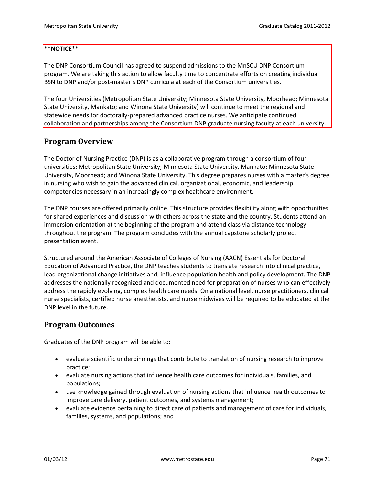#### **\*\*NOTICE\*\***

The DNP Consortium Council has agreed to suspend admissions to the MnSCU DNP Consortium program. We are taking this action to allow faculty time to concentrate efforts on creating individual BSN to DNP and/or post-master's DNP curricula at each of the Consortium universities.

The four Universities (Metropolitan State University; Minnesota State University, Moorhead; Minnesota State University, Mankato; and Winona State University) will continue to meet the regional and statewide needs for doctorally-prepared advanced practice nurses. We anticipate continued collaboration and partnerships among the Consortium DNP graduate nursing faculty at each university.

## **Program Overview**

The Doctor of Nursing Practice (DNP) is as a collaborative program through a consortium of four universities: Metropolitan State University; Minnesota State University, Mankato; Minnesota State University, Moorhead; and Winona State University. This degree prepares nurses with a master's degree in nursing who wish to gain the advanced clinical, organizational, economic, and leadership competencies necessary in an increasingly complex healthcare environment.

The DNP courses are offered primarily online. This structure provides flexibility along with opportunities for shared experiences and discussion with others across the state and the country. Students attend an immersion orientation at the beginning of the program and attend class via distance technology throughout the program. The program concludes with the annual capstone scholarly project presentation event.

Structured around the American Associate of Colleges of Nursing (AACN) Essentials for Doctoral Education of Advanced Practice, the DNP teaches students to translate research into clinical practice, lead organizational change initiatives and, influence population health and policy development. The DNP addresses the nationally recognized and documented need for preparation of nurses who can effectively address the rapidly evolving, complex health care needs. On a national level, nurse practitioners, clinical nurse specialists, certified nurse anesthetists, and nurse midwives will be required to be educated at the DNP level in the future.

## **Program Outcomes**

Graduates of the DNP program will be able to:

- evaluate scientific underpinnings that contribute to translation of nursing research to improve practice;
- evaluate nursing actions that influence health care outcomes for individuals, families, and populations;
- use knowledge gained through evaluation of nursing actions that influence health outcomes to improve care delivery, patient outcomes, and systems management;
- evaluate evidence pertaining to direct care of patients and management of care for individuals, families, systems, and populations; and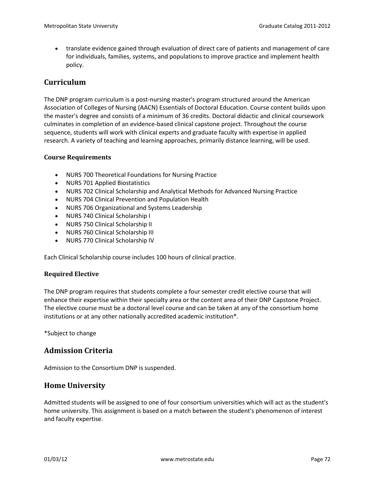• translate evidence gained through evaluation of direct care of patients and management of care for individuals, families, systems, and populations to improve practice and implement health policy.

## **Curriculum**

The DNP program curriculum is a post-nursing master's program structured around the American Association of Colleges of Nursing (AACN) Essentials of Doctoral Education. Course content builds upon the master's degree and consists of a minimum of 36 credits. Doctoral didactic and clinical coursework culminates in completion of an evidence-based clinical capstone project. Throughout the course sequence, students will work with clinical experts and graduate faculty with expertise in applied research. A variety of teaching and learning approaches, primarily distance learning, will be used.

#### **Course Requirements**

- NURS 700 Theoretical Foundations for Nursing Practice
- NURS 701 Applied Biostatistics
- NURS 702 Clinical Scholarship and Analytical Methods for Advanced Nursing Practice
- NURS 704 Clinical Prevention and Population Health
- NURS 706 Organizational and Systems Leadership
- NURS 740 Clinical Scholarship I
- NURS 750 Clinical Scholarship II
- NURS 760 Clinical Scholarship III
- NURS 770 Clinical Scholarship IV

Each Clinical Scholarship course includes 100 hours of clinical practice.

#### **Required Elective**

The DNP program requires that students complete a four semester credit elective course that will enhance their expertise within their specialty area or the content area of their DNP Capstone Project. The elective course must be a doctoral level course and can be taken at any of the consortium home institutions or at any other nationally accredited academic institution\*.

\*Subject to change

## **Admission Criteria**

Admission to the Consortium DNP is suspended.

## **Home University**

Admitted students will be assigned to one of four consortium universities which will act as the student's home university. This assignment is based on a match between the student's phenomenon of interest and faculty expertise.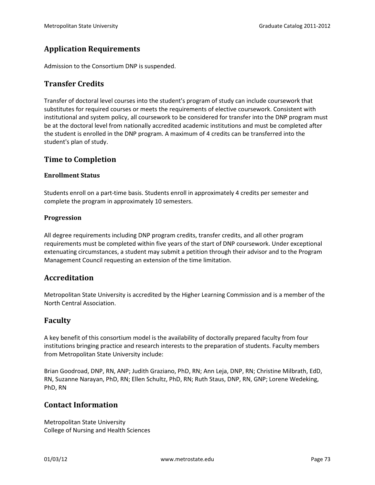# **Application Requirements**

Admission to the Consortium DNP is suspended.

### **Transfer Credits**

Transfer of doctoral level courses into the student's program of study can include coursework that substitutes for required courses or meets the requirements of elective coursework. Consistent with institutional and system policy, all coursework to be considered for transfer into the DNP program must be at the doctoral level from nationally accredited academic institutions and must be completed after the student is enrolled in the DNP program. A maximum of 4 credits can be transferred into the student's plan of study.

### **Time to Completion**

### **Enrollment Status**

Students enroll on a part-time basis. Students enroll in approximately 4 credits per semester and complete the program in approximately 10 semesters.

### **Progression**

All degree requirements including DNP program credits, transfer credits, and all other program requirements must be completed within five years of the start of DNP coursework. Under exceptional extenuating circumstances, a student may submit a petition through their advisor and to the Program Management Council requesting an extension of the time limitation.

### **Accreditation**

Metropolitan State University is accredited by the Higher Learning Commission and is a member of the North Central Association.

### **Faculty**

A key benefit of this consortium model is the availability of doctorally prepared faculty from four institutions bringing practice and research interests to the preparation of students. Faculty members from Metropolitan State University include:

Brian Goodroad, DNP, RN, ANP; Judith Graziano, PhD, RN; Ann Leja, DNP, RN; Christine Milbrath, EdD, RN, Suzanne Narayan, PhD, RN; Ellen Schultz, PhD, RN; Ruth Staus, DNP, RN, GNP; Lorene Wedeking, PhD, RN

### **Contact Information**

Metropolitan State University College of Nursing and Health Sciences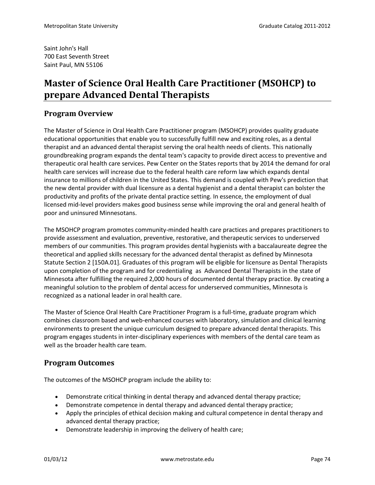Saint John's Hall 700 East Seventh Street Saint Paul, MN 55106

# **Master of Science Oral Health Care Practitioner (MSOHCP) to prepare Advanced Dental Therapists**

# **Program Overview**

The Master of Science in Oral Health Care Practitioner program (MSOHCP) provides quality graduate educational opportunities that enable you to successfully fulfill new and exciting roles, as a dental therapist and an advanced dental therapist serving the oral health needs of clients. This nationally groundbreaking program expands the dental team's capacity to provide direct access to preventive and therapeutic oral health care services. Pew Center on the States reports that by 2014 the demand for oral health care services will increase due to the federal health care reform law which expands dental insurance to millions of children in the United States. This demand is coupled with Pew's prediction that the new dental provider with dual licensure as a dental hygienist and a dental therapist can bolster the productivity and profits of the private dental practice setting. In essence, the employment of dual licensed mid-level providers makes good business sense while improving the oral and general health of poor and uninsured Minnesotans.

The MSOHCP program promotes community-minded health care practices and prepares practitioners to provide assessment and evaluation, preventive, restorative, and therapeutic services to underserved members of our communities. This program provides dental hygienists with a baccalaureate degree the theoretical and applied skills necessary for the advanced dental therapist as defined by Minnesota Statute Section 2 [150A.01]. Graduates of this program will be eligible for licensure as Dental Therapists upon completion of the program and for credentialing as Advanced Dental Therapists in the state of Minnesota after fulfilling the required 2,000 hours of documented dental therapy practice. By creating a meaningful solution to the problem of dental access for underserved communities, Minnesota is recognized as a national leader in oral health care.

The Master of Science Oral Health Care Practitioner Program is a full-time, graduate program which combines classroom based and web-enhanced courses with laboratory, simulation and clinical learning environments to present the unique curriculum designed to prepare advanced dental therapists. This program engages students in inter-disciplinary experiences with members of the dental care team as well as the broader health care team.

# **Program Outcomes**

The outcomes of the MSOHCP program include the ability to:

- Demonstrate critical thinking in dental therapy and advanced dental therapy practice;
- Demonstrate competence in dental therapy and advanced dental therapy practice;
- Apply the principles of ethical decision making and cultural competence in dental therapy and advanced dental therapy practice;
- Demonstrate leadership in improving the delivery of health care;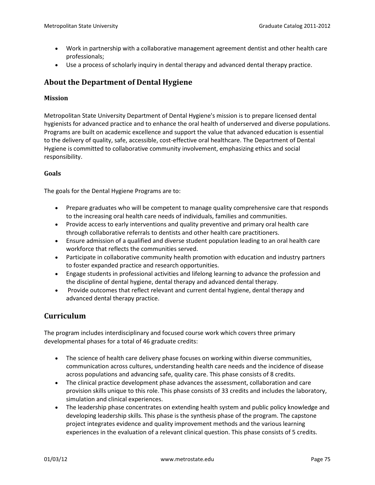- Work in partnership with a collaborative management agreement dentist and other health care professionals;
- Use a process of scholarly inquiry in dental therapy and advanced dental therapy practice.

# **About the Department of Dental Hygiene**

### **Mission**

Metropolitan State University Department of Dental Hygiene's mission is to prepare licensed dental hygienists for advanced practice and to enhance the oral health of underserved and diverse populations. Programs are built on academic excellence and support the value that advanced education is essential to the delivery of quality, safe, accessible, cost-effective oral healthcare. The Department of Dental Hygiene is committed to collaborative community involvement, emphasizing ethics and social responsibility.

### **Goals**

The goals for the Dental Hygiene Programs are to:

- Prepare graduates who will be competent to manage quality comprehensive care that responds to the increasing oral health care needs of individuals, families and communities.
- Provide access to early interventions and quality preventive and primary oral health care through collaborative referrals to dentists and other health care practitioners.
- Ensure admission of a qualified and diverse student population leading to an oral health care workforce that reflects the communities served.
- Participate in collaborative community health promotion with education and industry partners to foster expanded practice and research opportunities.
- Engage students in professional activities and lifelong learning to advance the profession and the discipline of dental hygiene, dental therapy and advanced dental therapy.
- Provide outcomes that reflect relevant and current dental hygiene, dental therapy and advanced dental therapy practice.

# **Curriculum**

The program includes interdisciplinary and focused course work which covers three primary developmental phases for a total of 46 graduate credits:

- The science of health care delivery phase focuses on working within diverse communities, communication across cultures, understanding health care needs and the incidence of disease across populations and advancing safe, quality care. This phase consists of 8 credits.
- The clinical practice development phase advances the assessment, collaboration and care provision skills unique to this role. This phase consists of 33 credits and includes the laboratory, simulation and clinical experiences.
- The leadership phase concentrates on extending health system and public policy knowledge and developing leadership skills. This phase is the synthesis phase of the program. The capstone project integrates evidence and quality improvement methods and the various learning experiences in the evaluation of a relevant clinical question. This phase consists of 5 credits.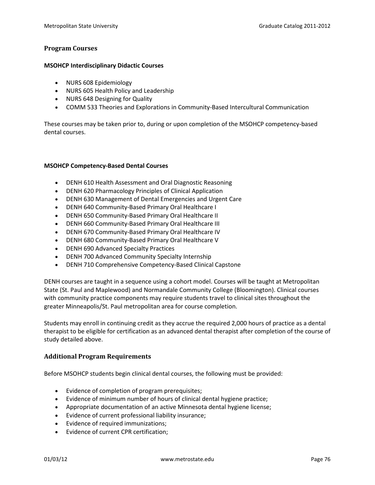#### **Program Courses**

#### **MSOHCP Interdisciplinary Didactic Courses**

- NURS 608 Epidemiology
- NURS 605 Health Policy and Leadership
- NURS 648 Designing for Quality
- COMM 533 Theories and Explorations in Community-Based Intercultural Communication

These courses may be taken prior to, during or upon completion of the MSOHCP competency-based dental courses.

#### **MSOHCP Competency-Based Dental Courses**

- DENH 610 Health Assessment and Oral Diagnostic Reasoning
- DENH 620 Pharmacology Principles of Clinical Application
- DENH 630 Management of Dental Emergencies and Urgent Care
- DENH 640 Community-Based Primary Oral Healthcare I
- DENH 650 Community-Based Primary Oral Healthcare II
- DENH 660 Community-Based Primary Oral Healthcare III
- DENH 670 Community-Based Primary Oral Healthcare IV
- DENH 680 Community-Based Primary Oral Healthcare V
- DENH 690 Advanced Specialty Practices
- DENH 700 Advanced Community Specialty Internship
- DENH 710 Comprehensive Competency-Based Clinical Capstone

DENH courses are taught in a sequence using a cohort model. Courses will be taught at Metropolitan State (St. Paul and Maplewood) and Normandale Community College (Bloomington). Clinical courses with community practice components may require students travel to clinical sites throughout the greater Minneapolis/St. Paul metropolitan area for course completion.

Students may enroll in continuing credit as they accrue the required 2,000 hours of practice as a dental therapist to be eligible for certification as an advanced dental therapist after completion of the course of study detailed above.

#### **Additional Program Requirements**

Before MSOHCP students begin clinical dental courses, the following must be provided:

- Evidence of completion of program prerequisites;
- Evidence of minimum number of hours of clinical dental hygiene practice;
- Appropriate documentation of an active Minnesota dental hygiene license;
- Evidence of current professional liability insurance;
- Evidence of required immunizations;
- Evidence of current CPR certification;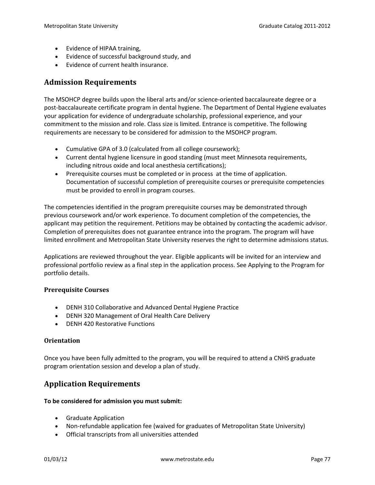- Evidence of HIPAA training,
- Evidence of successful background study, and
- Evidence of current health insurance.

### **Admission Requirements**

The MSOHCP degree builds upon the liberal arts and/or science-oriented baccalaureate degree or a post-baccalaureate certificate program in dental hygiene. The Department of Dental Hygiene evaluates your application for evidence of undergraduate scholarship, professional experience, and your commitment to the mission and role. Class size is limited. Entrance is competitive. The following requirements are necessary to be considered for admission to the MSOHCP program.

- Cumulative GPA of 3.0 (calculated from all college coursework);
- Current dental hygiene licensure in good standing (must meet Minnesota requirements, including nitrous oxide and local anesthesia certifications);
- Prerequisite courses must be completed or in process at the time of application. Documentation of successful completion of prerequisite courses or prerequisite competencies must be provided to enroll in program courses.

The competencies identified in the program prerequisite courses may be demonstrated through previous coursework and/or work experience. To document completion of the competencies, the applicant may petition the requirement. Petitions may be obtained by contacting the academic advisor. Completion of prerequisites does not guarantee entrance into the program. The program will have limited enrollment and Metropolitan State University reserves the right to determine admissions status.

Applications are reviewed throughout the year. Eligible applicants will be invited for an interview and professional portfolio review as a final step in the application process. See Applying to the Program for portfolio details.

### **Prerequisite Courses**

- DENH 310 Collaborative and Advanced Dental Hygiene Practice
- DENH 320 Management of Oral Health Care Delivery
- DENH 420 Restorative Functions

### **Orientation**

Once you have been fully admitted to the program, you will be required to attend a CNHS graduate program orientation session and develop a plan of study.

# **Application Requirements**

### **To be considered for admission you must submit:**

- Graduate Application
- Non-refundable application fee (waived for graduates of Metropolitan State University)
- Official transcripts from all universities attended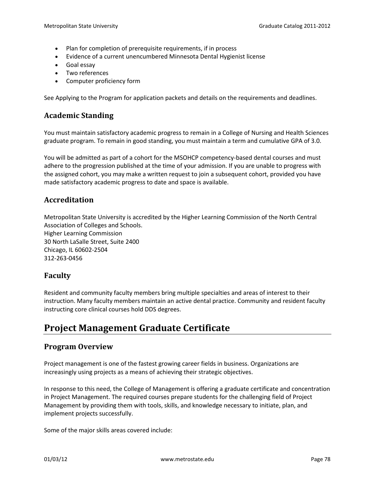- Plan for completion of prerequisite requirements, if in process
- Evidence of a current unencumbered Minnesota Dental Hygienist license
- Goal essay
- Two references
- Computer proficiency form

See Applying to the Program for application packets and details on the requirements and deadlines.

### **Academic Standing**

You must maintain satisfactory academic progress to remain in a College of Nursing and Health Sciences graduate program. To remain in good standing, you must maintain a term and cumulative GPA of 3.0.

You will be admitted as part of a cohort for the MSOHCP competency-based dental courses and must adhere to the progression published at the time of your admission. If you are unable to progress with the assigned cohort, you may make a written request to join a subsequent cohort, provided you have made satisfactory academic progress to date and space is available.

# **Accreditation**

Metropolitan State University is accredited by the Higher Learning Commission of the North Central Association of Colleges and Schools. Higher Learning Commission 30 North LaSalle Street, Suite 2400 Chicago, IL 60602-2504 312-263-0456

### **Faculty**

Resident and community faculty members bring multiple specialties and areas of interest to their instruction. Many faculty members maintain an active dental practice. Community and resident faculty instructing core clinical courses hold DDS degrees.

# **Project Management Graduate Certificate**

### **Program Overview**

Project management is one of the fastest growing career fields in business. Organizations are increasingly using projects as a means of achieving their strategic objectives.

In response to this need, the College of Management is offering a graduate certificate and concentration in Project Management. The required courses prepare students for the challenging field of Project Management by providing them with tools, skills, and knowledge necessary to initiate, plan, and implement projects successfully.

Some of the major skills areas covered include: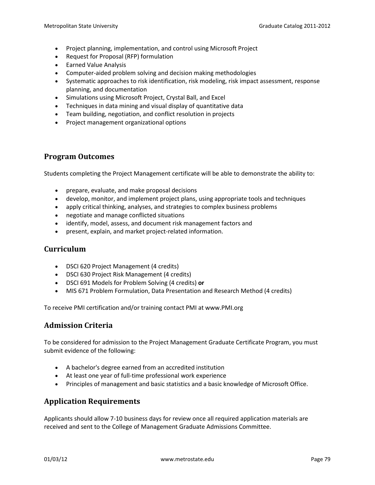- Project planning, implementation, and control using Microsoft Project
- Request for Proposal (RFP) formulation
- Earned Value Analysis
- Computer-aided problem solving and decision making methodologies
- Systematic approaches to risk identification, risk modeling, risk impact assessment, response planning, and documentation
- Simulations using Microsoft Project, Crystal Ball, and Excel
- Techniques in data mining and visual display of quantitative data
- Team building, negotiation, and conflict resolution in projects
- Project management organizational options

### **Program Outcomes**

Students completing the Project Management certificate will be able to demonstrate the ability to:

- prepare, evaluate, and make proposal decisions
- develop, monitor, and implement project plans, using appropriate tools and techniques
- apply critical thinking, analyses, and strategies to complex business problems
- negotiate and manage conflicted situations
- identify, model, assess, and document risk management factors and
- present, explain, and market project-related information.

### **Curriculum**

- DSCI 620 Project Management (4 credits)
- DSCI 630 Project Risk Management (4 credits)
- DSCI 691 Models for Problem Solving (4 credits) **or**
- MIS 671 Problem Formulation, Data Presentation and Research Method (4 credits)

To receive PMI certification and/or training contact PMI at www.PMI.org

### **Admission Criteria**

To be considered for admission to the Project Management Graduate Certificate Program, you must submit evidence of the following:

- A bachelor's degree earned from an accredited institution
- At least one year of full-time professional work experience
- Principles of management and basic statistics and a basic knowledge of Microsoft Office.

# **Application Requirements**

Applicants should allow 7-10 business days for review once all required application materials are received and sent to the College of Management Graduate Admissions Committee.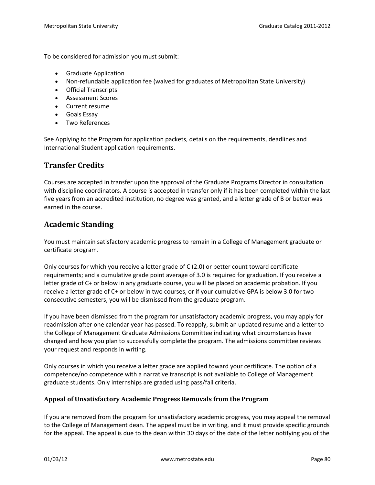To be considered for admission you must submit:

- Graduate Application
- Non-refundable application fee (waived for graduates of Metropolitan State University)
- Official Transcripts
- Assessment Scores
- Current resume
- Goals Essay
- Two References

See Applying to the Program for application packets, details on the requirements, deadlines and International Student application requirements.

# **Transfer Credits**

Courses are accepted in transfer upon the approval of the Graduate Programs Director in consultation with discipline coordinators. A course is accepted in transfer only if it has been completed within the last five years from an accredited institution, no degree was granted, and a letter grade of B or better was earned in the course.

# **Academic Standing**

You must maintain satisfactory academic progress to remain in a College of Management graduate or certificate program.

Only courses for which you receive a letter grade of C (2.0) or better count toward certificate requirements; and a cumulative grade point average of 3.0 is required for graduation. If you receive a letter grade of C+ or below in any graduate course, you will be placed on academic probation. If you receive a letter grade of C+ or below in two courses, or if your cumulative GPA is below 3.0 for two consecutive semesters, you will be dismissed from the graduate program.

If you have been dismissed from the program for unsatisfactory academic progress, you may apply for readmission after one calendar year has passed. To reapply, submit an updated resume and a letter to the College of Management Graduate Admissions Committee indicating what circumstances have changed and how you plan to successfully complete the program. The admissions committee reviews your request and responds in writing.

Only courses in which you receive a letter grade are applied toward your certificate. The option of a competence/no competence with a narrative transcript is not available to College of Management graduate students. Only internships are graded using pass/fail criteria.

### **Appeal of Unsatisfactory Academic Progress Removals from the Program**

If you are removed from the program for unsatisfactory academic progress, you may appeal the removal to the College of Management dean. The appeal must be in writing, and it must provide specific grounds for the appeal. The appeal is due to the dean within 30 days of the date of the letter notifying you of the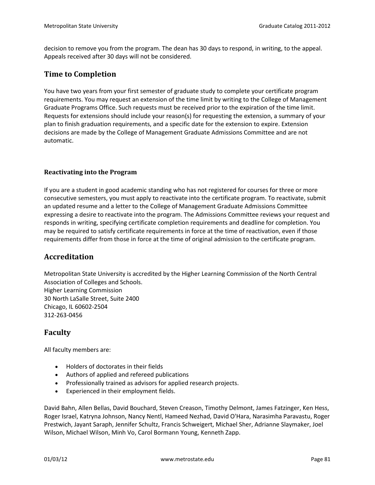decision to remove you from the program. The dean has 30 days to respond, in writing, to the appeal. Appeals received after 30 days will not be considered.

### **Time to Completion**

You have two years from your first semester of graduate study to complete your certificate program requirements. You may request an extension of the time limit by writing to the College of Management Graduate Programs Office. Such requests must be received prior to the expiration of the time limit. Requests for extensions should include your reason(s) for requesting the extension, a summary of your plan to finish graduation requirements, and a specific date for the extension to expire. Extension decisions are made by the College of Management Graduate Admissions Committee and are not automatic.

### **Reactivating into the Program**

If you are a student in good academic standing who has not registered for courses for three or more consecutive semesters, you must apply to reactivate into the certificate program. To reactivate, submit an updated resume and a letter to the College of Management Graduate Admissions Committee expressing a desire to reactivate into the program. The Admissions Committee reviews your request and responds in writing, specifying certificate completion requirements and deadline for completion. You may be required to satisfy certificate requirements in force at the time of reactivation, even if those requirements differ from those in force at the time of original admission to the certificate program.

### **Accreditation**

Metropolitan State University is accredited by the Higher Learning Commission of the North Central Association of Colleges and Schools. Higher Learning Commission 30 North LaSalle Street, Suite 2400 Chicago, IL 60602-2504 312-263-0456

### **Faculty**

All faculty members are:

- Holders of doctorates in their fields
- Authors of applied and refereed publications
- Professionally trained as advisors for applied research projects.
- Experienced in their employment fields.

David Bahn, Allen Bellas, David Bouchard, Steven Creason, Timothy Delmont, James Fatzinger, Ken Hess, Roger Israel, Katryna Johnson, Nancy Nentl, Hameed Nezhad, David O'Hara, Narasimha Paravastu, Roger Prestwich, Jayant Saraph, Jennifer Schultz, Francis Schweigert, Michael Sher, Adrianne Slaymaker, Joel Wilson, Michael Wilson, Minh Vo, Carol Bormann Young, Kenneth Zapp.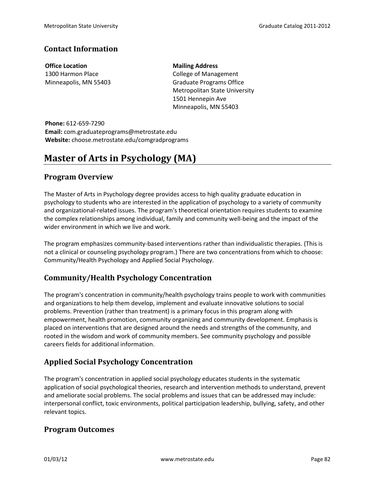### **Contact Information**

**Office Location** 1300 Harmon Place Minneapolis, MN 55403 **Mailing Address** College of Management Graduate Programs Office Metropolitan State University 1501 Hennepin Ave Minneapolis, MN 55403

**Phone:** 612-659-7290 **Email:** com.graduateprograms@metrostate.edu **Website:** choose.metrostate.edu/comgradprograms

# **Master of Arts in Psychology (MA)**

### **Program Overview**

The Master of Arts in Psychology degree provides access to high quality graduate education in psychology to students who are interested in the application of psychology to a variety of community and organizational-related issues. The program's theoretical orientation requires students to examine the complex relationships among individual, family and community well-being and the impact of the wider environment in which we live and work.

The program emphasizes community-based interventions rather than individualistic therapies. (This is not a clinical or counseling psychology program.) There are two concentrations from which to choose: Community/Health Psychology and Applied Social Psychology.

# **Community/Health Psychology Concentration**

The program's concentration in community/health psychology trains people to work with communities and organizations to help them develop, implement and evaluate innovative solutions to social problems. Prevention (rather than treatment) is a primary focus in this program along with empowerment, health promotion, community organizing and community development. Emphasis is placed on interventions that are designed around the needs and strengths of the community, and rooted in the wisdom and work of community members. See community psychology and possible careers fields for additional information.

# **Applied Social Psychology Concentration**

The program's concentration in applied social psychology educates students in the systematic application of social psychological theories, research and intervention methods to understand, prevent and ameliorate social problems. The social problems and issues that can be addressed may include: interpersonal conflict, toxic environments, political participation leadership, bullying, safety, and other relevant topics.

### **Program Outcomes**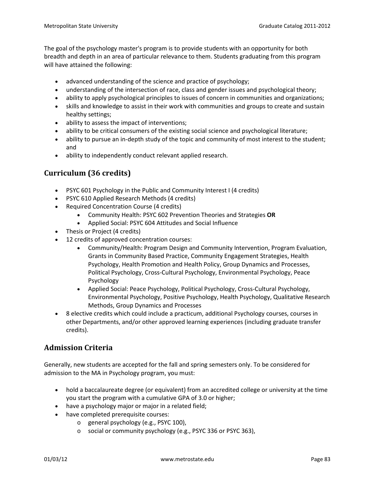The goal of the psychology master's program is to provide students with an opportunity for both breadth and depth in an area of particular relevance to them. Students graduating from this program will have attained the following:

- advanced understanding of the science and practice of psychology;
- understanding of the intersection of race, class and gender issues and psychological theory;
- ability to apply psychological principles to issues of concern in communities and organizations;
- skills and knowledge to assist in their work with communities and groups to create and sustain healthy settings;
- ability to assess the impact of interventions;
- ability to be critical consumers of the existing social science and psychological literature;
- ability to pursue an in-depth study of the topic and community of most interest to the student; and
- ability to independently conduct relevant applied research.

# **Curriculum (36 credits)**

- PSYC 601 Psychology in the Public and Community Interest I (4 credits)
- PSYC 610 Applied Research Methods (4 credits)
- Required Concentration Course (4 credits)
	- Community Health: PSYC 602 Prevention Theories and Strategies **OR**
	- Applied Social: PSYC 604 Attitudes and Social Influence
- Thesis or Project (4 credits)
- 12 credits of approved concentration courses:
	- Community/Health: Program Design and Community Intervention, Program Evaluation, Grants in Community Based Practice, Community Engagement Strategies, Health Psychology, Health Promotion and Health Policy, Group Dynamics and Processes, Political Psychology, Cross-Cultural Psychology, Environmental Psychology, Peace Psychology
	- Applied Social: Peace Psychology, Political Psychology, Cross-Cultural Psychology, Environmental Psychology, Positive Psychology, Health Psychology, Qualitative Research Methods, Group Dynamics and Processes
- 8 elective credits which could include a practicum, additional Psychology courses, courses in other Departments, and/or other approved learning experiences (including graduate transfer credits).

# **Admission Criteria**

Generally, new students are accepted for the fall and spring semesters only. To be considered for admission to the MA in Psychology program, you must:

- hold a baccalaureate degree (or equivalent) from an accredited college or university at the time you start the program with a cumulative GPA of 3.0 or higher;
- have a psychology major or major in a related field;
- have completed prerequisite courses:
	- o general psychology (e.g., PSYC 100),
	- o social or community psychology (e.g., PSYC 336 or PSYC 363),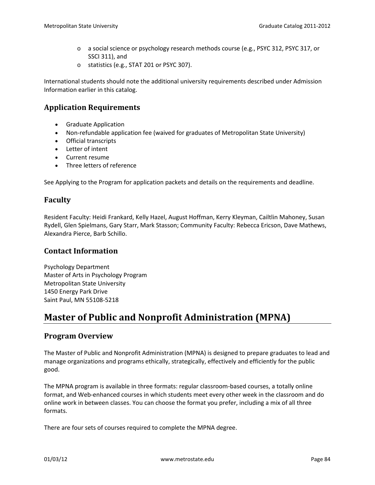- o a social science or psychology research methods course (e.g., PSYC 312, PSYC 317, or SSCI 311), and
- o statistics (e.g., STAT 201 or PSYC 307).

International students should note the additional university requirements described under Admission Information earlier in this catalog.

# **Application Requirements**

- Graduate Application
- Non-refundable application fee (waived for graduates of Metropolitan State University)
- Official transcripts
- Letter of intent
- Current resume
- Three letters of reference

See Applying to the Program for application packets and details on the requirements and deadline.

### **Faculty**

Resident Faculty: Heidi Frankard, Kelly Hazel, August Hoffman, Kerry Kleyman, Cailtlin Mahoney, Susan Rydell, Glen Spielmans, Gary Starr, Mark Stasson; Community Faculty: Rebecca Ericson, Dave Mathews, Alexandra Pierce, Barb Schillo.

### **Contact Information**

Psychology Department Master of Arts in Psychology Program Metropolitan State University 1450 Energy Park Drive Saint Paul, MN 55108-5218

# **Master of Public and Nonprofit Administration (MPNA)**

### **Program Overview**

The Master of Public and Nonprofit Administration (MPNA) is designed to prepare graduates to lead and manage organizations and programs ethically, strategically, effectively and efficiently for the public good.

The MPNA program is available in three formats: regular classroom-based courses, a totally online format, and Web-enhanced courses in which students meet every other week in the classroom and do online work in between classes. You can choose the format you prefer, including a mix of all three formats.

There are four sets of courses required to complete the MPNA degree.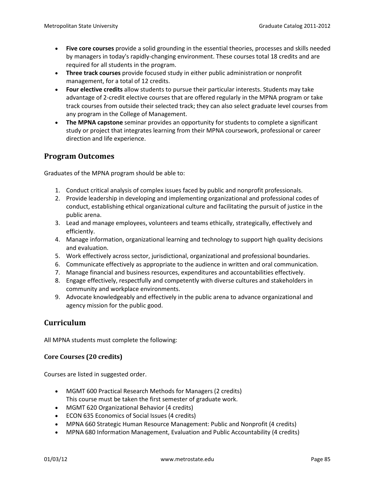- **Five core courses** provide a solid grounding in the essential theories, processes and skills needed by managers in today's rapidly-changing environment. These courses total 18 credits and are required for all students in the program.
- **Three track courses** provide focused study in either public administration or nonprofit management, for a total of 12 credits.
- **Four elective credits** allow students to pursue their particular interests. Students may take advantage of 2-credit elective courses that are offered regularly in the MPNA program or take track courses from outside their selected track; they can also select graduate level courses from any program in the College of Management.
- **The MPNA capstone** seminar provides an opportunity for students to complete a significant study or project that integrates learning from their MPNA coursework, professional or career direction and life experience.

### **Program Outcomes**

Graduates of the MPNA program should be able to:

- 1. Conduct critical analysis of complex issues faced by public and nonprofit professionals.
- 2. Provide leadership in developing and implementing organizational and professional codes of conduct, establishing ethical organizational culture and facilitating the pursuit of justice in the public arena.
- 3. Lead and manage employees, volunteers and teams ethically, strategically, effectively and efficiently.
- 4. Manage information, organizational learning and technology to support high quality decisions and evaluation.
- 5. Work effectively across sector, jurisdictional, organizational and professional boundaries.
- 6. Communicate effectively as appropriate to the audience in written and oral communication.
- 7. Manage financial and business resources, expenditures and accountabilities effectively.
- 8. Engage effectively, respectfully and competently with diverse cultures and stakeholders in community and workplace environments.
- 9. Advocate knowledgeably and effectively in the public arena to advance organizational and agency mission for the public good.

# **Curriculum**

All MPNA students must complete the following:

### **Core Courses (20 credits)**

Courses are listed in suggested order.

- MGMT 600 Practical Research Methods for Managers (2 credits) This course must be taken the first semester of graduate work.
- MGMT 620 Organizational Behavior (4 credits)
- ECON 635 Economics of Social Issues (4 credits)
- MPNA 660 Strategic Human Resource Management: Public and Nonprofit (4 credits)
- MPNA 680 Information Management, Evaluation and Public Accountability (4 credits)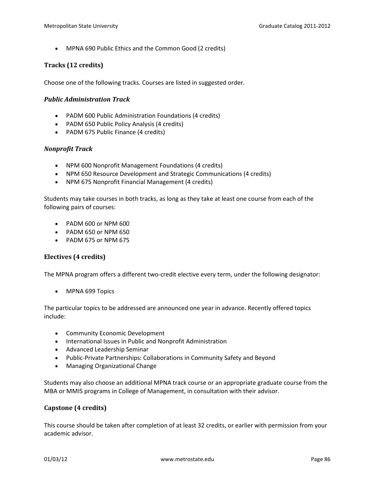• MPNA 690 Public Ethics and the Common Good (2 credits)

### **Tracks (12 credits)**

Choose one of the following tracks. Courses are listed in suggested order.

#### *Public Administration Track*

- PADM 600 Public Administration Foundations (4 credits)
- PADM 650 Public Policy Analysis (4 credits)
- PADM 675 Public Finance (4 credits)

#### *Nonprofit Track*

- NPM 600 Nonprofit Management Foundations (4 credits)
- NPM 650 Resource Development and Strategic Communications (4 credits)
- NPM 675 Nonprofit Financial Management (4 credits)

Students may take courses in both tracks, as long as they take at least one course from each of the following pairs of courses:

- PADM 600 or NPM 600
- PADM 650 or NPM 650
- PADM 675 or NPM 675

### **Electives (4 credits)**

The MPNA program offers a different two-credit elective every term, under the following designator:

• MPNA 699 Topics

The particular topics to be addressed are announced one year in advance. Recently offered topics include:

- Community Economic Development
- International Issues in Public and Nonprofit Administration
- Advanced Leadership Seminar
- Public-Private Partnerships: Collaborations in Community Safety and Beyond
- Managing Organizational Change

Students may also choose an additional MPNA track course or an appropriate graduate course from the MBA or MMIS programs in College of Management, in consultation with their advisor.

### **Capstone (4 credits)**

This course should be taken after completion of at least 32 credits, or earlier with permission from your academic advisor.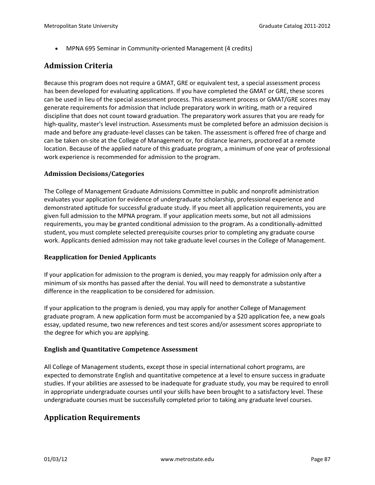• MPNA 695 Seminar in Community-oriented Management (4 credits)

# **Admission Criteria**

Because this program does not require a GMAT, GRE or equivalent test, a special assessment process has been developed for evaluating applications. If you have completed the GMAT or GRE, these scores can be used in lieu of the special assessment process. This assessment process or GMAT/GRE scores may generate requirements for admission that include preparatory work in writing, math or a required discipline that does not count toward graduation. The preparatory work assures that you are ready for high-quality, master's level instruction. Assessments must be completed before an admission decision is made and before any graduate-level classes can be taken. The assessment is offered free of charge and can be taken on-site at the College of Management or, for distance learners, proctored at a remote location. Because of the applied nature of this graduate program, a minimum of one year of professional work experience is recommended for admission to the program.

### **Admission Decisions/Categories**

The College of Management Graduate Admissions Committee in public and nonprofit administration evaluates your application for evidence of undergraduate scholarship, professional experience and demonstrated aptitude for successful graduate study. If you meet all application requirements, you are given full admission to the MPNA program. If your application meets some, but not all admissions requirements, you may be granted conditional admission to the program. As a conditionally-admitted student, you must complete selected prerequisite courses prior to completing any graduate course work. Applicants denied admission may not take graduate level courses in the College of Management.

### **Reapplication for Denied Applicants**

If your application for admission to the program is denied, you may reapply for admission only after a minimum of six months has passed after the denial. You will need to demonstrate a substantive difference in the reapplication to be considered for admission.

If your application to the program is denied, you may apply for another College of Management graduate program. A new application form must be accompanied by a \$20 application fee, a new goals essay, updated resume, two new references and test scores and/or assessment scores appropriate to the degree for which you are applying.

### **English and Quantitative Competence Assessment**

All College of Management students, except those in special international cohort programs, are expected to demonstrate English and quantitative competence at a level to ensure success in graduate studies. If your abilities are assessed to be inadequate for graduate study, you may be required to enroll in appropriate undergraduate courses until your skills have been brought to a satisfactory level. These undergraduate courses must be successfully completed prior to taking any graduate level courses.

# **Application Requirements**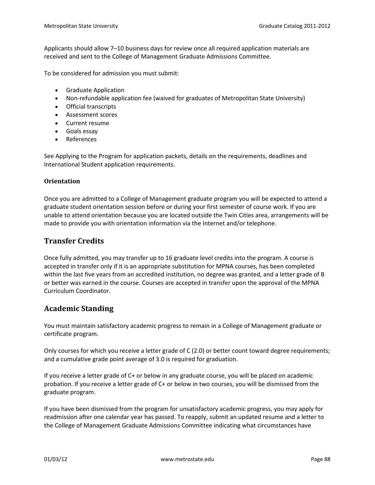Applicants should allow 7–10 business days for review once all required application materials are received and sent to the College of Management Graduate Admissions Committee.

To be considered for admission you must submit:

- Graduate Application
- Non-refundable application fee (waived for graduates of Metropolitan State University)
- Official transcripts
- Assessment scores
- Current resume
- Goals essay
- References

See Applying to the Program for application packets, details on the requirements, deadlines and International Student application requirements.

### **Orientation**

Once you are admitted to a College of Management graduate program you will be expected to attend a graduate student orientation session before or during your first semester of course work. If you are unable to attend orientation because you are located outside the Twin Cities area, arrangements will be made to provide you with orientation information via the Internet and/or telephone.

### **Transfer Credits**

Once fully admitted, you may transfer up to 16 graduate level credits into the program. A course is accepted in transfer only if it is an appropriate substitution for MPNA courses, has been completed within the last five years from an accredited institution, no degree was granted, and a letter grade of B or better was earned in the course. Courses are accepted in transfer upon the approval of the MPNA Curriculum Coordinator.

### **Academic Standing**

You must maintain satisfactory academic progress to remain in a College of Management graduate or certificate program.

Only courses for which you receive a letter grade of C (2.0) or better count toward degree requirements; and a cumulative grade point average of 3.0 is required for graduation.

If you receive a letter grade of C+ or below in any graduate course, you will be placed on academic probation. If you receive a letter grade of C+ or below in two courses, you will be dismissed from the graduate program.

If you have been dismissed from the program for unsatisfactory academic progress, you may apply for readmission after one calendar year has passed. To reapply, submit an updated resume and a letter to the College of Management Graduate Admissions Committee indicating what circumstances have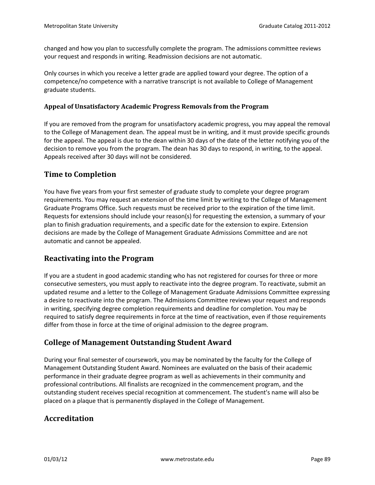changed and how you plan to successfully complete the program. The admissions committee reviews your request and responds in writing. Readmission decisions are not automatic.

Only courses in which you receive a letter grade are applied toward your degree. The option of a competence/no competence with a narrative transcript is not available to College of Management graduate students.

### **Appeal of Unsatisfactory Academic Progress Removals from the Program**

If you are removed from the program for unsatisfactory academic progress, you may appeal the removal to the College of Management dean. The appeal must be in writing, and it must provide specific grounds for the appeal. The appeal is due to the dean within 30 days of the date of the letter notifying you of the decision to remove you from the program. The dean has 30 days to respond, in writing, to the appeal. Appeals received after 30 days will not be considered.

### **Time to Completion**

You have five years from your first semester of graduate study to complete your degree program requirements. You may request an extension of the time limit by writing to the College of Management Graduate Programs Office. Such requests must be received prior to the expiration of the time limit. Requests for extensions should include your reason(s) for requesting the extension, a summary of your plan to finish graduation requirements, and a specific date for the extension to expire. Extension decisions are made by the College of Management Graduate Admissions Committee and are not automatic and cannot be appealed.

### **Reactivating into the Program**

If you are a student in good academic standing who has not registered for courses for three or more consecutive semesters, you must apply to reactivate into the degree program. To reactivate, submit an updated resume and a letter to the College of Management Graduate Admissions Committee expressing a desire to reactivate into the program. The Admissions Committee reviews your request and responds in writing, specifying degree completion requirements and deadline for completion. You may be required to satisfy degree requirements in force at the time of reactivation, even if those requirements differ from those in force at the time of original admission to the degree program.

### **College of Management Outstanding Student Award**

During your final semester of coursework, you may be nominated by the faculty for the College of Management Outstanding Student Award. Nominees are evaluated on the basis of their academic performance in their graduate degree program as well as achievements in their community and professional contributions. All finalists are recognized in the commencement program, and the outstanding student receives special recognition at commencement. The student's name will also be placed on a plaque that is permanently displayed in the College of Management.

# **Accreditation**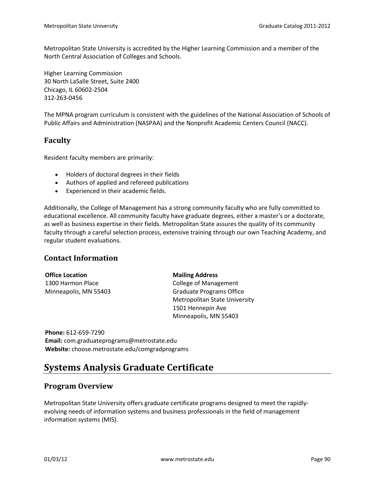Metropolitan State University is accredited by the Higher Learning Commission and a member of the North Central Association of Colleges and Schools.

Higher Learning Commission 30 North LaSalle Street, Suite 2400 Chicago, IL 60602-2504 312-263-0456

The MPNA program curriculum is consistent with the guidelines of the National Association of Schools of Public Affairs and Administration (NASPAA) and the Nonprofit Academic Centers Council (NACC).

# **Faculty**

Resident faculty members are primarily:

- Holders of doctoral degrees in their fields
- Authors of applied and refereed publications
- Experienced in their academic fields.

Additionally, the College of Management has a strong community faculty who are fully committed to educational excellence. All community faculty have graduate degrees, either a master's or a doctorate, as well as business expertise in their fields. Metropolitan State assures the quality of its community faculty through a careful selection process, extensive training through our own Teaching Academy, and regular student evaluations.

### **Contact Information**

| <b>Office Location</b> | <b>Mailing Address</b>               |
|------------------------|--------------------------------------|
| 1300 Harmon Place      | <b>College of Management</b>         |
| Minneapolis, MN 55403  | <b>Graduate Programs Office</b>      |
|                        | <b>Metropolitan State University</b> |
|                        | 1501 Hennepin Ave                    |
|                        | Minneapolis, MN 55403                |

**Phone:** 612-659-7290 **Email:** com.graduateprograms@metrostate.edu **Website:** choose.metrostate.edu/comgradprograms

# **Systems Analysis Graduate Certificate**

### **Program Overview**

Metropolitan State University offers graduate certificate programs designed to meet the rapidlyevolving needs of information systems and business professionals in the field of management information systems (MIS).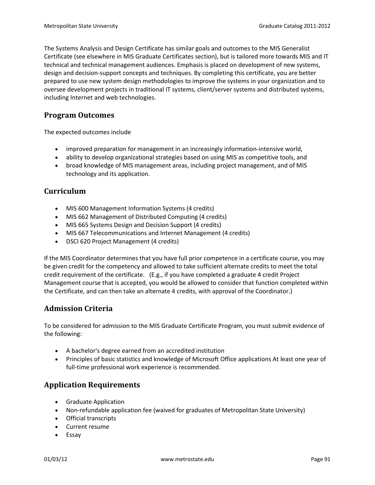The Systems Analysis and Design Certificate has similar goals and outcomes to the MIS Generalist Certificate (see elsewhere in MIS Graduate Certificates section), but is tailored more towards MIS and IT technical and technical management audiences. Emphasis is placed on development of new systems, design and decision-support concepts and techniques. By completing this certificate, you are better prepared to use new system design methodologies to improve the systems in your organization and to oversee development projects in traditional IT systems, client/server systems and distributed systems, including Internet and web technologies.

# **Program Outcomes**

The expected outcomes include

- improved preparation for management in an increasingly information-intensive world,
- ability to develop organizational strategies based on using MIS as competitive tools, and
- broad knowledge of MIS management areas, including project management, and of MIS technology and its application.

# **Curriculum**

- MIS 600 Management Information Systems (4 credits)
- MIS 662 Management of Distributed Computing (4 credits)
- MIS 665 Systems Design and Decision Support (4 credits)
- MIS 667 Telecommunications and Internet Management (4 credits)
- DSCI 620 Project Management (4 credits)

If the MIS Coordinator determines that you have full prior competence in a certificate course, you may be given credit for the competency and allowed to take sufficient alternate credits to meet the total credit requirement of the certificate. (E.g., if you have completed a graduate 4 credit Project Management course that is accepted, you would be allowed to consider that function completed within the Certificate, and can then take an alternate 4 credits, with approval of the Coordinator.)

# **Admission Criteria**

To be considered for admission to the MIS Graduate Certificate Program, you must submit evidence of the following:

- A bachelor's degree earned from an accredited institution
- Principles of basic statistics and knowledge of Microsoft Office applications At least one year of full-time professional work experience is recommended.

# **Application Requirements**

- Graduate Application
- Non-refundable application fee (waived for graduates of Metropolitan State University)
- Official transcripts
- Current resume
- Essay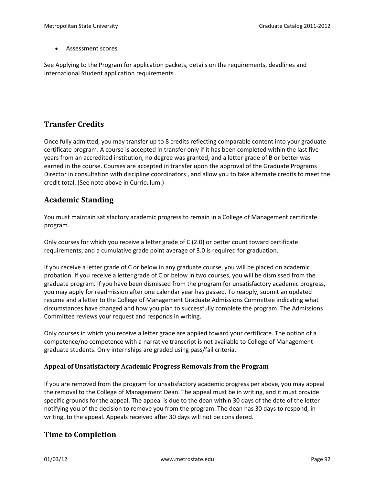• Assessment scores

See Applying to the Program for application packets, details on the requirements, deadlines and International Student application requirements

# **Transfer Credits**

Once fully admitted, you may transfer up to 8 credits reflecting comparable content into your graduate certificate program. A course is accepted in transfer only if it has been completed within the last five years from an accredited institution, no degree was granted, and a letter grade of B or better was earned in the course. Courses are accepted in transfer upon the approval of the Graduate Programs Director in consultation with discipline coordinators , and allow you to take alternate credits to meet the credit total. (See note above in Curriculum.)

### **Academic Standing**

You must maintain satisfactory academic progress to remain in a College of Management certificate program.

Only courses for which you receive a letter grade of C (2.0) or better count toward certificate requirements; and a cumulative grade point average of 3.0 is required for graduation.

If you receive a letter grade of C or below in any graduate course, you will be placed on academic probation. If you receive a letter grade of C or below in two courses, you will be dismissed from the graduate program. If you have been dismissed from the program for unsatisfactory academic progress, you may apply for readmission after one calendar year has passed. To reapply, submit an updated resume and a letter to the College of Management Graduate Admissions Committee indicating what circumstances have changed and how you plan to successfully complete the program. The Admissions Committee reviews your request and responds in writing.

Only courses in which you receive a letter grade are applied toward your certificate. The option of a competence/no competence with a narrative transcript is not available to College of Management graduate students. Only internships are graded using pass/fail criteria.

### **Appeal of Unsatisfactory Academic Progress Removals from the Program**

If you are removed from the program for unsatisfactory academic progress per above, you may appeal the removal to the College of Management Dean. The appeal must be in writing, and it must provide specific grounds for the appeal. The appeal is due to the dean within 30 days of the date of the letter notifying you of the decision to remove you from the program. The dean has 30 days to respond, in writing, to the appeal. Appeals received after 30 days will not be considered.

### **Time to Completion**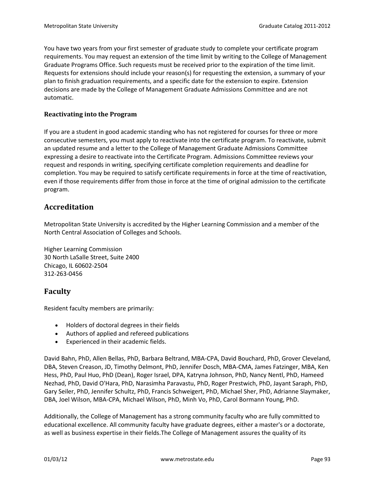You have two years from your first semester of graduate study to complete your certificate program requirements. You may request an extension of the time limit by writing to the College of Management Graduate Programs Office. Such requests must be received prior to the expiration of the time limit. Requests for extensions should include your reason(s) for requesting the extension, a summary of your plan to finish graduation requirements, and a specific date for the extension to expire. Extension decisions are made by the College of Management Graduate Admissions Committee and are not automatic.

### **Reactivating into the Program**

If you are a student in good academic standing who has not registered for courses for three or more consecutive semesters, you must apply to reactivate into the certificate program. To reactivate, submit an updated resume and a letter to the College of Management Graduate Admissions Committee expressing a desire to reactivate into the Certificate Program. Admissions Committee reviews your request and responds in writing, specifying certificate completion requirements and deadline for completion. You may be required to satisfy certificate requirements in force at the time of reactivation, even if those requirements differ from those in force at the time of original admission to the certificate program.

# **Accreditation**

Metropolitan State University is accredited by the Higher Learning Commission and a member of the North Central Association of Colleges and Schools.

Higher Learning Commission 30 North LaSalle Street, Suite 2400 Chicago, IL 60602-2504 312-263-0456

# **Faculty**

Resident faculty members are primarily:

- Holders of doctoral degrees in their fields
- Authors of applied and refereed publications
- Experienced in their academic fields.

David Bahn, PhD, Allen Bellas, PhD, Barbara Beltrand, MBA-CPA, David Bouchard, PhD, Grover Cleveland, DBA, Steven Creason, JD, Timothy Delmont, PhD, Jennifer Dosch, MBA-CMA, James Fatzinger, MBA, Ken Hess, PhD, Paul Huo, PhD (Dean), Roger Israel, DPA, Katryna Johnson, PhD, Nancy Nentl, PhD, Hameed Nezhad, PhD, David O'Hara, PhD, Narasimha Paravastu, PhD, Roger Prestwich, PhD, Jayant Saraph, PhD, Gary Seiler, PhD, Jennifer Schultz, PhD, Francis Schweigert, PhD, Michael Sher, PhD, Adrianne Slaymaker, DBA, Joel Wilson, MBA-CPA, Michael Wilson, PhD, Minh Vo, PhD, Carol Bormann Young, PhD.

Additionally, the College of Management has a strong community faculty who are fully committed to educational excellence. All community faculty have graduate degrees, either a master's or a doctorate, as well as business expertise in their fields.The College of Management assures the quality of its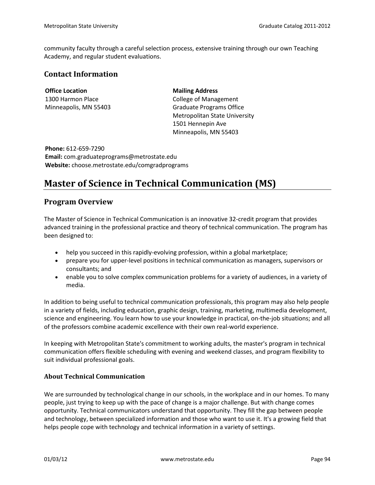community faculty through a careful selection process, extensive training through our own Teaching Academy, and regular student evaluations.

### **Contact Information**

**Office Location** 1300 Harmon Place Minneapolis, MN 55403 **Mailing Address** College of Management Graduate Programs Office Metropolitan State University 1501 Hennepin Ave Minneapolis, MN 55403

**Phone:** 612-659-7290 **Email:** com.graduateprograms@metrostate.edu **Website:** choose.metrostate.edu/comgradprograms

# **Master of Science in Technical Communication (MS)**

### **Program Overview**

The Master of Science in Technical Communication is an innovative 32-credit program that provides advanced training in the professional practice and theory of technical communication. The program has been designed to:

- help you succeed in this rapidly-evolving profession, within a global marketplace;
- prepare you for upper-level positions in technical communication as managers, supervisors or consultants; and
- enable you to solve complex communication problems for a variety of audiences, in a variety of media.

In addition to being useful to technical communication professionals, this program may also help people in a variety of fields, including education, graphic design, training, marketing, multimedia development, science and engineering. You learn how to use your knowledge in practical, on-the-job situations; and all of the professors combine academic excellence with their own real-world experience.

In keeping with Metropolitan State's commitment to working adults, the master's program in technical communication offers flexible scheduling with evening and weekend classes, and program flexibility to suit individual professional goals.

### **About Technical Communication**

We are surrounded by technological change in our schools, in the workplace and in our homes. To many people, just trying to keep up with the pace of change is a major challenge. But with change comes opportunity. Technical communicators understand that opportunity. They fill the gap between people and technology, between specialized information and those who want to use it. It's a growing field that helps people cope with technology and technical information in a variety of settings.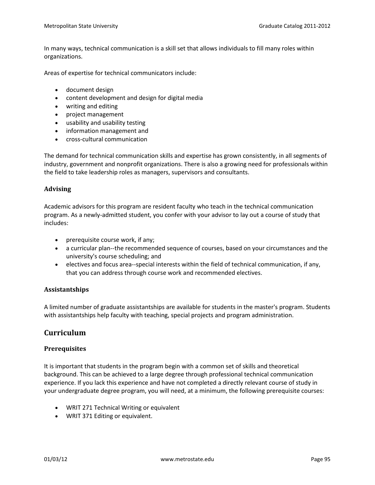In many ways, technical communication is a skill set that allows individuals to fill many roles within organizations.

Areas of expertise for technical communicators include:

- document design
- content development and design for digital media
- writing and editing
- project management
- usability and usability testing
- information management and
- cross-cultural communication

The demand for technical communication skills and expertise has grown consistently, in all segments of industry, government and nonprofit organizations. There is also a growing need for professionals within the field to take leadership roles as managers, supervisors and consultants.

### **Advising**

Academic advisors for this program are resident faculty who teach in the technical communication program. As a newly-admitted student, you confer with your advisor to lay out a course of study that includes:

- prerequisite course work, if any;
- a curricular plan--the recommended sequence of courses, based on your circumstances and the university's course scheduling; and
- electives and focus area--special interests within the field of technical communication, if any, that you can address through course work and recommended electives.

### **Assistantships**

A limited number of graduate assistantships are available for students in the master's program. Students with assistantships help faculty with teaching, special projects and program administration.

### **Curriculum**

### **Prerequisites**

It is important that students in the program begin with a common set of skills and theoretical background. This can be achieved to a large degree through professional technical communication experience. If you lack this experience and have not completed a directly relevant course of study in your undergraduate degree program, you will need, at a minimum, the following prerequisite courses:

- WRIT 271 Technical Writing or equivalent
- WRIT 371 Editing or equivalent.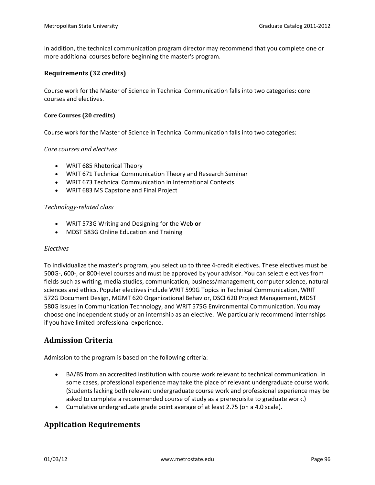In addition, the technical communication program director may recommend that you complete one or more additional courses before beginning the master's program.

### **Requirements (32 credits)**

Course work for the Master of Science in Technical Communication falls into two categories: core courses and electives.

#### **Core Courses (20 credits)**

Course work for the Master of Science in Technical Communication falls into two categories:

### *Core courses and electives*

- WRIT 685 Rhetorical Theory
- WRIT 671 Technical Communication Theory and Research Seminar
- WRIT 673 Technical Communication in International Contexts
- WRIT 683 MS Capstone and Final Project

#### *Technology-related class*

- WRIT 573G Writing and Designing for the Web **or**
- MDST 583G Online Education and Training

#### *Electives*

To individualize the master's program, you select up to three 4-credit electives. These electives must be 500G-, 600-, or 800-level courses and must be approved by your advisor. You can select electives from fields such as writing, media studies, communication, business/management, computer science, natural sciences and ethics. Popular electives include WRIT 599G Topics in Technical Communication, WRIT 572G Document Design, MGMT 620 Organizational Behavior, DSCI 620 Project Management, MDST 580G Issues in Communication Technology, and WRIT 575G Environmental Communication. You may choose one independent study or an internship as an elective. We particularly recommend internships if you have limited professional experience.

### **Admission Criteria**

Admission to the program is based on the following criteria:

- BA/BS from an accredited institution with course work relevant to technical communication. In some cases, professional experience may take the place of relevant undergraduate course work. (Students lacking both relevant undergraduate course work and professional experience may be asked to complete a recommended course of study as a prerequisite to graduate work.)
- Cumulative undergraduate grade point average of at least 2.75 (on a 4.0 scale).

### **Application Requirements**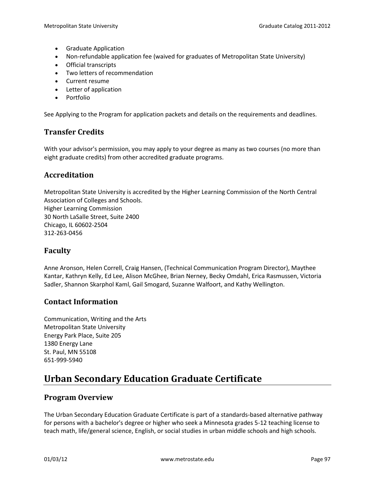- Graduate Application
- Non-refundable application fee (waived for graduates of Metropolitan State University)
- Official transcripts
- Two letters of recommendation
- Current resume
- Letter of application
- Portfolio

See Applying to the Program for application packets and details on the requirements and deadlines.

### **Transfer Credits**

With your advisor's permission, you may apply to your degree as many as two courses (no more than eight graduate credits) from other accredited graduate programs.

### **Accreditation**

Metropolitan State University is accredited by the Higher Learning Commission of the North Central Association of Colleges and Schools. Higher Learning Commission 30 North LaSalle Street, Suite 2400 Chicago, IL 60602-2504 312-263-0456

### **Faculty**

Anne Aronson, Helen Correll, Craig Hansen, (Technical Communication Program Director), Maythee Kantar, Kathryn Kelly, Ed Lee, Alison McGhee, Brian Nerney, Becky Omdahl, Erica Rasmussen, Victoria Sadler, Shannon Skarphol Kaml, Gail Smogard, Suzanne Walfoort, and Kathy Wellington.

### **Contact Information**

Communication, Writing and the Arts Metropolitan State University Energy Park Place, Suite 205 1380 Energy Lane St. Paul, MN 55108 651-999-5940

# **Urban Secondary Education Graduate Certificate**

### **Program Overview**

The Urban Secondary Education Graduate Certificate is part of a standards-based alternative pathway for persons with a bachelor's degree or higher who seek a Minnesota grades 5-12 teaching license to teach math, life/general science, English, or social studies in urban middle schools and high schools.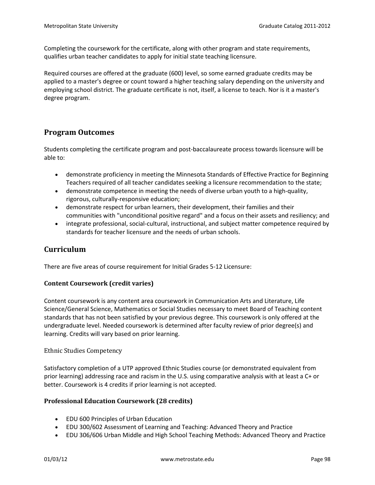Completing the coursework for the certificate, along with other program and state requirements, qualifies urban teacher candidates to apply for initial state teaching licensure.

Required courses are offered at the graduate (600) level, so some earned graduate credits may be applied to a master's degree or count toward a higher teaching salary depending on the university and employing school district. The graduate certificate is not, itself, a license to teach. Nor is it a master's degree program.

# **Program Outcomes**

Students completing the certificate program and post-baccalaureate process towards licensure will be able to:

- demonstrate proficiency in meeting the Minnesota Standards of Effective Practice for Beginning Teachers required of all teacher candidates seeking a licensure recommendation to the state;
- demonstrate competence in meeting the needs of diverse urban youth to a high-quality, rigorous, culturally-responsive education;
- demonstrate respect for urban learners, their development, their families and their communities with "unconditional positive regard" and a focus on their assets and resiliency; and
- integrate professional, social-cultural, instructional, and subject matter competence required by standards for teacher licensure and the needs of urban schools.

# **Curriculum**

There are five areas of course requirement for Initial Grades 5-12 Licensure:

### **Content Coursework (credit varies)**

Content coursework is any content area coursework in Communication Arts and Literature, Life Science/General Science, Mathematics or Social Studies necessary to meet Board of Teaching content standards that has not been satisfied by your previous degree. This coursework is only offered at the undergraduate level. Needed coursework is determined after faculty review of prior degree(s) and learning. Credits will vary based on prior learning.

### Ethnic Studies Competency

Satisfactory completion of a UTP approved Ethnic Studies course (or demonstrated equivalent from prior learning) addressing race and racism in the U.S. using comparative analysis with at least a C+ or better. Coursework is 4 credits if prior learning is not accepted.

### **Professional Education Coursework (28 credits)**

- EDU 600 Principles of Urban Education
- EDU 300/602 Assessment of Learning and Teaching: Advanced Theory and Practice
- EDU 306/606 Urban Middle and High School Teaching Methods: Advanced Theory and Practice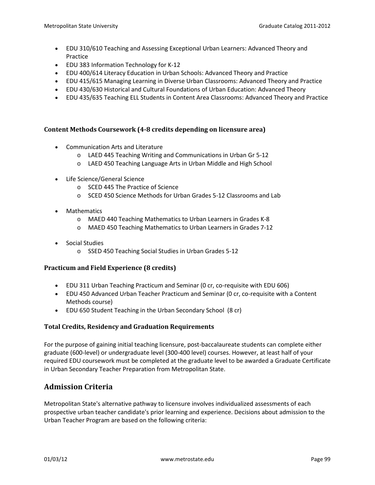- EDU 310/610 Teaching and Assessing Exceptional Urban Learners: Advanced Theory and Practice
- EDU 383 Information Technology for K-12
- EDU 400/614 Literacy Education in Urban Schools: Advanced Theory and Practice
- EDU 415/615 Managing Learning in Diverse Urban Classrooms: Advanced Theory and Practice
- EDU 430/630 Historical and Cultural Foundations of Urban Education: Advanced Theory
- EDU 435/635 Teaching ELL Students in Content Area Classrooms: Advanced Theory and Practice

### **Content Methods Coursework (4-8 credits depending on licensure area)**

- Communication Arts and Literature
	- o LAED 445 Teaching Writing and Communications in Urban Gr 5-12
	- o LAED 450 Teaching Language Arts in Urban Middle and High School
- Life Science/General Science
	- o SCED 445 The Practice of Science
	- o SCED 450 Science Methods for Urban Grades 5-12 Classrooms and Lab
- Mathematics
	- o MAED 440 Teaching Mathematics to Urban Learners in Grades K-8
	- o MAED 450 Teaching Mathematics to Urban Learners in Grades 7-12
- Social Studies
	- o SSED 450 Teaching Social Studies in Urban Grades 5-12

### **Practicum and Field Experience (8 credits)**

- EDU 311 Urban Teaching Practicum and Seminar (0 cr, co-requisite with EDU 606)
- EDU 450 Advanced Urban Teacher Practicum and Seminar (0 cr, co-requisite with a Content Methods course)
- EDU 650 Student Teaching in the Urban Secondary School (8 cr)

### **Total Credits, Residency and Graduation Requirements**

For the purpose of gaining initial teaching licensure, post-baccalaureate students can complete either graduate (600-level) or undergraduate level (300-400 level) courses. However, at least half of your required EDU coursework must be completed at the graduate level to be awarded a Graduate Certificate in Urban Secondary Teacher Preparation from Metropolitan State.

# **Admission Criteria**

Metropolitan State's alternative pathway to licensure involves individualized assessments of each prospective urban teacher candidate's prior learning and experience. Decisions about admission to the Urban Teacher Program are based on the following criteria: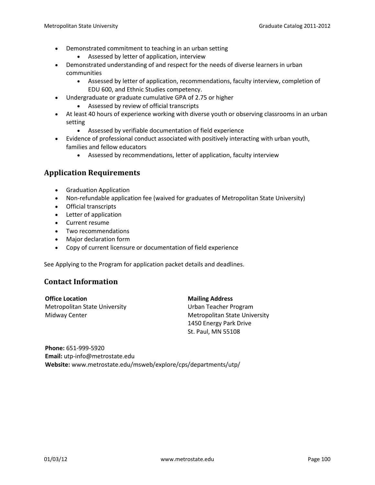- Demonstrated commitment to teaching in an urban setting
	- Assessed by letter of application, interview
- Demonstrated understanding of and respect for the needs of diverse learners in urban communities
	- Assessed by letter of application, recommendations, faculty interview, completion of EDU 600, and Ethnic Studies competency.
- Undergraduate or graduate cumulative GPA of 2.75 or higher
	- Assessed by review of official transcripts
- At least 40 hours of experience working with diverse youth or observing classrooms in an urban setting
	- Assessed by verifiable documentation of field experience
- Evidence of professional conduct associated with positively interacting with urban youth, families and fellow educators
	- Assessed by recommendations, letter of application, faculty interview

### **Application Requirements**

- Graduation Application
- Non-refundable application fee (waived for graduates of Metropolitan State University)
- Official transcripts
- Letter of application
- Current resume
- Two recommendations
- Major declaration form
- Copy of current licensure or documentation of field experience

See Applying to the Program for application packet details and deadlines.

### **Contact Information**

**Office Location** Metropolitan State University Midway Center

**Mailing Address**

Urban Teacher Program Metropolitan State University 1450 Energy Park Drive St. Paul, MN 55108

**Phone:** 651-999-5920 **Email:** utp-info@metrostate.edu **Website:** www.metrostate.edu/msweb/explore/cps/departments/utp/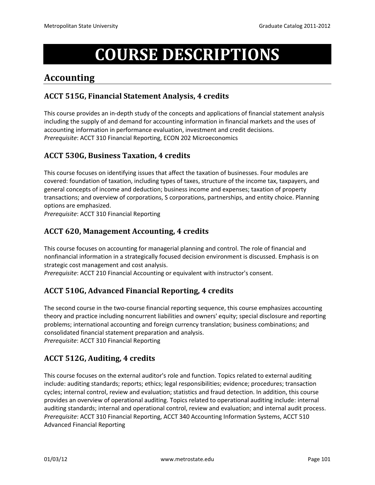# **COURSE DESCRIPTIONS**

# **Accounting**

# **ACCT 515G, Financial Statement Analysis, 4 credits**

This course provides an in-depth study of the concepts and applications of financial statement analysis including the supply of and demand for accounting information in financial markets and the uses of accounting information in performance evaluation, investment and credit decisions. *Prerequisite*: ACCT 310 Financial Reporting, ECON 202 Microeconomics

# **ACCT 530G, Business Taxation, 4 credits**

This course focuses on identifying issues that affect the taxation of businesses. Four modules are covered: foundation of taxation, including types of taxes, structure of the income tax, taxpayers, and general concepts of income and deduction; business income and expenses; taxation of property transactions; and overview of corporations, S corporations, partnerships, and entity choice. Planning options are emphasized.

*Prerequisite*: ACCT 310 Financial Reporting

# **ACCT 620, Management Accounting, 4 credits**

This course focuses on accounting for managerial planning and control. The role of financial and nonfinancial information in a strategically focused decision environment is discussed. Emphasis is on strategic cost management and cost analysis.

*Prerequisite*: ACCT 210 Financial Accounting or equivalent with instructor's consent.

# **ACCT 510G, Advanced Financial Reporting, 4 credits**

The second course in the two-course financial reporting sequence, this course emphasizes accounting theory and practice including noncurrent liabilities and owners' equity; special disclosure and reporting problems; international accounting and foreign currency translation; business combinations; and consolidated financial statement preparation and analysis. *Prerequisite*: ACCT 310 Financial Reporting

# **ACCT 512G, Auditing, 4 credits**

This course focuses on the external auditor's role and function. Topics related to external auditing include: auditing standards; reports; ethics; legal responsibilities; evidence; procedures; transaction cycles; internal control, review and evaluation; statistics and fraud detection. In addition, this course provides an overview of operational auditing. Topics related to operational auditing include: internal auditing standards; internal and operational control, review and evaluation; and internal audit process. *Prerequisite*: ACCT 310 Financial Reporting, ACCT 340 Accounting Information Systems, ACCT 510 Advanced Financial Reporting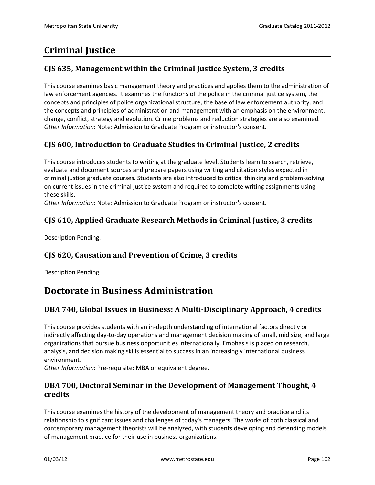# **Criminal Justice**

# **CJS 635, Management within the Criminal Justice System, 3 credits**

This course examines basic management theory and practices and applies them to the administration of law enforcement agencies. It examines the functions of the police in the criminal justice system, the concepts and principles of police organizational structure, the base of law enforcement authority, and the concepts and principles of administration and management with an emphasis on the environment, change, conflict, strategy and evolution. Crime problems and reduction strategies are also examined. *Other Information*: Note: Admission to Graduate Program or instructor's consent.

# **CJS 600, Introduction to Graduate Studies in Criminal Justice, 2 credits**

This course introduces students to writing at the graduate level. Students learn to search, retrieve, evaluate and document sources and prepare papers using writing and citation styles expected in criminal justice graduate courses. Students are also introduced to critical thinking and problem-solving on current issues in the criminal justice system and required to complete writing assignments using these skills.

*Other Information*: Note: Admission to Graduate Program or instructor's consent.

# **CJS 610, Applied Graduate Research Methods in Criminal Justice, 3 credits**

Description Pending.

# **CJS 620, Causation and Prevention of Crime, 3 credits**

Description Pending.

# **Doctorate in Business Administration**

# **DBA 740, Global Issues in Business: A Multi-Disciplinary Approach, 4 credits**

This course provides students with an in-depth understanding of international factors directly or indirectly affecting day-to-day operations and management decision making of small, mid size, and large organizations that pursue business opportunities internationally. Emphasis is placed on research, analysis, and decision making skills essential to success in an increasingly international business environment.

*Other Information*: Pre-requisite: MBA or equivalent degree.

# **DBA 700, Doctoral Seminar in the Development of Management Thought, 4 credits**

This course examines the history of the development of management theory and practice and its relationship to significant issues and challenges of today's managers. The works of both classical and contemporary management theorists will be analyzed, with students developing and defending models of management practice for their use in business organizations.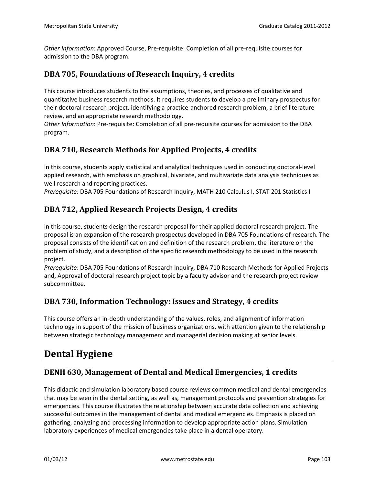*Other Information*: Approved Course, Pre-requisite: Completion of all pre-requisite courses for admission to the DBA program.

# **DBA 705, Foundations of Research Inquiry, 4 credits**

This course introduces students to the assumptions, theories, and processes of qualitative and quantitative business research methods. It requires students to develop a preliminary prospectus for their doctoral research project, identifying a practice-anchored research problem, a brief literature review, and an appropriate research methodology.

*Other Information*: Pre-requisite: Completion of all pre-requisite courses for admission to the DBA program.

# **DBA 710, Research Methods for Applied Projects, 4 credits**

In this course, students apply statistical and analytical techniques used in conducting doctoral-level applied research, with emphasis on graphical, bivariate, and multivariate data analysis techniques as well research and reporting practices.

*Prerequisite*: DBA 705 Foundations of Research Inquiry, MATH 210 Calculus I, STAT 201 Statistics I

# **DBA 712, Applied Research Projects Design, 4 credits**

In this course, students design the research proposal for their applied doctoral research project. The proposal is an expansion of the research prospectus developed in DBA 705 Foundations of research. The proposal consists of the identification and definition of the research problem, the literature on the problem of study, and a description of the specific research methodology to be used in the research project.

*Prerequisite*: DBA 705 Foundations of Research Inquiry, DBA 710 Research Methods for Applied Projects and, Approval of doctoral research project topic by a faculty advisor and the research project review subcommittee.

# **DBA 730, Information Technology: Issues and Strategy, 4 credits**

This course offers an in-depth understanding of the values, roles, and alignment of information technology in support of the mission of business organizations, with attention given to the relationship between strategic technology management and managerial decision making at senior levels.

# **Dental Hygiene**

# **DENH 630, Management of Dental and Medical Emergencies, 1 credits**

This didactic and simulation laboratory based course reviews common medical and dental emergencies that may be seen in the dental setting, as well as, management protocols and prevention strategies for emergencies. This course illustrates the relationship between accurate data collection and achieving successful outcomes in the management of dental and medical emergencies. Emphasis is placed on gathering, analyzing and processing information to develop appropriate action plans. Simulation laboratory experiences of medical emergencies take place in a dental operatory.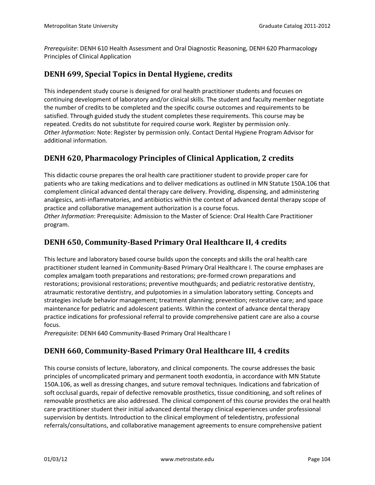*Prerequisite*: DENH 610 Health Assessment and Oral Diagnostic Reasoning, DENH 620 Pharmacology Principles of Clinical Application

### **DENH 699, Special Topics in Dental Hygiene, credits**

This independent study course is designed for oral health practitioner students and focuses on continuing development of laboratory and/or clinical skills. The student and faculty member negotiate the number of credits to be completed and the specific course outcomes and requirements to be satisfied. Through guided study the student completes these requirements. This course may be repeated. Credits do not substitute for required course work. Register by permission only. *Other Information*: Note: Register by permission only. Contact Dental Hygiene Program Advisor for additional information.

# **DENH 620, Pharmacology Principles of Clinical Application, 2 credits**

This didactic course prepares the oral health care practitioner student to provide proper care for patients who are taking medications and to deliver medications as outlined in MN Statute 150A.106 that complement clinical advanced dental therapy care delivery. Providing, dispensing, and administering analgesics, anti-inflammatories, and antibiotics within the context of advanced dental therapy scope of practice and collaborative management authorization is a course focus.

*Other Information*: Prerequisite: Admission to the Master of Science: Oral Health Care Practitioner program.

### **DENH 650, Community-Based Primary Oral Healthcare II, 4 credits**

This lecture and laboratory based course builds upon the concepts and skills the oral health care practitioner student learned in Community-Based Primary Oral Healthcare I. The course emphases are complex amalgam tooth preparations and restorations; pre-formed crown preparations and restorations; provisional restorations; preventive mouthguards; and pediatric restorative dentistry, atraumatic restorative dentistry, and pulpotomies in a simulation laboratory setting. Concepts and strategies include behavior management; treatment planning; prevention; restorative care; and space maintenance for pediatric and adolescent patients. Within the context of advance dental therapy practice indications for professional referral to provide comprehensive patient care are also a course focus.

*Prerequisite*: DENH 640 Community-Based Primary Oral Healthcare I

# **DENH 660, Community-Based Primary Oral Healthcare III, 4 credits**

This course consists of lecture, laboratory, and clinical components. The course addresses the basic principles of uncomplicated primary and permanent tooth exodontia, in accordance with MN Statute 150A.106, as well as dressing changes, and suture removal techniques. Indications and fabrication of soft occlusal guards, repair of defective removable prosthetics, tissue conditioning, and soft relines of removable prosthetics are also addressed. The clinical component of this course provides the oral health care practitioner student their initial advanced dental therapy clinical experiences under professional supervision by dentists. Introduction to the clinical employment of teledentistry, professional referrals/consultations, and collaborative management agreements to ensure comprehensive patient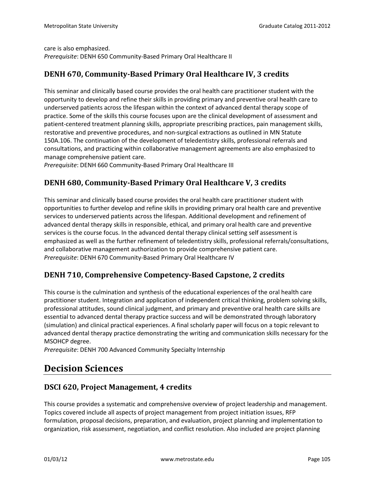care is also emphasized. *Prerequisite*: DENH 650 Community-Based Primary Oral Healthcare II

# **DENH 670, Community-Based Primary Oral Healthcare IV, 3 credits**

This seminar and clinically based course provides the oral health care practitioner student with the opportunity to develop and refine their skills in providing primary and preventive oral health care to underserved patients across the lifespan within the context of advanced dental therapy scope of practice. Some of the skills this course focuses upon are the clinical development of assessment and patient-centered treatment planning skills, appropriate prescribing practices, pain management skills, restorative and preventive procedures, and non-surgical extractions as outlined in MN Statute 150A.106. The continuation of the development of teledentistry skills, professional referrals and consultations, and practicing within collaborative management agreements are also emphasized to manage comprehensive patient care.

*Prerequisite*: DENH 660 Community-Based Primary Oral Healthcare III

# **DENH 680, Community-Based Primary Oral Healthcare V, 3 credits**

This seminar and clinically based course provides the oral health care practitioner student with opportunities to further develop and refine skills in providing primary oral health care and preventive services to underserved patients across the lifespan. Additional development and refinement of advanced dental therapy skills in responsible, ethical, and primary oral health care and preventive services is the course focus. In the advanced dental therapy clinical setting self assessment is emphasized as well as the further refinement of teledentistry skills, professional referrals/consultations, and collaborative management authorization to provide comprehensive patient care. *Prerequisite*: DENH 670 Community-Based Primary Oral Healthcare IV

# **DENH 710, Comprehensive Competency-Based Capstone, 2 credits**

This course is the culmination and synthesis of the educational experiences of the oral health care practitioner student. Integration and application of independent critical thinking, problem solving skills, professional attitudes, sound clinical judgment, and primary and preventive oral health care skills are essential to advanced dental therapy practice success and will be demonstrated through laboratory (simulation) and clinical practical experiences. A final scholarly paper will focus on a topic relevant to advanced dental therapy practice demonstrating the writing and communication skills necessary for the MSOHCP degree.

*Prerequisite*: DENH 700 Advanced Community Specialty Internship

# **Decision Sciences**

# **DSCI 620, Project Management, 4 credits**

This course provides a systematic and comprehensive overview of project leadership and management. Topics covered include all aspects of project management from project initiation issues, RFP formulation, proposal decisions, preparation, and evaluation, project planning and implementation to organization, risk assessment, negotiation, and conflict resolution. Also included are project planning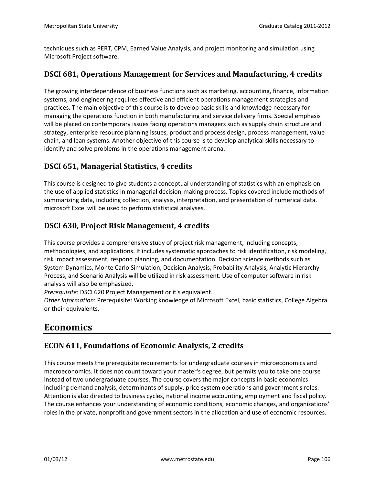techniques such as PERT, CPM, Earned Value Analysis, and project monitoring and simulation using Microsoft Project software.

# **DSCI 681, Operations Management for Services and Manufacturing, 4 credits**

The growing interdependence of business functions such as marketing, accounting, finance, information systems, and engineering requires effective and efficient operations management strategies and practices. The main objective of this course is to develop basic skills and knowledge necessary for managing the operations function in both manufacturing and service delivery firms. Special emphasis will be placed on contemporary issues facing operations managers such as supply chain structure and strategy, enterprise resource planning issues, product and process design, process management, value chain, and lean systems. Another objective of this course is to develop analytical skills necessary to identify and solve problems in the operations management arena.

# **DSCI 651, Managerial Statistics, 4 credits**

This course is designed to give students a conceptual understanding of statistics with an emphasis on the use of applied statistics in managerial decision-making process. Topics covered include methods of summarizing data, including collection, analysis, interpretation, and presentation of numerical data. microsoft Excel will be used to perform statistical analyses.

# **DSCI 630, Project Risk Management, 4 credits**

This course provides a comprehensive study of project risk management, including concepts, methodologies, and applications. It includes systematic approaches to risk identification, risk modeling, risk impact assessment, respond planning, and documentation. Decision science methods such as System Dynamics, Monte Carlo Simulation, Decision Analysis, Probability Analysis, Analytic Hierarchy Process, and Scenario Analysis will be utilized in risk assessment. Use of computer software in risk analysis will also be emphasized.

*Prerequisite*: DSCI 620 Project Management or it's equivalent.

*Other Information*: Prerequisite: Working knowledge of Microsoft Excel, basic statistics, College Algebra or their equivalents.

# **Economics**

# **ECON 611, Foundations of Economic Analysis, 2 credits**

This course meets the prerequisite requirements for undergraduate courses in microeconomics and macroeconomics. It does not count toward your master's degree, but permits you to take one course instead of two undergraduate courses. The course covers the major concepts in basic economics including demand analysis, determinants of supply, price system operations and government's roles. Attention is also directed to business cycles, national income accounting, employment and fiscal policy. The course enhances your understanding of economic conditions, economic changes, and organizations' roles in the private, nonprofit and government sectors in the allocation and use of economic resources.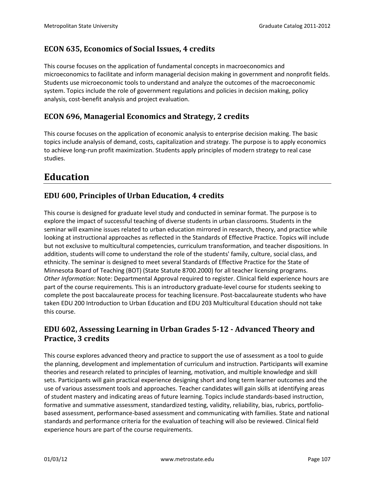# **ECON 635, Economics of Social Issues, 4 credits**

This course focuses on the application of fundamental concepts in macroeconomics and microeconomics to facilitate and inform managerial decision making in government and nonprofit fields. Students use microeconomic tools to understand and analyze the outcomes of the macroeconomic system. Topics include the role of government regulations and policies in decision making, policy analysis, cost-benefit analysis and project evaluation.

# **ECON 696, Managerial Economics and Strategy, 2 credits**

This course focuses on the application of economic analysis to enterprise decision making. The basic topics include analysis of demand, costs, capitalization and strategy. The purpose is to apply economics to achieve long-run profit maximization. Students apply principles of modern strategy to real case studies.

# **Education**

# **EDU 600, Principles of Urban Education, 4 credits**

This course is designed for graduate level study and conducted in seminar format. The purpose is to explore the impact of successful teaching of diverse students in urban classrooms. Students in the seminar will examine issues related to urban education mirrored in research, theory, and practice while looking at instructional approaches as reflected in the Standards of Effective Practice. Topics will include but not exclusive to multicultural competencies, curriculum transformation, and teacher dispositions. In addition, students will come to understand the role of the students' family, culture, social class, and ethnicity. The seminar is designed to meet several Standards of Effective Practice for the State of Minnesota Board of Teaching (BOT) (State Statute 8700.2000) for all teacher licensing programs. *Other Information*: Note: Departmental Approval required to register. Clinical field experience hours are part of the course requirements. This is an introductory graduate-level course for students seeking to complete the post baccalaureate process for teaching licensure. Post-baccalaureate students who have taken EDU 200 Introduction to Urban Education and EDU 203 Multicultural Education should not take this course.

# **EDU 602, Assessing Learning in Urban Grades 5-12 - Advanced Theory and Practice, 3 credits**

This course explores advanced theory and practice to support the use of assessment as a tool to guide the planning, development and implementation of curriculum and instruction. Participants will examine theories and research related to principles of learning, motivation, and multiple knowledge and skill sets. Participants will gain practical experience designing short and long term learner outcomes and the use of various assessment tools and approaches. Teacher candidates will gain skills at identifying areas of student mastery and indicating areas of future learning. Topics include standards-based instruction, formative and summative assessment, standardized testing, validity, reliability, bias, rubrics, portfoliobased assessment, performance-based assessment and communicating with families. State and national standards and performance criteria for the evaluation of teaching will also be reviewed. Clinical field experience hours are part of the course requirements.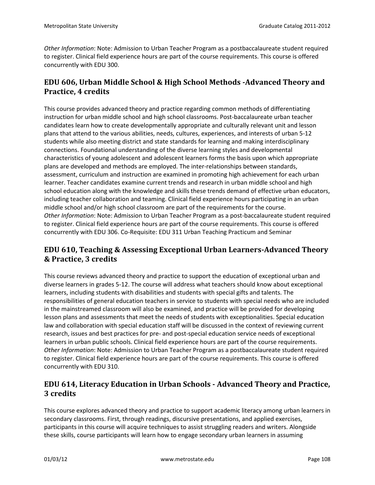*Other Information*: Note: Admission to Urban Teacher Program as a postbaccalaureate student required to register. Clinical field experience hours are part of the course requirements. This course is offered concurrently with EDU 300.

# **EDU 606, Urban Middle School & High School Methods -Advanced Theory and Practice, 4 credits**

This course provides advanced theory and practice regarding common methods of differentiating instruction for urban middle school and high school classrooms. Post-baccalaureate urban teacher candidates learn how to create developmentally appropriate and culturally relevant unit and lesson plans that attend to the various abilities, needs, cultures, experiences, and interests of urban 5-12 students while also meeting district and state standards for learning and making interdisciplinary connections. Foundational understanding of the diverse learning styles and developmental characteristics of young adolescent and adolescent learners forms the basis upon which appropriate plans are developed and methods are employed. The inter-relationships between standards, assessment, curriculum and instruction are examined in promoting high achievement for each urban learner. Teacher candidates examine current trends and research in urban middle school and high school education along with the knowledge and skills these trends demand of effective urban educators, including teacher collaboration and teaming. Clinical field experience hours participating in an urban middle school and/or high school classroom are part of the requirements for the course. *Other Information*: Note: Admission to Urban Teacher Program as a post-baccalaureate student required to register. Clinical field experience hours are part of the course requirements. This course is offered concurrently with EDU 306. Co-Requisite: EDU 311 Urban Teaching Practicum and Seminar

# **EDU 610, Teaching & Assessing Exceptional Urban Learners-Advanced Theory & Practice, 3 credits**

This course reviews advanced theory and practice to support the education of exceptional urban and diverse learners in grades 5-12. The course will address what teachers should know about exceptional learners, including students with disabilities and students with special gifts and talents. The responsibilities of general education teachers in service to students with special needs who are included in the mainstreamed classroom will also be examined, and practice will be provided for developing lesson plans and assessments that meet the needs of students with exceptionalities. Special education law and collaboration with special education staff will be discussed in the context of reviewing current research, issues and best practices for pre- and post-special education service needs of exceptional learners in urban public schools. Clinical field experience hours are part of the course requirements. *Other Information*: Note: Admission to Urban Teacher Program as a postbaccalaureate student required to register. Clinical field experience hours are part of the course requirements. This course is offered concurrently with EDU 310.

# **EDU 614, Literacy Education in Urban Schools - Advanced Theory and Practice, 3 credits**

This course explores advanced theory and practice to support academic literacy among urban learners in secondary classrooms. First, through readings, discursive presentations, and applied exercises, participants in this course will acquire techniques to assist struggling readers and writers. Alongside these skills, course participants will learn how to engage secondary urban learners in assuming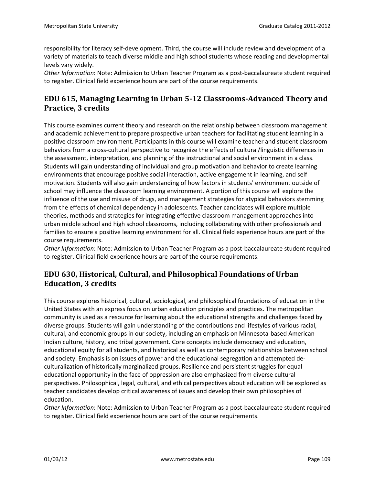responsibility for literacy self-development. Third, the course will include review and development of a variety of materials to teach diverse middle and high school students whose reading and developmental levels vary widely.

*Other Information*: Note: Admission to Urban Teacher Program as a post-baccalaureate student required to register. Clinical field experience hours are part of the course requirements.

# **EDU 615, Managing Learning in Urban 5-12 Classrooms-Advanced Theory and Practice, 3 credits**

This course examines current theory and research on the relationship between classroom management and academic achievement to prepare prospective urban teachers for facilitating student learning in a positive classroom environment. Participants in this course will examine teacher and student classroom behaviors from a cross-cultural perspective to recognize the effects of cultural/linguistic differences in the assessment, interpretation, and planning of the instructional and social environment in a class. Students will gain understanding of individual and group motivation and behavior to create learning environments that encourage positive social interaction, active engagement in learning, and self motivation. Students will also gain understanding of how factors in students' environment outside of school may influence the classroom learning environment. A portion of this course will explore the influence of the use and misuse of drugs, and management strategies for atypical behaviors stemming from the effects of chemical dependency in adolescents. Teacher candidates will explore multiple theories, methods and strategies for integrating effective classroom management approaches into urban middle school and high school classrooms, including collaborating with other professionals and families to ensure a positive learning environment for all. Clinical field experience hours are part of the course requirements.

*Other Information*: Note: Admission to Urban Teacher Program as a post-baccalaureate student required to register. Clinical field experience hours are part of the course requirements.

# **EDU 630, Historical, Cultural, and Philosophical Foundations of Urban Education, 3 credits**

This course explores historical, cultural, sociological, and philosophical foundations of education in the United States with an express focus on urban education principles and practices. The metropolitan community is used as a resource for learning about the educational strengths and challenges faced by diverse groups. Students will gain understanding of the contributions and lifestyles of various racial, cultural, and economic groups in our society, including an emphasis on Minnesota-based American Indian culture, history, and tribal government. Core concepts include democracy and education, educational equity for all students, and historical as well as contemporary relationships between school and society. Emphasis is on issues of power and the educational segregation and attempted deculturalization of historically marginalized groups. Resilience and persistent struggles for equal educational opportunity in the face of oppression are also emphasized from diverse cultural perspectives. Philosophical, legal, cultural, and ethical perspectives about education will be explored as teacher candidates develop critical awareness of issues and develop their own philosophies of education.

*Other Information*: Note: Admission to Urban Teacher Program as a post-baccalaureate student required to register. Clinical field experience hours are part of the course requirements.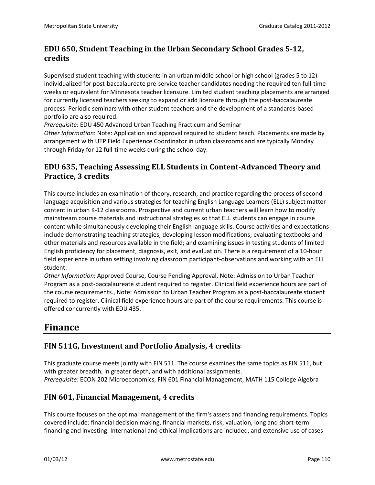# **EDU 650, Student Teaching in the Urban Secondary School Grades 5-12, credits**

Supervised student teaching with students in an urban middle school or high school (grades 5 to 12) individualized for post-baccalaureate pre-service teacher candidates needing the required ten full-time weeks or equivalent for Minnesota teacher licensure. Limited student teaching placements are arranged for currently licensed teachers seeking to expand or add licensure through the post-baccalaureate process. Periodic seminars with other student teachers and the development of a standards-based portfolio are also required.

*Prerequisite*: EDU 450 Advanced Urban Teaching Practicum and Seminar

*Other Information*: Note: Application and approval required to student teach. Placements are made by arrangement with UTP Field Experience Coordinator in urban classrooms and are typically Monday through Friday for 12 full-time weeks during the school day.

# **EDU 635, Teaching Assessing ELL Students in Content-Advanced Theory and Practice, 3 credits**

This course includes an examination of theory, research, and practice regarding the process of second language acquisition and various strategies for teaching English Language Learners (ELL) subject matter content in urban K-12 classrooms. Prospective and current urban teachers will learn how to modify mainstream course materials and instructional strategies so that ELL students can engage in course content while simultaneously developing their English language skills. Course activities and expectations include demonstrating teaching strategies; developing lesson modifications; evaluating textbooks and other materials and resources available in the field; and examining issues in testing students of limited English proficiency for placement, diagnosis, exit, and evaluation. There is a requirement of a 10-hour field experience in urban setting involving classroom participant-observations and working with an ELL student.

*Other Information*: Approved Course, Course Pending Approval, Note: Admission to Urban Teacher Program as a post-baccalaureate student required to register. Clinical field experience hours are part of the course requirements., Note: Admission to Urban Teacher Program as a post-baccalaureate student required to register. Clinical field experience hours are part of the course requirements. This course is offered concurrently with EDU 435.

# **Finance**

# **FIN 511G, Investment and Portfolio Analysis, 4 credits**

This graduate course meets jointly with FIN 511. The course examines the same topics as FIN 511, but with greater breadth, in greater depth, and with additional assignments. *Prerequisite*: ECON 202 Microeconomics, FIN 601 Financial Management, MATH 115 College Algebra

#### **FIN 601, Financial Management, 4 credits**

This course focuses on the optimal management of the firm's assets and financing requirements. Topics covered include: financial decision making, financial markets, risk, valuation, long and short-term financing and investing. International and ethical implications are included, and extensive use of cases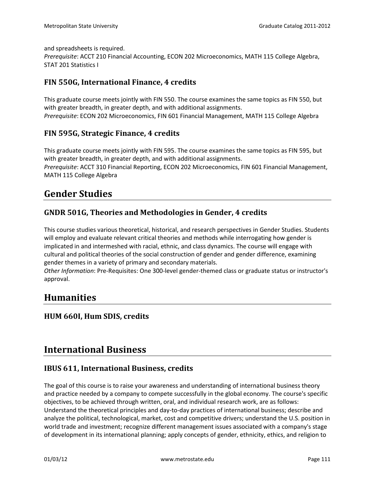and spreadsheets is required.

*Prerequisite*: ACCT 210 Financial Accounting, ECON 202 Microeconomics, MATH 115 College Algebra, STAT 201 Statistics I

#### **FIN 550G, International Finance, 4 credits**

This graduate course meets jointly with FIN 550. The course examines the same topics as FIN 550, but with greater breadth, in greater depth, and with additional assignments. *Prerequisite*: ECON 202 Microeconomics, FIN 601 Financial Management, MATH 115 College Algebra

#### **FIN 595G, Strategic Finance, 4 credits**

This graduate course meets jointly with FIN 595. The course examines the same topics as FIN 595, but with greater breadth, in greater depth, and with additional assignments. *Prerequisite*: ACCT 310 Financial Reporting, ECON 202 Microeconomics, FIN 601 Financial Management, MATH 115 College Algebra

# **Gender Studies**

#### **GNDR 501G, Theories and Methodologies in Gender, 4 credits**

This course studies various theoretical, historical, and research perspectives in Gender Studies. Students will employ and evaluate relevant critical theories and methods while interrogating how gender is implicated in and intermeshed with racial, ethnic, and class dynamics. The course will engage with cultural and political theories of the social construction of gender and gender difference, examining gender themes in a variety of primary and secondary materials.

*Other Information*: Pre-Requisites: One 300-level gender-themed class or graduate status or instructor's approval.

# **Humanities**

#### **HUM 660I, Hum SDIS, credits**

# **International Business**

#### **IBUS 611, International Business, credits**

The goal of this course is to raise your awareness and understanding of international business theory and practice needed by a company to compete successfully in the global economy. The course's specific objectives, to be achieved through written, oral, and individual research work, are as follows: Understand the theoretical principles and day-to-day practices of international business; describe and analyze the political, technological, market, cost and competitive drivers; understand the U.S. position in world trade and investment; recognize different management issues associated with a company's stage of development in its international planning; apply concepts of gender, ethnicity, ethics, and religion to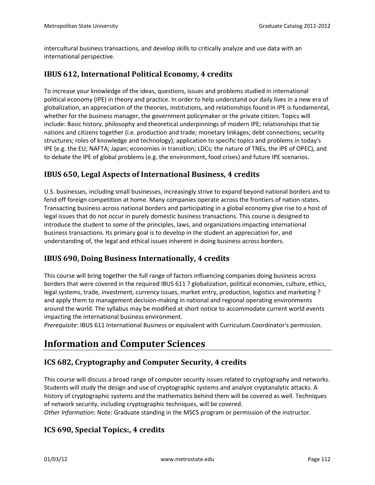intercultural business transactions, and develop skills to critically analyze and use data with an international perspective.

#### **IBUS 612, International Political Economy, 4 credits**

To increase your knowledge of the ideas, questions, issues and problems studied in international political economy (IPE) in theory and practice. In order to help understand our daily lives in a new era of globalization, an appreciation of the theories, institutions, and relationships found in IPE is fundamental, whether for the business manager, the government policymaker or the private citizen. Topics will include: Basic history, philosophy and theoretical underpinnings of modern IPE; relationships that tie nations and citizens together (i.e. production and trade; monetary linkages; debt connections; security structures; roles of knowledge and technology); application to specific topics and problems in today's IPE (e.g. the EU; NAFTA; Japan; economies in transition; LDCs; the nature of TNEs, the IPE of OPEC), and to debate the IPE of global problems (e.g. the environment, food crises) and future IPE scenarios.

#### **IBUS 650, Legal Aspects of International Business, 4 credits**

U.S. businesses, including small businesses, increasingly strive to expand beyond national borders and to fend off foreign competition at home. Many companies operate across the frontiers of nation-states. Transacting business across national borders and participating in a global economy give rise to a host of legal issues that do not occur in purely domestic business transactions. This course is designed to introduce the student to some of the principles, laws, and organizations impacting international business transactions. Its primary goal is to develop in the student an appreciation for, and understanding of, the legal and ethical issues inherent in doing business across borders.

#### **IBUS 690, Doing Business Internationally, 4 credits**

This course will bring together the full range of factors influencing companies doing business across borders that were covered in the required IBUS 611 ? globalization, political economies, culture, ethics, legal systems, trade, investment, currency issues, market entry, production, logistics and marketing ? and apply them to management decision-making in national and regional operating environments around the world. The syllabus may be modified at short notice to accommodate current world events impacting the international business environment.

*Prerequisite*: IBUS 611 International Business or equivalent with Curriculum Coordinator's permission.

# **Information and Computer Sciences**

#### **ICS 682, Cryptography and Computer Security, 4 credits**

This course will discuss a broad range of computer security issues related to cryptography and networks. Students will study the design and use of cryptographic systems and analyze cryptanalytic attacks. A history of cryptographic systems and the mathematics behind them will be covered as well. Techniques of network security, including cryptographic techniques, will be covered.

*Other Information*: Note: Graduate standing in the MSCS program or permission of the instructor.

#### **ICS 690, Special Topics:, 4 credits**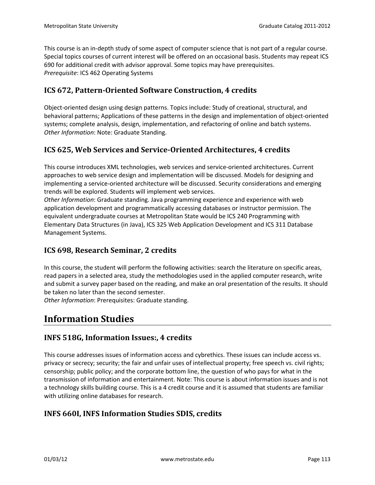This course is an in-depth study of some aspect of computer science that is not part of a regular course. Special topics courses of current interest will be offered on an occasional basis. Students may repeat ICS 690 for additional credit with advisor approval. Some topics may have prerequisites. *Prerequisite*: ICS 462 Operating Systems

# **ICS 672, Pattern-Oriented Software Construction, 4 credits**

Object-oriented design using design patterns. Topics include: Study of creational, structural, and behavioral patterns; Applications of these patterns in the design and implementation of object-oriented systems; complete analysis, design, implementation, and refactoring of online and batch systems. *Other Information*: Note: Graduate Standing.

# **ICS 625, Web Services and Service-Oriented Architectures, 4 credits**

This course introduces XML technologies, web services and service-oriented architectures. Current approaches to web service design and implementation will be discussed. Models for designing and implementing a service-oriented architecture will be discussed. Security considerations and emerging trends will be explored. Students will implement web services.

*Other Information*: Graduate standing. Java programming experience and experience with web application development and programmatically accessing databases or instructor permission. The equivalent undergraduate courses at Metropolitan State would be ICS 240 Programming with Elementary Data Structures (in Java), ICS 325 Web Application Development and ICS 311 Database Management Systems.

#### **ICS 698, Research Seminar, 2 credits**

In this course, the student will perform the following activities: search the literature on specific areas, read papers in a selected area, study the methodologies used in the applied computer research, write and submit a survey paper based on the reading, and make an oral presentation of the results. It should be taken no later than the second semester.

*Other Information*: Prerequisites: Graduate standing.

# **Information Studies**

#### **INFS 518G, Information Issues:, 4 credits**

This course addresses issues of information access and cybrethics. These issues can include access vs. privacy or secrecy; security; the fair and unfair uses of intellectual property; free speech vs. civil rights; censorship; public policy; and the corporate bottom line, the question of who pays for what in the transmission of information and entertainment. Note: This course is about information issues and is not a technology skills building course. This is a 4 credit course and it is assumed that students are familiar with utilizing online databases for research.

#### **INFS 660I, INFS Information Studies SDIS, credits**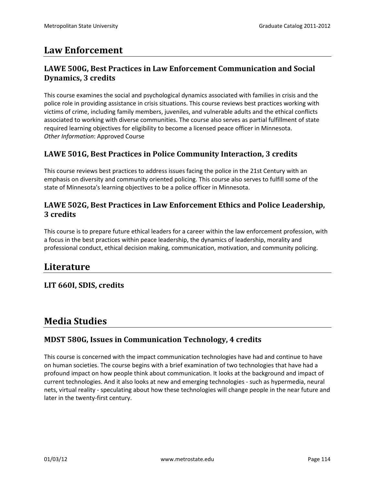# **Law Enforcement**

### **LAWE 500G, Best Practices in Law Enforcement Communication and Social Dynamics, 3 credits**

This course examines the social and psychological dynamics associated with families in crisis and the police role in providing assistance in crisis situations. This course reviews best practices working with victims of crime, including family members, juveniles, and vulnerable adults and the ethical conflicts associated to working with diverse communities. The course also serves as partial fulfillment of state required learning objectives for eligibility to become a licensed peace officer in Minnesota. *Other Information*: Approved Course

#### **LAWE 501G, Best Practices in Police Community Interaction, 3 credits**

This course reviews best practices to address issues facing the police in the 21st Century with an emphasis on diversity and community oriented policing. This course also serves to fulfill some of the state of Minnesota's learning objectives to be a police officer in Minnesota.

#### **LAWE 502G, Best Practices in Law Enforcement Ethics and Police Leadership, 3 credits**

This course is to prepare future ethical leaders for a career within the law enforcement profession, with a focus in the best practices within peace leadership, the dynamics of leadership, morality and professional conduct, ethical decision making, communication, motivation, and community policing.

# **Literature**

#### **LIT 660I, SDIS, credits**

# **Media Studies**

#### **MDST 580G, Issues in Communication Technology, 4 credits**

This course is concerned with the impact communication technologies have had and continue to have on human societies. The course begins with a brief examination of two technologies that have had a profound impact on how people think about communication. It looks at the background and impact of current technologies. And it also looks at new and emerging technologies - such as hypermedia, neural nets, virtual reality - speculating about how these technologies will change people in the near future and later in the twenty-first century.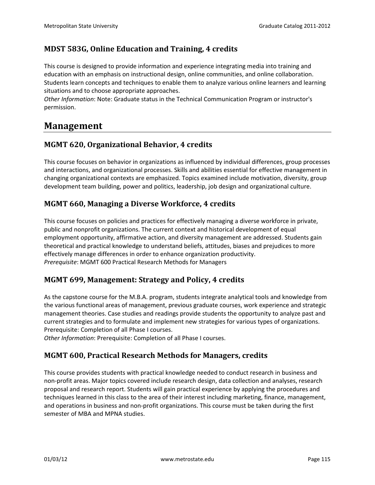# **MDST 583G, Online Education and Training, 4 credits**

This course is designed to provide information and experience integrating media into training and education with an emphasis on instructional design, online communities, and online collaboration. Students learn concepts and techniques to enable them to analyze various online learners and learning situations and to choose appropriate approaches.

*Other Information*: Note: Graduate status in the Technical Communication Program or instructor's permission.

# **Management**

# **MGMT 620, Organizational Behavior, 4 credits**

This course focuses on behavior in organizations as influenced by individual differences, group processes and interactions, and organizational processes. Skills and abilities essential for effective management in changing organizational contexts are emphasized. Topics examined include motivation, diversity, group development team building, power and politics, leadership, job design and organizational culture.

#### **MGMT 660, Managing a Diverse Workforce, 4 credits**

This course focuses on policies and practices for effectively managing a diverse workforce in private, public and nonprofit organizations. The current context and historical development of equal employment opportunity, affirmative action, and diversity management are addressed. Students gain theoretical and practical knowledge to understand beliefs, attitudes, biases and prejudices to more effectively manage differences in order to enhance organization productivity. *Prerequisite*: MGMT 600 Practical Research Methods for Managers

#### **MGMT 699, Management: Strategy and Policy, 4 credits**

As the capstone course for the M.B.A. program, students integrate analytical tools and knowledge from the various functional areas of management, previous graduate courses, work experience and strategic management theories. Case studies and readings provide students the opportunity to analyze past and current strategies and to formulate and implement new strategies for various types of organizations. Prerequisite: Completion of all Phase I courses.

*Other Information*: Prerequisite: Completion of all Phase I courses.

#### **MGMT 600, Practical Research Methods for Managers, credits**

This course provides students with practical knowledge needed to conduct research in business and non-profit areas. Major topics covered include research design, data collection and analyses, research proposal and research report. Students will gain practical experience by applying the procedures and techniques learned in this class to the area of their interest including marketing, finance, management, and operations in business and non-profit organizations. This course must be taken during the first semester of MBA and MPNA studies.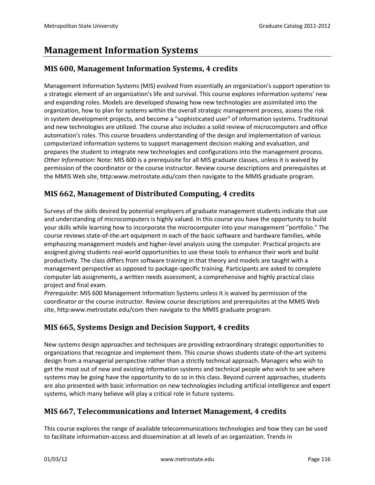# **Management Information Systems**

# **MIS 600, Management Information Systems, 4 credits**

Management Information Systems (MIS) evolved from essentially an organization's support operation to a strategic element of an organization's life and survival. This course explores information systems' new and expanding roles. Models are developed showing how new technologies are assimilated into the organization, how to plan for systems within the overall strategic management process, assess the risk in system development projects, and become a "sophisticated user" of information systems. Traditional and new technologies are utilized. The course also includes a solid review of microcomputers and office automation's roles. This course broadens understanding of the design and implementation of various computerized information systems to support management decision making and evaluation, and prepares the student to integrate new technologies and configurations into the management process. *Other Information*: Note: MIS 600 is a prerequisite for all MIS graduate classes, unless it is waived by permission of the coordinator or the course instructor. Review course descriptions and prerequisites at the MMIS Web site, http:www.metrostate.edu/com then navigate to the MMIS graduate program.

# **MIS 662, Management of Distributed Computing, 4 credits**

Surveys of the skills desired by potential employers of graduate management students indicate that use and understanding of microcomputers is highly valued. In this course you have the opportunity to build your skills while learning how to incorporate the microcomputer into your management "portfolio." The course reviews state-of-the-art equipment in each of the basic software and hardware families, while emphaszing management models and higher-level analysis using the computer. Practical projects are assigned giving students real-world opportunities to use these tools to enhance their work and build productivity. The class differs from software training in that theory and models are taught with a management perspective as opposed to package-specific training. Participants are asked to complete computer lab assignments, a written needs assessment, a comprehensive and highly practical class project and final exam.

*Prerequisite*: MIS 600 Management Information Systems unless it is waived by permission of the coordinator or the course instructor. Review course descriptions and prerequisites at the MMIS Web site, http:www.metrostate.edu/com then navigate to the MMIS graduate program.

# **MIS 665, Systems Design and Decision Support, 4 credits**

New systems design approaches and techniques are providing extraordinary strategic opportunities to organizations that recognize and implement them. This course shows students state-of-the-art systems design from a managerial perspective rather than a strictly technical approach. Managers who wish to get the most out of new and existing information systems and technical people who wish to see where systems may be going have the opportunity to do so in this class. Beyond current approaches, students are also presented with basic information on new technologies including artificial intelligence and expert systems, which many believe will play a critical role in future systems.

# **MIS 667, Telecommunications and Internet Management, 4 credits**

This course explores the range of available telecommunications technologies and how they can be used to facilitate information-access and dissemination at all levels of an organization. Trends in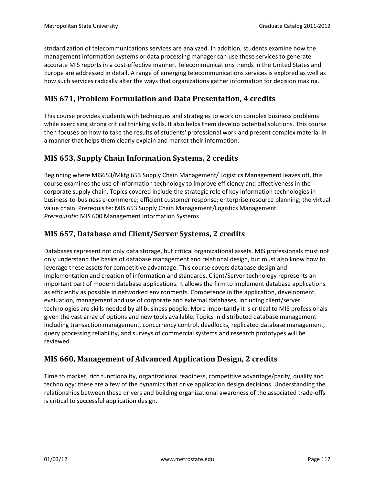stndardization of telecommunications services are analyzed. In addition, students examine how the management information systems or data processing manager can use these services to generate accurate MIS reports in a cost-effective manner. Telecommunications trends in the United States and Europe are addressed in detail. A range of emerging telecommunications services is explored as well as how such services radically alter the ways that organizations gather information for decision making.

# **MIS 671, Problem Formulation and Data Presentation, 4 credits**

This course provides students with techniques and strategies to work on complex business problems while exercising strong critical thinking skills. It also helps them develop potential solutions. This course then focuses on how to take the results of students' professional work and present complex material in a manner that helps them clearly explain and market their information.

# **MIS 653, Supply Chain Information Systems, 2 credits**

Beginning where MIS653/Mktg 653 Supply Chain Management/ Logistics Management leaves off, this course examines the use of information technology to improve efficiency and effectiveness in the corporate supply chain. Topics covered include the strategic role of key information technologies in business-to-business e-commerce; efficient customer response; enterprise resource planning; the virtual value chain. Prerequisite: MIS 653 Supply Chain Management/Logistics Management. *Prerequisite*: MIS 600 Management Information Systems

# **MIS 657, Database and Client/Server Systems, 2 credits**

Databases represent not only data storage, but critical organizational assets. MIS professionals must not only understand the basics of database management and relational design, but must also know how to leverage these assets for competitive advantage. This course covers database design and implementation and creation of information and standards. Client/Server technology represents an important part of modern database applications. It allows the firm to implement database applications as efficiently as possible in networked environments. Competence in the application, development, evaluation, management and use of corporate and external databases, including client/server technologies are skills needed by all business people. More importantly it is critical to MIS professionals given the vast array of options and new tools available. Topics in distributed database management including transaction management, concurrency control, deadlocks, replicated database management, query processing reliability, and surveys of commercial systems and research prototypes will be reviewed.

# **MIS 660, Management of Advanced Application Design, 2 credits**

Time to market, rich functionality, organizational readiness, competitive advantage/parity, quality and technology: these are a few of the dynamics that drive application design decisions. Understanding the relationships between these drivers and building organizational awareness of the associated trade-offs is critical to successful application design.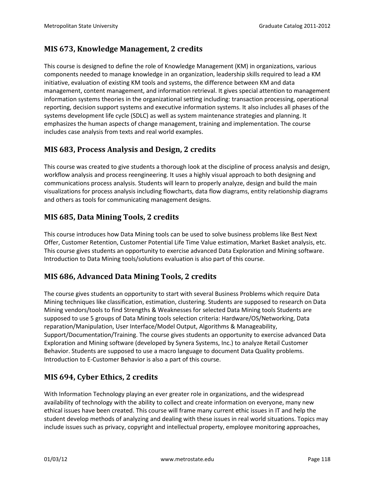# **MIS 673, Knowledge Management, 2 credits**

This course is designed to define the role of Knowledge Management (KM) in organizations, various components needed to manage knowledge in an organization, leadership skills required to lead a KM initiative, evaluation of existing KM tools and systems, the difference between KM and data management, content management, and information retrieval. It gives special attention to management information systems theories in the organizational setting including: transaction processing, operational reporting, decision support systems and executive information systems. It also includes all phases of the systems development life cycle (SDLC) as well as system maintenance strategies and planning. It emphasizes the human aspects of change management, training and implementation. The course includes case analysis from texts and real world examples.

# **MIS 683, Process Analysis and Design, 2 credits**

This course was created to give students a thorough look at the discipline of process analysis and design, workflow analysis and process reengineering. It uses a highly visual approach to both designing and communications process analysis. Students will learn to properly analyze, design and build the main visualizations for process analysis including flowcharts, data flow diagrams, entity relationship diagrams and others as tools for communicating management designs.

# **MIS 685, Data Mining Tools, 2 credits**

This course introduces how Data Mining tools can be used to solve business problems like Best Next Offer, Customer Retention, Customer Potential Life Time Value estimation, Market Basket analysis, etc. This course gives students an opportunity to exercise advanced Data Exploration and Mining software. Introduction to Data Mining tools/solutions evaluation is also part of this course.

#### **MIS 686, Advanced Data Mining Tools, 2 credits**

The course gives students an opportunity to start with several Business Problems which require Data Mining techniques like classification, estimation, clustering. Students are supposed to research on Data Mining vendors/tools to find Strengths & Weaknesses for selected Data Mining tools Students are supposed to use 5 groups of Data Mining tools selection criteria: Hardware/OS/Networking, Data reparation/Manipulation, User Interface/Model Output, Algorithms & Manageability, Support/Documentation/Training. The course gives students an opportunity to exercise advanced Data Exploration and Mining software (developed by Synera Systems, Inc.) to analyze Retail Customer Behavior. Students are supposed to use a macro language to document Data Quality problems. Introduction to E-Customer Behavior is also a part of this course.

# **MIS 694, Cyber Ethics, 2 credits**

With Information Technology playing an ever greater role in organizations, and the widespread availability of technology with the ability to collect and create information on everyone, many new ethical issues have been created. This course will frame many current ethic issues in IT and help the student develop methods of analyzing and dealing with these issues in real world situations. Topics may include issues such as privacy, copyright and intellectual property, employee monitoring approaches,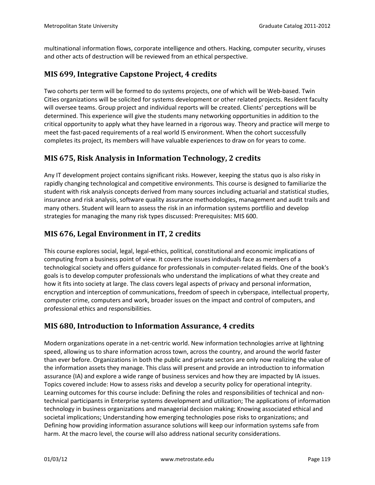multinational information flows, corporate intelligence and others. Hacking, computer security, viruses and other acts of destruction will be reviewed from an ethical perspective.

#### **MIS 699, Integrative Capstone Project, 4 credits**

Two cohorts per term will be formed to do systems projects, one of which will be Web-based. Twin Cities organizations will be solicited for systems development or other related projects. Resident faculty will oversee teams. Group project and individual reports will be created. Clients' perceptions will be determined. This experience will give the students many networking opportunities in addition to the critical opportunity to apply what they have learned in a rigorous way. Theory and practice will merge to meet the fast-paced requirements of a real world IS environment. When the cohort successfully completes its project, its members will have valuable experiences to draw on for years to come.

#### **MIS 675, Risk Analysis in Information Technology, 2 credits**

Any IT development project contains significant risks. However, keeping the status quo is also risky in rapidly changing technological and competitive environments. This course is designed to familiarize the student with risk analysis concepts derived from many sources including actuarial and statistical studies, insurance and risk analysis, software quality assurance methodologies, management and audit trails and many others. Student will learn to assess the risk in an information systems portfilio and develop strategies for managing the many risk types discussed: Prerequisites: MIS 600.

# **MIS 676, Legal Environment in IT, 2 credits**

This course explores social, legal, legal-ethics, political, constitutional and economic implications of computing from a business point of view. It covers the issues individuals face as members of a technological society and offers guidance for professionals in computer-related fields. One of the book's goals is to develop computer professionals who understand the implications of what they create and how it fits into society at large. The class covers legal aspects of privacy and personal information, encryption and interception of communications, freedom of speech in cyberspace, intellectual property, computer crime, computers and work, broader issues on the impact and control of computers, and professional ethics and responsibilities.

#### **MIS 680, Introduction to Information Assurance, 4 credits**

Modern organizations operate in a net-centric world. New information technologies arrive at lightning speed, allowing us to share information across town, across the country, and around the world faster than ever before. Organizations in both the public and private sectors are only now realizing the value of the information assets they manage. This class will present and provide an introduction to information assurance (IA) and explore a wide range of business services and how they are impacted by IA issues. Topics covered include: How to assess risks and develop a security policy for operational integrity. Learning outcomes for this course include: Defining the roles and responsibilities of technical and nontechnical participants in Enterprise systems development and utilization; The applications of information technology in business organizations and managerial decision making; Knowing associated ethical and societal implications; Understanding how emerging technologies pose risks to organizations; and Defining how providing information assurance solutions will keep our information systems safe from harm. At the macro level, the course will also address national security considerations.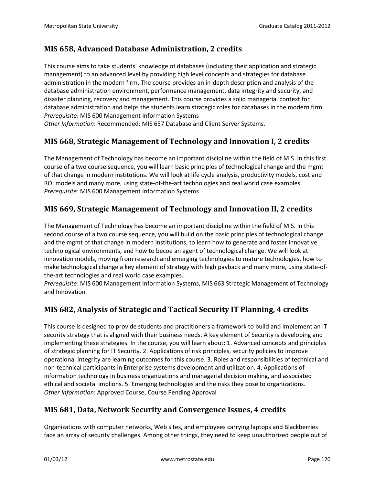# **MIS 658, Advanced Database Administration, 2 credits**

This course aims to take students' knowledge of databases (including their application and strategic management) to an advanced level by providing high level concepts and strategies for database administration in the modern firm. The course provides an in-depth description and analysis of the database administration environment, performance management, data integrity and security, and disaster planning, recovery and management. This course provides a solid managerial context for database administration and helps the students learn strategic roles for databases in the modern firm. *Prerequisite*: MIS 600 Management Information Systems

*Other Information*: Recommended: MIS 657 Database and Client Server Systems.

# **MIS 668, Strategic Management of Technology and Innovation I, 2 credits**

The Management of Technology has become an important discipline within the field of MIS. In this first course of a two course sequence, you will learn basic principles of technological change and the mgmt of that change in modern institutions. We will look at life cycle analysis, productivity models, cost and ROI models and many more, using state-of-the-art technologies and real world case examples. *Prerequisite*: MIS 600 Management Information Systems

# **MIS 669, Strategic Management of Technology and Innovation II, 2 credits**

The Management of Technology has become an important discipline within the field of MIS. In this second course of a two course sequence, you will build on the basic principles of technological change and the mgmt of that change in modern institutions, to learn how to generate and foster innovative technological environments, and how to becoe an agent of technological change. We will look at innovation models, moving from research and emerging technologies to mature technologies, how to make technological change a key element of strategy with high payback and many more, using state-ofthe-art technologies and real world case examples.

*Prerequisite*: MIS 600 Management Information Systems, MIS 663 Strategic Management of Technology and Innovation

# **MIS 682, Analysis of Strategic and Tactical Security IT Planning, 4 credits**

This course is designed to provide students and practitioners a framework to build and implement an IT security strategy that is aligned with their business needs. A key element of Security is developing and implementing these strategies. In the course, you will learn about: 1. Advanced concepts and principles of strategic planning for IT Security. 2. Applications of risk principles, security policies to improve operational integrity are learning outcomes for this course. 3. Roles and responsibilities of technical and non-technical participants in Enterprise systems development and utilization. 4. Applications of information technology in business organizations and managerial decision making, and associated ethical and societal implions. 5. Emerging technologies and the risks they pose to organizations. *Other Information*: Approved Course, Course Pending Approval

#### **MIS 681, Data, Network Security and Convergence Issues, 4 credits**

Organizations with computer networks, Web sites, and employees carrying laptops and Blackberries face an array of security challenges. Among other things, they need to keep unauthorized people out of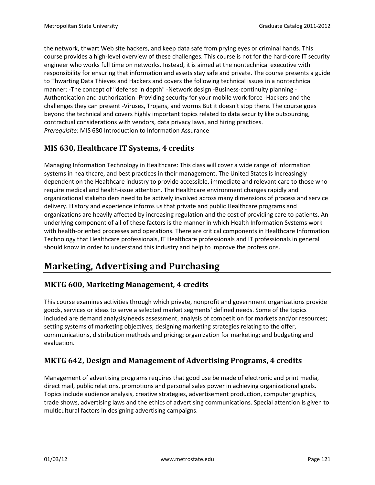the network, thwart Web site hackers, and keep data safe from prying eyes or criminal hands. This course provides a high-level overview of these challenges. This course is not for the hard-core IT security engineer who works full time on networks. Instead, it is aimed at the nontechnical executive with responsibility for ensuring that information and assets stay safe and private. The course presents a guide to Thwarting Data Thieves and Hackers and covers the following technical issues in a nontechnical manner: -The concept of "defense in depth" -Network design -Business-continuity planning - Authentication and authorization -Providing security for your mobile work force -Hackers and the challenges they can present -Viruses, Trojans, and worms But it doesn't stop there. The course goes beyond the technical and covers highly important topics related to data security like outsourcing, contractual considerations with vendors, data privacy laws, and hiring practices. *Prerequisite*: MIS 680 Introduction to Information Assurance

# **MIS 630, Healthcare IT Systems, 4 credits**

Managing Information Technology in Healthcare: This class will cover a wide range of information systems in healthcare, and best practices in their management. The United States is increasingly dependent on the Healthcare industry to provide accessible, immediate and relevant care to those who require medical and health-issue attention. The Healthcare environment changes rapidly and organizational stakeholders need to be actively involved across many dimensions of process and service delivery. History and experience informs us that private and public Healthcare programs and organizations are heavily affected by increasing regulation and the cost of providing care to patients. An underlying component of all of these factors is the manner in which Health Information Systems work with health-oriented processes and operations. There are critical components in Healthcare Information Technology that Healthcare professionals, IT Healthcare professionals and IT professionals in general should know in order to understand this industry and help to improve the professions.

# **Marketing, Advertising and Purchasing**

#### **MKTG 600, Marketing Management, 4 credits**

This course examines activities through which private, nonprofit and government organizations provide goods, services or ideas to serve a selected market segments' defined needs. Some of the topics included are demand analysis/needs assessment, analysis of competition for markets and/or resources; setting systems of marketing objectives; designing marketing strategies relating to the offer, communications, distribution methods and pricing; organization for marketing; and budgeting and evaluation.

#### **MKTG 642, Design and Management of Advertising Programs, 4 credits**

Management of advertising programs requires that good use be made of electronic and print media, direct mail, public relations, promotions and personal sales power in achieving organizational goals. Topics include audience analysis, creative strategies, advertisement production, computer graphics, trade shows, advertising laws and the ethics of advertising communications. Special attention is given to multicultural factors in designing advertising campaigns.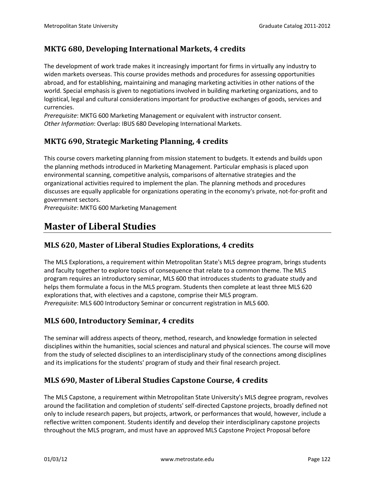#### **MKTG 680, Developing International Markets, 4 credits**

The development of work trade makes it increasingly important for firms in virtually any industry to widen markets overseas. This course provides methods and procedures for assessing opportunities abroad, and for establishing, maintaining and managing marketing activities in other nations of the world. Special emphasis is given to negotiations involved in building marketing organizations, and to logistical, legal and cultural considerations important for productive exchanges of goods, services and currencies.

*Prerequisite*: MKTG 600 Marketing Management or equivalent with instructor consent. *Other Information*: Overlap: IBUS 680 Developing International Markets.

#### **MKTG 690, Strategic Marketing Planning, 4 credits**

This course covers marketing planning from mission statement to budgets. It extends and builds upon the planning methods introduced in Marketing Management. Particular emphasis is placed upon environmental scanning, competitive analysis, comparisons of alternative strategies and the organizational activities required to implement the plan. The planning methods and procedures discusses are equally applicable for organizations operating in the economy's private, not-for-profit and government sectors.

*Prerequisite*: MKTG 600 Marketing Management

# **Master of Liberal Studies**

#### **MLS 620, Master of Liberal Studies Explorations, 4 credits**

The MLS Explorations, a requirement within Metropolitan State's MLS degree program, brings students and faculty together to explore topics of consequence that relate to a common theme. The MLS program requires an introductory seminar, MLS 600 that introduces students to graduate study and helps them formulate a focus in the MLS program. Students then complete at least three MLS 620 explorations that, with electives and a capstone, comprise their MLS program. *Prerequisite*: MLS 600 Introductory Seminar or concurrent registration in MLS 600.

#### **MLS 600, Introductory Seminar, 4 credits**

The seminar will address aspects of theory, method, research, and knowledge formation in selected disciplines within the humanities, social sciences and natural and physical sciences. The course will move from the study of selected disciplines to an interdisciplinary study of the connections among disciplines and its implications for the students' program of study and their final research project.

#### **MLS 690, Master of Liberal Studies Capstone Course, 4 credits**

The MLS Capstone, a requirement within Metropolitan State University's MLS degree program, revolves around the facilitation and completion of students' self-directed Capstone projects, broadly defined not only to include research papers, but projects, artwork, or performances that would, however, include a reflective written component. Students identify and develop their interdisciplinary capstone projects throughout the MLS program, and must have an approved MLS Capstone Project Proposal before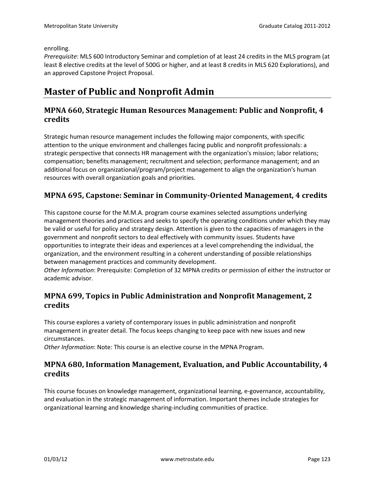enrolling.

*Prerequisite*: MLS 600 Introductory Seminar and completion of at least 24 credits in the MLS program (at least 8 elective credits at the level of 500G or higher, and at least 8 credits in MLS 620 Explorations), and an approved Capstone Project Proposal.

# **Master of Public and Nonprofit Admin**

#### **MPNA 660, Strategic Human Resources Management: Public and Nonprofit, 4 credits**

Strategic human resource management includes the following major components, with specific attention to the unique environment and challenges facing public and nonprofit professionals: a strategic perspective that connects HR management with the organization's mission; labor relations; compensation; benefits management; recruitment and selection; performance management; and an additional focus on organizational/program/project management to align the organization's human resources with overall organization goals and priorities.

# **MPNA 695, Capstone: Seminar in Community-Oriented Management, 4 credits**

This capstone course for the M.M.A. program course examines selected assumptions underlying management theories and practices and seeks to specify the operating conditions under which they may be valid or useful for policy and strategy design. Attention is given to the capacities of managers in the government and nonprofit sectors to deal effectively with community issues. Students have opportunities to integrate their ideas and experiences at a level comprehending the individual, the organization, and the environment resulting in a coherent understanding of possible relationships between management practices and community development.

*Other Information*: Prerequisite: Completion of 32 MPNA credits or permission of either the instructor or academic advisor.

# **MPNA 699, Topics in Public Administration and Nonprofit Management, 2 credits**

This course explores a variety of contemporary issues in public administration and nonprofit management in greater detail. The focus keeps changing to keep pace with new issues and new circumstances.

*Other Information*: Note: This course is an elective course in the MPNA Program.

#### **MPNA 680, Information Management, Evaluation, and Public Accountability, 4 credits**

This course focuses on knowledge management, organizational learning, e-governance, accountability, and evaluation in the strategic management of information. Important themes include strategies for organizational learning and knowledge sharing-including communities of practice.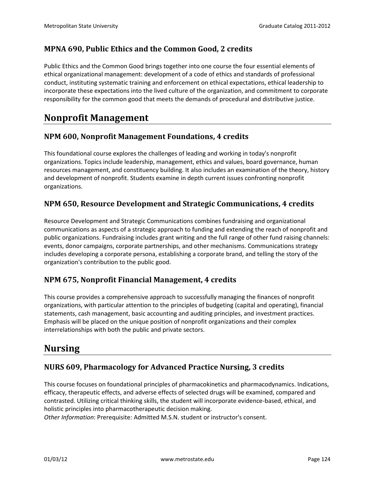# **MPNA 690, Public Ethics and the Common Good, 2 credits**

Public Ethics and the Common Good brings together into one course the four essential elements of ethical organizational management: development of a code of ethics and standards of professional conduct, instituting systematic training and enforcement on ethical expectations, ethical leadership to incorporate these expectations into the lived culture of the organization, and commitment to corporate responsibility for the common good that meets the demands of procedural and distributive justice.

# **Nonprofit Management**

#### **NPM 600, Nonprofit Management Foundations, 4 credits**

This foundational course explores the challenges of leading and working in today's nonprofit organizations. Topics include leadership, management, ethics and values, board governance, human resources management, and constituency building. It also includes an examination of the theory, history and development of nonprofit. Students examine in depth current issues confronting nonprofit organizations.

#### **NPM 650, Resource Development and Strategic Communications, 4 credits**

Resource Development and Strategic Communications combines fundraising and organizational communications as aspects of a strategic approach to funding and extending the reach of nonprofit and public organizations. Fundraising includes grant writing and the full range of other fund raising channels: events, donor campaigns, corporate partnerships, and other mechanisms. Communications strategy includes developing a corporate persona, establishing a corporate brand, and telling the story of the organization's contribution to the public good.

#### **NPM 675, Nonprofit Financial Management, 4 credits**

This course provides a comprehensive approach to successfully managing the finances of nonprofit organizations, with particular attention to the principles of budgeting (capital and operating), financial statements, cash management, basic accounting and auditing principles, and investment practices. Emphasis will be placed on the unique position of nonprofit organizations and their complex interrelationships with both the public and private sectors.

# **Nursing**

#### **NURS 609, Pharmacology for Advanced Practice Nursing, 3 credits**

This course focuses on foundational principles of pharmacokinetics and pharmacodynamics. Indications, efficacy, therapeutic effects, and adverse effects of selected drugs will be examined, compared and contrasted. Utilizing critical thinking skills, the student will incorporate evidence-based, ethical, and holistic principles into pharmacotherapeutic decision making.

*Other Information*: Prerequisite: Admitted M.S.N. student or instructor's consent.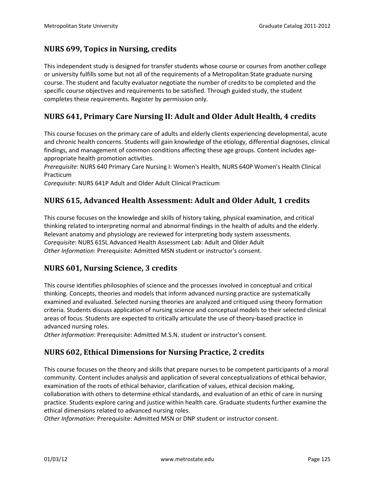## **NURS 699, Topics in Nursing, credits**

This independent study is designed for transfer students whose course or courses from another college or university fulfills some but not all of the requirements of a Metropolitan State graduate nursing course. The student and faculty evaluator negotiate the number of credits to be completed and the specific course objectives and requirements to be satisfied. Through guided study, the student completes these requirements. Register by permission only.

# **NURS 641, Primary Care Nursing II: Adult and Older Adult Health, 4 credits**

This course focuses on the primary care of adults and elderly clients experiencing developmental, acute and chronic health concerns. Students will gain knowledge of the etiology, differential diagnoses, clinical findings, and management of common conditions affecting these age groups. Content includes ageappropriate health promotion activities.

*Prerequisite*: NURS 640 Primary Care Nursing I: Women's Health, NURS 640P Women's Health Clinical Practicum

*Corequisite*: NURS 641P Adult and Older Adult Clinical Practicum

#### **NURS 615, Advanced Health Assessment: Adult and Older Adult, 1 credits**

This course focuses on the knowledge and skills of history taking, physical examination, and critical thinking related to interpreting normal and abnormal findings in the health of adults and the elderly. Relevant anatomy and physiology are reviewed for interpreting body system assessments. *Corequisite*: NURS 615L Advanced Health Assessment Lab: Adult and Older Adult *Other Information*: Prerequisite: Admitted MSN student or instructor's consent.

#### **NURS 601, Nursing Science, 3 credits**

This course identifies philosophies of science and the processes involved in conceptual and critical thinking. Concepts, theories and models that inform advanced nursing practice are systematically examined and evaluated. Selected nursing theories are analyzed and critiqued using theory formation criteria. Students discuss application of nursing science and conceptual models to their selected clinical areas of focus. Students are expected to critically articulate the use of theory-based practice in advanced nursing roles.

*Other Information*: Prerequisite: Admitted M.S.N. student or instructor's consent.

#### **NURS 602, Ethical Dimensions for Nursing Practice, 2 credits**

This course focuses on the theory and skills that prepare nurses to be competent participants of a moral community. Content includes analysis and application of several conceptualizations of ethical behavior, examination of the roots of ethical behavior, clarification of values, ethical decision making, collaboration with others to determine ethical standards, and evaluation of an ethic of care in nursing practice. Students explore caring and justice within health care. Graduate students further examine the ethical dimensions related to advanced nursing roles.

*Other Information*: Prerequisite: Admitted MSN or DNP student or instructor consent.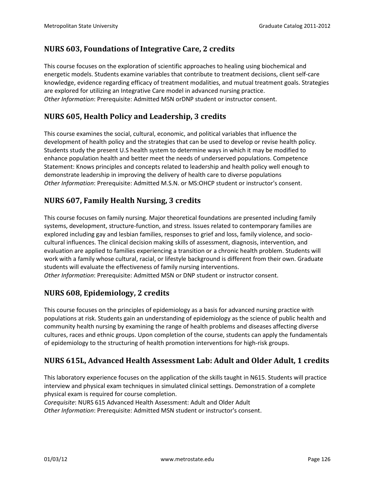# **NURS 603, Foundations of Integrative Care, 2 credits**

This course focuses on the exploration of scientific approaches to healing using biochemical and energetic models. Students examine variables that contribute to treatment decisions, client self-care knowledge, evidence regarding efficacy of treatment modalities, and mutual treatment goals. Strategies are explored for utilizing an Integrative Care model in advanced nursing practice. *Other Information*: Prerequisite: Admitted MSN orDNP student or instructor consent.

# **NURS 605, Health Policy and Leadership, 3 credits**

This course examines the social, cultural, economic, and political variables that influence the development of health policy and the strategies that can be used to develop or revise health policy. Students study the present U.S health system to determine ways in which it may be modified to enhance population health and better meet the needs of underserved populations. Competence Statement: Knows principles and concepts related to leadership and health policy well enough to demonstrate leadership in improving the delivery of health care to diverse populations *Other Information*: Prerequisite: Admitted M.S.N. or MS:OHCP student or instructor's consent.

# **NURS 607, Family Health Nursing, 3 credits**

This course focuses on family nursing. Major theoretical foundations are presented including family systems, development, structure-function, and stress. Issues related to contemporary families are explored including gay and lesbian families, responses to grief and loss, family violence, and sociocultural influences. The clinical decision making skills of assessment, diagnosis, intervention, and evaluation are applied to families experiencing a transition or a chronic health problem. Students will work with a family whose cultural, racial, or lifestyle background is different from their own. Graduate students will evaluate the effectiveness of family nursing interventions. *Other Information*: Prerequisite: Admitted MSN or DNP student or instructor consent.

# **NURS 608, Epidemiology, 2 credits**

This course focuses on the principles of epidemiology as a basis for advanced nursing practice with populations at risk. Students gain an understanding of epidemiology as the science of public health and community health nursing by examining the range of health problems and diseases affecting diverse cultures, races and ethnic groups. Upon completion of the course, students can apply the fundamentals of epidemiology to the structuring of health promotion interventions for high-risk groups.

# **NURS 615L, Advanced Health Assessment Lab: Adult and Older Adult, 1 credits**

This laboratory experience focuses on the application of the skills taught in N615. Students will practice interview and physical exam techniques in simulated clinical settings. Demonstration of a complete physical exam is required for course completion.

*Corequisite*: NURS 615 Advanced Health Assessment: Adult and Older Adult

*Other Information*: Prerequisite: Admitted MSN student or instructor's consent.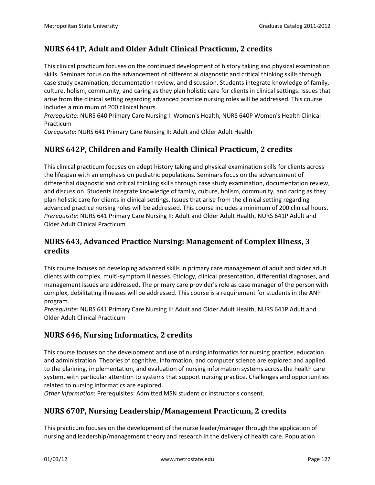# **NURS 641P, Adult and Older Adult Clinical Practicum, 2 credits**

This clinical practicum focuses on the continued development of history taking and physical examination skills. Seminars focus on the advancement of differential diagnostic and critical thinking skills through case study examination, documentation review, and discussion. Students integrate knowledge of family, culture, holism, community, and caring as they plan holistic care for clients in clinical settings. Issues that arise from the clinical setting regarding advanced practice nursing roles will be addressed. This course includes a minimum of 200 clinical hours.

*Prerequisite*: NURS 640 Primary Care Nursing I: Women's Health, NURS 640P Women's Health Clinical Practicum

*Corequisite*: NURS 641 Primary Care Nursing II: Adult and Older Adult Health

# **NURS 642P, Children and Family Health Clinical Practicum, 2 credits**

This clinical practicum focuses on adept history taking and physical examination skills for clients across the lifespan with an emphasis on pediatric populations. Seminars focus on the advancement of differential diagnostic and critical thinking skills through case study examination, documentation review, and discussion. Students integrate knowledge of family, culture, holism, community, and caring as they plan holistic care for clients in clinical settings. Issues that arise from the clinical setting regarding advanced practice nursing roles will be addressed. This course includes a minimum of 200 clinical hours. *Prerequisite*: NURS 641 Primary Care Nursing II: Adult and Older Adult Health, NURS 641P Adult and Older Adult Clinical Practicum

#### **NURS 643, Advanced Practice Nursing: Management of Complex Illness, 3 credits**

This course focuses on developing advanced skills in primary care management of adult and older adult clients with complex, multi-symptom illnesses. Etiology, clinical presentation, differential diagnoses, and management issues are addressed. The primary care provider's role as case manager of the person with complex, debilitating illnesses will be addressed. This course is a requirement for students in the ANP program.

*Prerequisite*: NURS 641 Primary Care Nursing II: Adult and Older Adult Health, NURS 641P Adult and Older Adult Clinical Practicum

#### **NURS 646, Nursing Informatics, 2 credits**

This course focuses on the development and use of nursing informatics for nursing practice, education and administration. Theories of cognitive, information, and computer science are explored and applied to the planning, implementation, and evaluation of nursing information systems across the health care system, with particular attention to systems that support nursing practice. Challenges and opportunities related to nursing informatics are explored.

*Other Information*: Prerequisites: Admitted MSN student or instructor's consent.

#### **NURS 670P, Nursing Leadership/Management Practicum, 2 credits**

This practicum focuses on the development of the nurse leader/manager through the application of nursing and leadership/management theory and research in the delivery of health care. Population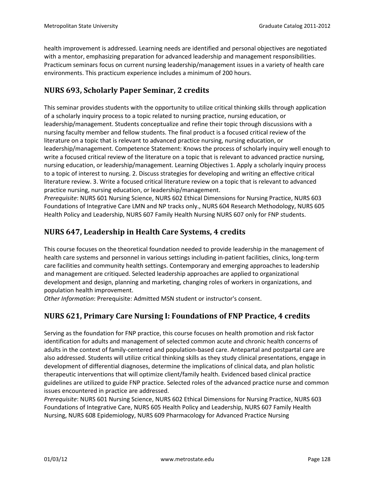health improvement is addressed. Learning needs are identified and personal objectives are negotiated with a mentor, emphasizing preparation for advanced leadership and management responsibilities. Practicum seminars focus on current nursing leadership/management issues in a variety of health care environments. This practicum experience includes a minimum of 200 hours.

# **NURS 693, Scholarly Paper Seminar, 2 credits**

This seminar provides students with the opportunity to utilize critical thinking skills through application of a scholarly inquiry process to a topic related to nursing practice, nursing education, or leadership/management. Students conceptualize and refine their topic through discussions with a nursing faculty member and fellow students. The final product is a focused critical review of the literature on a topic that is relevant to advanced practice nursing, nursing education, or leadership/management. Competence Statement: Knows the process of scholarly inquiry well enough to write a focused critical review of the literature on a topic that is relevant to advanced practice nursing, nursing education, or leadership/management. Learning Objectives 1. Apply a scholarly inquiry process to a topic of interest to nursing. 2. Discuss strategies for developing and writing an effective critical literature review. 3. Write a focused critical literature review on a topic that is relevant to advanced practice nursing, nursing education, or leadership/management.

*Prerequisite*: NURS 601 Nursing Science, NURS 602 Ethical Dimensions for Nursing Practice, NURS 603 Foundations of Integrative Care LMN and NP tracks only., NURS 604 Research Methodology, NURS 605 Health Policy and Leadership, NURS 607 Family Health Nursing NURS 607 only for FNP students.

# **NURS 647, Leadership in Health Care Systems, 4 credits**

This course focuses on the theoretical foundation needed to provide leadership in the management of health care systems and personnel in various settings including in-patient facilities, clinics, long-term care facilities and community health settings. Contemporary and emerging approaches to leadership and management are critiqued. Selected leadership approaches are applied to organizational development and design, planning and marketing, changing roles of workers in organizations, and population health improvement.

*Other Information*: Prerequisite: Admitted MSN student or instructor's consent.

# **NURS 621, Primary Care Nursing I: Foundations of FNP Practice, 4 credits**

Serving as the foundation for FNP practice, this course focuses on health promotion and risk factor identification for adults and management of selected common acute and chronic health concerns of adults in the context of family-centered and population-based care. Antepartal and postpartal care are also addressed. Students will utilize critical thinking skills as they study clinical presentations, engage in development of differential diagnoses, determine the implications of clinical data, and plan holistic therapeutic interventions that will optimize client/family health. Evidenced based clinical practice guidelines are utilized to guide FNP practice. Selected roles of the advanced practice nurse and common issues encountered in practice are addressed.

*Prerequisite*: NURS 601 Nursing Science, NURS 602 Ethical Dimensions for Nursing Practice, NURS 603 Foundations of Integrative Care, NURS 605 Health Policy and Leadership, NURS 607 Family Health Nursing, NURS 608 Epidemiology, NURS 609 Pharmacology for Advanced Practice Nursing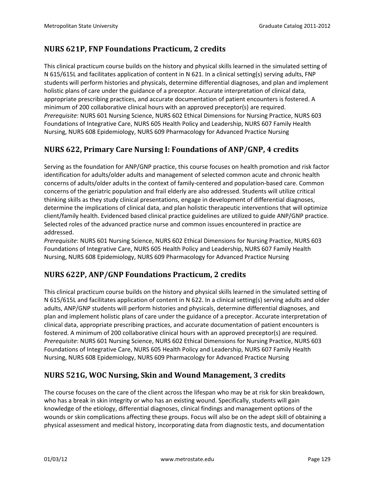# **NURS 621P, FNP Foundations Practicum, 2 credits**

This clinical practicum course builds on the history and physical skills learned in the simulated setting of N 615/615L and facilitates application of content in N 621. In a clinical setting(s) serving adults, FNP students will perform histories and physicals, determine differential diagnoses, and plan and implement holistic plans of care under the guidance of a preceptor. Accurate interpretation of clinical data, appropriate prescribing practices, and accurate documentation of patient encounters is fostered. A minimum of 200 collaborative clinical hours with an approved preceptor(s) are required. *Prerequisite*: NURS 601 Nursing Science, NURS 602 Ethical Dimensions for Nursing Practice, NURS 603 Foundations of Integrative Care, NURS 605 Health Policy and Leadership, NURS 607 Family Health Nursing, NURS 608 Epidemiology, NURS 609 Pharmacology for Advanced Practice Nursing

# **NURS 622, Primary Care Nursing I: Foundations of ANP/GNP, 4 credits**

Serving as the foundation for ANP/GNP practice, this course focuses on health promotion and risk factor identification for adults/older adults and management of selected common acute and chronic health concerns of adults/older adults in the context of family-centered and population-based care. Common concerns of the geriatric population and frail elderly are also addressed. Students will utilize critical thinking skills as they study clinical presentations, engage in development of differential diagnoses, determine the implications of clinical data, and plan holistic therapeutic interventions that will optimize client/family health. Evidenced based clinical practice guidelines are utilized to guide ANP/GNP practice. Selected roles of the advanced practice nurse and common issues encountered in practice are addressed.

*Prerequisite*: NURS 601 Nursing Science, NURS 602 Ethical Dimensions for Nursing Practice, NURS 603 Foundations of Integrative Care, NURS 605 Health Policy and Leadership, NURS 607 Family Health Nursing, NURS 608 Epidemiology, NURS 609 Pharmacology for Advanced Practice Nursing

#### **NURS 622P, ANP/GNP Foundations Practicum, 2 credits**

This clinical practicum course builds on the history and physical skills learned in the simulated setting of N 615/615L and facilitates application of content in N 622. In a clinical setting(s) serving adults and older adults, ANP/GNP students will perform histories and physicals, determine differential diagnoses, and plan and implement holistic plans of care under the guidance of a preceptor. Accurate interpretation of clinical data, appropriate prescribing practices, and accurate documentation of patient encounters is fostered. A minimum of 200 collaborative clinical hours with an approved preceptor(s) are required. *Prerequisite*: NURS 601 Nursing Science, NURS 602 Ethical Dimensions for Nursing Practice, NURS 603 Foundations of Integrative Care, NURS 605 Health Policy and Leadership, NURS 607 Family Health Nursing, NURS 608 Epidemiology, NURS 609 Pharmacology for Advanced Practice Nursing

#### **NURS 521G, WOC Nursing, Skin and Wound Management, 3 credits**

The course focuses on the care of the client across the lifespan who may be at risk for skin breakdown, who has a break in skin integrity or who has an existing wound. Specifically, students will gain knowledge of the etiology, differential diagnoses, clinical findings and management options of the wounds or skin complications affecting these groups. Focus will also be on the adept skill of obtaining a physical assessment and medical history, incorporating data from diagnostic tests, and documentation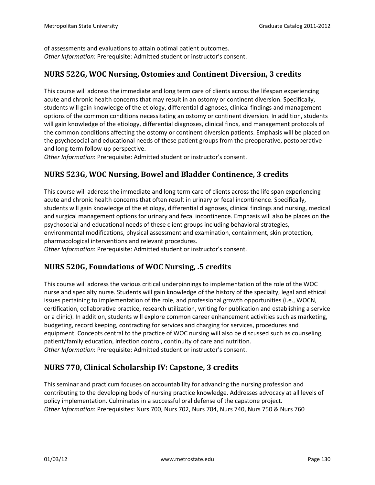of assessments and evaluations to attain optimal patient outcomes. *Other Information*: Prerequisite: Admitted student or instructor's consent.

#### **NURS 522G, WOC Nursing, Ostomies and Continent Diversion, 3 credits**

This course will address the immediate and long term care of clients across the lifespan experiencing acute and chronic health concerns that may result in an ostomy or continent diversion. Specifically, students will gain knowledge of the etiology, differential diagnoses, clinical findings and management options of the common conditions necessitating an ostomy or continent diversion. In addition, students will gain knowledge of the etiology, differential diagnoses, clinical finds, and management protocols of the common conditions affecting the ostomy or continent diversion patients. Emphasis will be placed on the psychosocial and educational needs of these patient groups from the preoperative, postoperative and long-term follow-up perspective.

*Other Information*: Prerequisite: Admitted student or instructor's consent.

# **NURS 523G, WOC Nursing, Bowel and Bladder Continence, 3 credits**

This course will address the immediate and long term care of clients across the life span experiencing acute and chronic health concerns that often result in urinary or fecal incontinence. Specifically, students will gain knowledge of the etiology, differential diagnoses, clinical findings and nursing, medical and surgical management options for urinary and fecal incontinence. Emphasis will also be places on the psychosocial and educational needs of these client groups including behavioral strategies, environmental modifications, physical assessment and examination, containment, skin protection, pharmacological interventions and relevant procedures. *Other Information*: Prerequisite: Admitted student or instructor's consent.

# **NURS 520G, Foundations of WOC Nursing, .5 credits**

This course will address the various critical underpinnings to implementation of the role of the WOC nurse and specialty nurse. Students will gain knowledge of the history of the specialty, legal and ethical issues pertaining to implementation of the role, and professional growth opportunities (i.e., WOCN, certification, collaborative practice, research utilization, writing for publication and establishing a service or a clinic). In addition, students will explore common career enhancement activities such as marketing, budgeting, record keeping, contracting for services and charging for services, procedures and equipment. Concepts central to the practice of WOC nursing will also be discussed such as counseling, patient/family education, infection control, continuity of care and nutrition. *Other Information*: Prerequisite: Admitted student or instructor's consent.

#### **NURS 770, Clinical Scholarship IV: Capstone, 3 credits**

This seminar and practicum focuses on accountability for advancing the nursing profession and contributing to the developing body of nursing practice knowledge. Addresses advocacy at all levels of policy implementation. Culminates in a successful oral defense of the capstone project. *Other Information*: Prerequisites: Nurs 700, Nurs 702, Nurs 704, Nurs 740, Nurs 750 & Nurs 760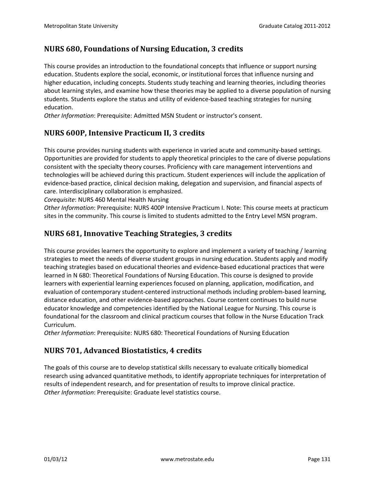#### **NURS 680, Foundations of Nursing Education, 3 credits**

This course provides an introduction to the foundational concepts that influence or support nursing education. Students explore the social, economic, or institutional forces that influence nursing and higher education, including concepts. Students study teaching and learning theories, including theories about learning styles, and examine how these theories may be applied to a diverse population of nursing students. Students explore the status and utility of evidence-based teaching strategies for nursing education.

*Other Information*: Prerequisite: Admitted MSN Student or instructor's consent.

# **NURS 600P, Intensive Practicum II, 3 credits**

This course provides nursing students with experience in varied acute and community-based settings. Opportunities are provided for students to apply theoretical principles to the care of diverse populations consistent with the specialty theory courses. Proficiency with care management interventions and technologies will be achieved during this practicum. Student experiences will include the application of evidence-based practice, clinical decision making, delegation and supervision, and financial aspects of care. Interdisciplinary collaboration is emphasized.

*Corequisite*: NURS 460 Mental Health Nursing

*Other Information*: Prerequisite: NURS 400P Intensive Practicum I. Note: This course meets at practicum sites in the community. This course is limited to students admitted to the Entry Level MSN program.

# **NURS 681, Innovative Teaching Strategies, 3 credits**

This course provides learners the opportunity to explore and implement a variety of teaching / learning strategies to meet the needs of diverse student groups in nursing education. Students apply and modify teaching strategies based on educational theories and evidence-based educational practices that were learned in N 680: Theoretical Foundations of Nursing Education. This course is designed to provide learners with experiential learning experiences focused on planning, application, modification, and evaluation of contemporary student-centered instructional methods including problem-based learning, distance education, and other evidence-based approaches. Course content continues to build nurse educator knowledge and competencies identified by the National League for Nursing. This course is foundational for the classroom and clinical practicum courses that follow in the Nurse Education Track Curriculum.

*Other Information*: Prerequisite: NURS 680: Theoretical Foundations of Nursing Education

#### **NURS 701, Advanced Biostatistics, 4 credits**

The goals of this course are to develop statistical skills necessary to evaluate critically biomedical research using advanced quantitative methods, to identify appropriate techniques for interpretation of results of independent research, and for presentation of results to improve clinical practice. *Other Information*: Prerequisite: Graduate level statistics course.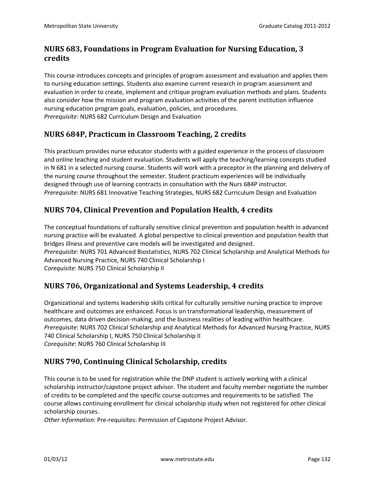# **NURS 683, Foundations in Program Evaluation for Nursing Education, 3 credits**

This course introduces concepts and principles of program assessment and evaluation and applies them to nursing education settings. Students also examine current research in program assessment and evaluation in order to create, implement and critique program evaluation methods and plans. Students also consider how the mission and program evaluation activities of the parent institution influence nursing education program goals, evaluation, policies, and procedures. *Prerequisite*: NURS 682 Curriculum Design and Evaluation

# **NURS 684P, Practicum in Classroom Teaching, 2 credits**

This practicum provides nurse educator students with a guided experience in the process of classroom and online teaching and student evaluation. Students will apply the teaching/learning concepts studied in N 681 in a selected nursing course. Students will work with a preceptor in the planning and delivery of the nursing course throughout the semester. Student practicum experiences will be individually designed through use of learning contracts in consultation with the Nurs 684P instructor. *Prerequisite*: NURS 681 Innovative Teaching Strategies, NURS 682 Curriculum Design and Evaluation

# **NURS 704, Clinical Prevention and Population Health, 4 credits**

The conceptual foundations of culturally sensitive clinical prevention and population health in advanced nursing practice will be evaluated. A global perspective to clinical prevention and population health that bridges illness and preventive care models will be investigated and designed. *Prerequisite*: NURS 701 Advanced Biostatistics, NURS 702 Clinical Scholarship and Analytical Methods for Advanced Nursing Practice, NURS 740 Clinical Scholarship I *Corequisite*: NURS 750 Clinical Scholarship II

#### **NURS 706, Organizational and Systems Leadership, 4 credits**

Organizational and systems leadership skills critical for culturally sensitive nursing practice to improve healthcare and outcomes are enhanced. Focus is on transformational leadership, measurement of outcomes, data driven decision-making, and the business realities of leading within healthcare. *Prerequisite*: NURS 702 Clinical Scholarship and Analytical Methods for Advanced Nursing Practice, NURS 740 Clinical Scholarship I, NURS 750 Clinical Scholarship II *Corequisite*: NURS 760 Clinical Scholarship III

#### **NURS 790, Continuing Clinical Scholarship, credits**

This course is to be used for registration while the DNP student is actively working with a clinical scholarship instructor/capstone project advisor. The student and faculty member negotiate the number of credits to be completed and the specific course outcomes and requirements to be satisfied. The course allows continuing enrollment for clinical scholarship study when not registered for other clinical scholarship courses.

*Other Information*: Pre-requisites: Permission of Capstone Project Advisor.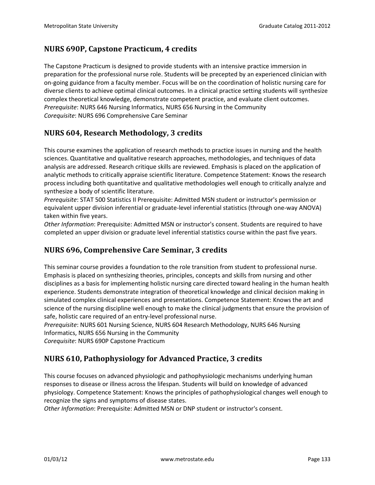# **NURS 690P, Capstone Practicum, 4 credits**

The Capstone Practicum is designed to provide students with an intensive practice immersion in preparation for the professional nurse role. Students will be precepted by an experienced clinician with on-going guidance from a faculty member. Focus will be on the coordination of holistic nursing care for diverse clients to achieve optimal clinical outcomes. In a clinical practice setting students will synthesize complex theoretical knowledge, demonstrate competent practice, and evaluate client outcomes. *Prerequisite*: NURS 646 Nursing Informatics, NURS 656 Nursing in the Community *Corequisite*: NURS 696 Comprehensive Care Seminar

# **NURS 604, Research Methodology, 3 credits**

This course examines the application of research methods to practice issues in nursing and the health sciences. Quantitative and qualitative research approaches, methodologies, and techniques of data analysis are addressed. Research critique skills are reviewed. Emphasis is placed on the application of analytic methods to critically appraise scientific literature. Competence Statement: Knows the research process including both quantitative and qualitative methodologies well enough to critically analyze and synthesize a body of scientific literature.

*Prerequisite*: STAT 500 Statistics II Prerequisite: Admitted MSN student or instructor's permission or equivalent upper division inferential or graduate-level inferential statistics (through one-way ANOVA) taken within five years.

*Other Information*: Prerequisite: Admitted MSN or instructor's consent. Students are required to have completed an upper division or graduate level inferential statistics course within the past five years.

#### **NURS 696, Comprehensive Care Seminar, 3 credits**

This seminar course provides a foundation to the role transition from student to professional nurse. Emphasis is placed on synthesizing theories, principles, concepts and skills from nursing and other disciplines as a basis for implementing holistic nursing care directed toward healing in the human health experience. Students demonstrate integration of theoretical knowledge and clinical decision making in simulated complex clinical experiences and presentations. Competence Statement: Knows the art and science of the nursing discipline well enough to make the clinical judgments that ensure the provision of safe, holistic care required of an entry-level professional nurse.

*Prerequisite*: NURS 601 Nursing Science, NURS 604 Research Methodology, NURS 646 Nursing Informatics, NURS 656 Nursing in the Community

*Corequisite*: NURS 690P Capstone Practicum

#### **NURS 610, Pathophysiology for Advanced Practice, 3 credits**

This course focuses on advanced physiologic and pathophysiologic mechanisms underlying human responses to disease or illness across the lifespan. Students will build on knowledge of advanced physiology. Competence Statement: Knows the principles of pathophysiological changes well enough to recognize the signs and symptoms of disease states.

*Other Information*: Prerequisite: Admitted MSN or DNP student or instructor's consent.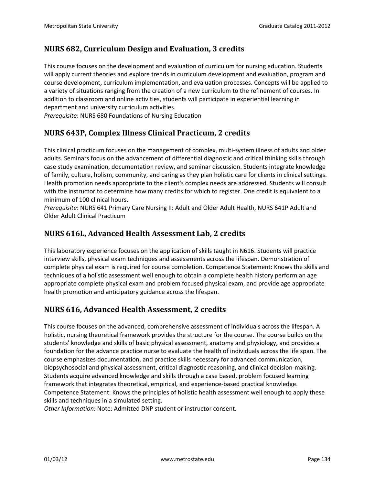# **NURS 682, Curriculum Design and Evaluation, 3 credits**

This course focuses on the development and evaluation of curriculum for nursing education. Students will apply current theories and explore trends in curriculum development and evaluation, program and course development, curriculum implementation, and evaluation processes. Concepts will be applied to a variety of situations ranging from the creation of a new curriculum to the refinement of courses. In addition to classroom and online activities, students will participate in experiential learning in department and university curriculum activities.

*Prerequisite*: NURS 680 Foundations of Nursing Education

#### **NURS 643P, Complex Illness Clinical Practicum, 2 credits**

This clinical practicum focuses on the management of complex, multi-system illness of adults and older adults. Seminars focus on the advancement of differential diagnostic and critical thinking skills through case study examination, documentation review, and seminar discussion. Students integrate knowledge of family, culture, holism, community, and caring as they plan holistic care for clients in clinical settings. Health promotion needs appropriate to the client's complex needs are addressed. Students will consult with the instructor to determine how many credits for which to register. One credit is equivalent to a minimum of 100 clinical hours.

*Prerequisite*: NURS 641 Primary Care Nursing II: Adult and Older Adult Health, NURS 641P Adult and Older Adult Clinical Practicum

#### **NURS 616L, Advanced Health Assessment Lab, 2 credits**

This laboratory experience focuses on the application of skills taught in N616. Students will practice interview skills, physical exam techniques and assessments across the lifespan. Demonstration of complete physical exam is required for course completion. Competence Statement: Knows the skills and techniques of a holistic assessment well enough to obtain a complete health history perform an age appropriate complete physical exam and problem focused physical exam, and provide age appropriate health promotion and anticipatory guidance across the lifespan.

#### **NURS 616, Advanced Health Assessment, 2 credits**

This course focuses on the advanced, comprehensive assessment of individuals across the lifespan. A holistic, nursing theoretical framework provides the structure for the course. The course builds on the students' knowledge and skills of basic physical assessment, anatomy and physiology, and provides a foundation for the advance practice nurse to evaluate the health of individuals across the life span. The course emphasizes documentation, and practice skills necessary for advanced communication, biopsychosocial and physical assessment, critical diagnostic reasoning, and clinical decision-making. Students acquire advanced knowledge and skills through a case based, problem focused learning framework that integrates theoretical, empirical, and experience-based practical knowledge. Competence Statement: Knows the principles of holistic health assessment well enough to apply these skills and techniques in a simulated setting.

*Other Information*: Note: Admitted DNP student or instructor consent.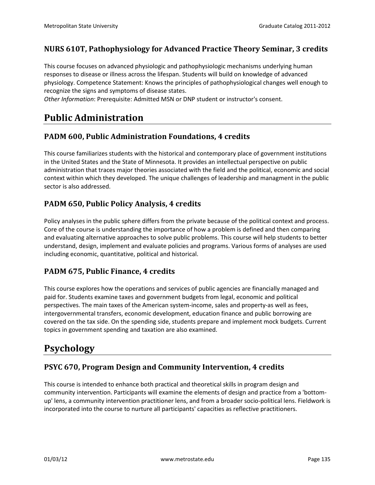#### **NURS 610T, Pathophysiology for Advanced Practice Theory Seminar, 3 credits**

This course focuses on advanced physiologic and pathophysiologic mechanisms underlying human responses to disease or illness across the lifespan. Students will build on knowledge of advanced physiology. Competence Statement: Knows the principles of pathophysiological changes well enough to recognize the signs and symptoms of disease states.

*Other Information*: Prerequisite: Admitted MSN or DNP student or instructor's consent.

# **Public Administration**

#### **PADM 600, Public Administration Foundations, 4 credits**

This course familiarizes students with the historical and contemporary place of government institutions in the United States and the State of Minnesota. It provides an intellectual perspective on public administration that traces major theories associated with the field and the political, economic and social context within which they developed. The unique challenges of leadership and managment in the public sector is also addressed.

#### **PADM 650, Public Policy Analysis, 4 credits**

Policy analyses in the public sphere differs from the private because of the political context and process. Core of the course is understanding the importance of how a problem is defined and then comparing and evaluating alternative approaches to solve public problems. This course will help students to better understand, design, implement and evaluate policies and programs. Various forms of analyses are used including economic, quantitative, political and historical.

#### **PADM 675, Public Finance, 4 credits**

This course explores how the operations and services of public agencies are financially managed and paid for. Students examine taxes and government budgets from legal, economic and political perspectives. The main taxes of the American system-income, sales and property-as well as fees, intergovernmental transfers, economic development, education finance and public borrowing are covered on the tax side. On the spending side, students prepare and implement mock budgets. Current topics in government spending and taxation are also examined.

# **Psychology**

#### **PSYC 670, Program Design and Community Intervention, 4 credits**

This course is intended to enhance both practical and theoretical skills in program design and community intervention. Participants will examine the elements of design and practice from a 'bottomup' lens, a community intervention practitioner lens, and from a broader socio-political lens. Fieldwork is incorporated into the course to nurture all participants' capacities as reflective practitioners.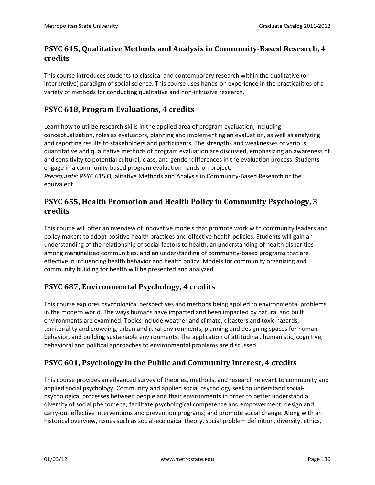# **PSYC 615, Qualitative Methods and Analysis in Community-Based Research, 4 credits**

This course introduces students to classical and contemporary research within the qualitative (or interpretive) paradigm of social science. This course uses hands-on experience in the practicalities of a variety of methods for conducting qualitative and non-intrusive research.

## **PSYC 618, Program Evaluations, 4 credits**

Learn how to utilize research skills in the applied area of program evaluation, including conceptualization, roles as evaluators, planning and implementing an evaluation, as well as analyzing and reporting results to stakeholders and participants. The strengths and weaknesses of various quantitative and qualitative methods of program evaluation are discussed, emphasizing an awareness of and sensitivity to potential cultural, class, and gender differences in the evaluation process. Students engage in a community-based program evaluation hands-on project.

*Prerequisite*: PSYC 615 Qualitative Methods and Analysis in Community-Based Research or the equivalent.

## **PSYC 655, Health Promotion and Health Policy in Community Psychology, 3 credits**

This course will offer an overview of innovative models that promote work with community leaders and policy makers to adopt positive health practices and effective health policies. Students will gain an understanding of the relationship of social factors to health, an understanding of health disparities among marginalized communities, and an understanding of community-based programs that are effective in influencing health behavior and health policy. Models for community organizing and community building for health will be presented and analyzed.

# **PSYC 687, Environmental Psychology, 4 credits**

This course explores psychological perspectives and methods being applied to environmental problems in the modern world. The ways humans have impacted and been impacted by natural and built environments are examined. Topics include weather and climate, disasters and toxic hazards, territoriality and crowding, urban and rural environments, planning and designing spaces for human behavior, and building sustainable environments. The application of attitudinal, humanistic, cognitive, behavioral and political approaches to environmental problems are discussed.

# **PSYC 601, Psychology in the Public and Community Interest, 4 credits**

This course provides an advanced survey of theories, methods, and research relevant to community and applied social psychology. Community and applied social psychology seek to understand socialpsychological processes between people and their environments in order to better understand a diversity of social phenomena; facilitate psychological competence and empowerment; design and carry-out effective interventions and prevention programs; and promote social change. Along with an historical overview, issues such as social-ecological theory, social problem definition, diversity, ethics,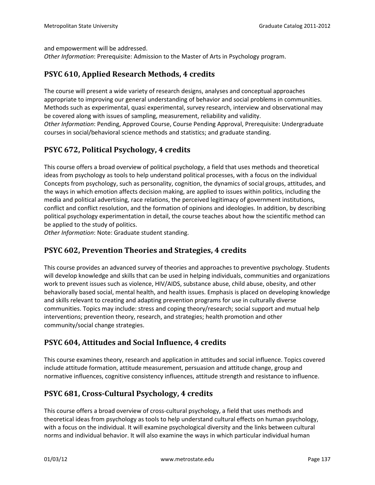and empowerment will be addressed.

*Other Information*: Prerequisite: Admission to the Master of Arts in Psychology program.

courses in social/behavioral science methods and statistics; and graduate standing.

#### **PSYC 610, Applied Research Methods, 4 credits**

The course will present a wide variety of research designs, analyses and conceptual approaches appropriate to improving our general understanding of behavior and social problems in communities. Methods such as experimental, quasi experimental, survey research, interview and observational may be covered along with issues of sampling, measurement, reliability and validity. *Other Information*: Pending, Approved Course, Course Pending Approval, Prerequisite: Undergraduate

#### **PSYC 672, Political Psychology, 4 credits**

This course offers a broad overview of political psychology, a field that uses methods and theoretical ideas from psychology as tools to help understand political processes, with a focus on the individual Concepts from psychology, such as personality, cognition, the dynamics of social groups, attitudes, and the ways in which emotion affects decision making, are applied to issues within politics, including the media and political advertising, race relations, the perceived legitimacy of government institutions, conflict and conflict resolution, and the formation of opinions and ideologies. In addition, by describing political psychology experimentation in detail, the course teaches about how the scientific method can be applied to the study of politics.

*Other Information*: Note: Graduate student standing.

#### **PSYC 602, Prevention Theories and Strategies, 4 credits**

This course provides an advanced survey of theories and approaches to preventive psychology. Students will develop knowledge and skills that can be used in helping individuals, communities and organizations work to prevent issues such as violence, HIV/AIDS, substance abuse, child abuse, obesity, and other behaviorally based social, mental health, and health issues. Emphasis is placed on developing knowledge and skills relevant to creating and adapting prevention programs for use in culturally diverse communities. Topics may include: stress and coping theory/research; social support and mutual help interventions; prevention theory, research, and strategies; health promotion and other community/social change strategies.

#### **PSYC 604, Attitudes and Social Influence, 4 credits**

This course examines theory, research and application in attitudes and social influence. Topics covered include attitude formation, attitude measurement, persuasion and attitude change, group and normative influences, cognitive consistency influences, attitude strength and resistance to influence.

#### **PSYC 681, Cross-Cultural Psychology, 4 credits**

This course offers a broad overview of cross-cultural psychology, a field that uses methods and theoretical ideas from psychology as tools to help understand cultural effects on human psychology, with a focus on the individual. It will examine psychological diversity and the links between cultural norms and individual behavior. It will also examine the ways in which particular individual human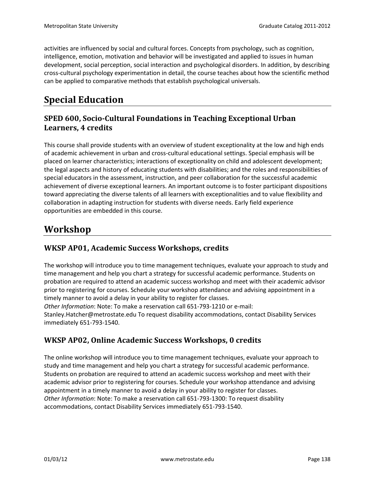activities are influenced by social and cultural forces. Concepts from psychology, such as cognition, intelligence, emotion, motivation and behavior will be investigated and applied to issues in human development, social perception, social interaction and psychological disorders. In addition, by describing cross-cultural psychology experimentation in detail, the course teaches about how the scientific method can be applied to comparative methods that establish psychological universals.

# **Special Education**

# **SPED 600, Socio-Cultural Foundations in Teaching Exceptional Urban Learners, 4 credits**

This course shall provide students with an overview of student exceptionality at the low and high ends of academic achievement in urban and cross-cultural educational settings. Special emphasis will be placed on learner characteristics; interactions of exceptionality on child and adolescent development; the legal aspects and history of educating students with disabilities; and the roles and responsibilities of special educators in the assessment, instruction, and peer collaboration for the successful academic achievement of diverse exceptional learners. An important outcome is to foster participant dispositions toward appreciating the diverse talents of all learners with exceptionalities and to value flexibility and collaboration in adapting instruction for students with diverse needs. Early field experience opportunities are embedded in this course.

# **Workshop**

# **WKSP AP01, Academic Success Workshops, credits**

The workshop will introduce you to time management techniques, evaluate your approach to study and time management and help you chart a strategy for successful academic performance. Students on probation are required to attend an academic success workshop and meet with their academic advisor prior to registering for courses. Schedule your workshop attendance and advising appointment in a timely manner to avoid a delay in your ability to register for classes. *Other Information*: Note: To make a reservation call 651-793-1210 or e-mail:

Stanley.Hatcher@metrostate.edu To request disability accommodations, contact Disability Services immediately 651-793-1540.

# **WKSP AP02, Online Academic Success Workshops, 0 credits**

The online workshop will introduce you to time management techniques, evaluate your approach to study and time management and help you chart a strategy for successful academic performance. Students on probation are required to attend an academic success workshop and meet with their academic advisor prior to registering for courses. Schedule your workshop attendance and advising appointment in a timely manner to avoid a delay in your ability to register for classes. *Other Information*: Note: To make a reservation call 651-793-1300: To request disability accommodations, contact Disability Services immediately 651-793-1540.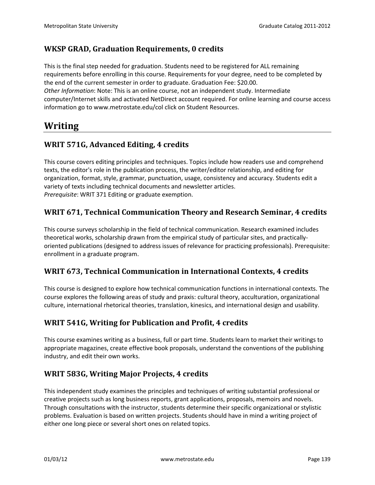# **WKSP GRAD, Graduation Requirements, 0 credits**

This is the final step needed for graduation. Students need to be registered for ALL remaining requirements before enrolling in this course. Requirements for your degree, need to be completed by the end of the current semester in order to graduate. Graduation Fee: \$20.00. *Other Information*: Note: This is an online course, not an independent study. Intermediate computer/Internet skills and activated NetDirect account required. For online learning and course access information go to www.metrostate.edu/col click on Student Resources.

# **Writing**

# **WRIT 571G, Advanced Editing, 4 credits**

This course covers editing principles and techniques. Topics include how readers use and comprehend texts, the editor's role in the publication process, the writer/editor relationship, and editing for organization, format, style, grammar, punctuation, usage, consistency and accuracy. Students edit a variety of texts including technical documents and newsletter articles. *Prerequisite*: WRIT 371 Editing or graduate exemption.

# **WRIT 671, Technical Communication Theory and Research Seminar, 4 credits**

This course surveys scholarship in the field of technical communication. Research examined includes theoretical works, scholarship drawn from the empirical study of particular sites, and practicallyoriented publications (designed to address issues of relevance for practicing professionals). Prerequisite: enrollment in a graduate program.

#### **WRIT 673, Technical Communication in International Contexts, 4 credits**

This course is designed to explore how technical communication functions in international contexts. The course explores the following areas of study and praxis: cultural theory, acculturation, organizational culture, international rhetorical theories, translation, kinesics, and international design and usability.

# **WRIT 541G, Writing for Publication and Profit, 4 credits**

This course examines writing as a business, full or part time. Students learn to market their writings to appropriate magazines, create effective book proposals, understand the conventions of the publishing industry, and edit their own works.

#### **WRIT 583G, Writing Major Projects, 4 credits**

This independent study examines the principles and techniques of writing substantial professional or creative projects such as long business reports, grant applications, proposals, memoirs and novels. Through consultations with the instructor, students determine their specific organizational or stylistic problems. Evaluation is based on written projects. Students should have in mind a writing project of either one long piece or several short ones on related topics.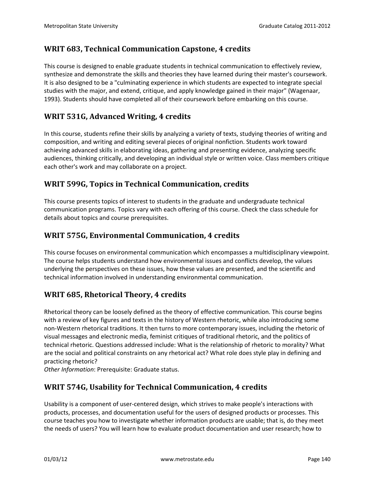# **WRIT 683, Technical Communication Capstone, 4 credits**

This course is designed to enable graduate students in technical communication to effectively review, synthesize and demonstrate the skills and theories they have learned during their master's coursework. It is also designed to be a "culminating experience in which students are expected to integrate special studies with the major, and extend, critique, and apply knowledge gained in their major" (Wagenaar, 1993). Students should have completed all of their coursework before embarking on this course.

# **WRIT 531G, Advanced Writing, 4 credits**

In this course, students refine their skills by analyzing a variety of texts, studying theories of writing and composition, and writing and editing several pieces of original nonfiction. Students work toward achieving advanced skills in elaborating ideas, gathering and presenting evidence, analyzing specific audiences, thinking critically, and developing an individual style or written voice. Class members critique each other's work and may collaborate on a project.

#### **WRIT 599G, Topics in Technical Communication, credits**

This course presents topics of interest to students in the graduate and undergraduate technical communication programs. Topics vary with each offering of this course. Check the class schedule for details about topics and course prerequisites.

#### **WRIT 575G, Environmental Communication, 4 credits**

This course focuses on environmental communication which encompasses a multidisciplinary viewpoint. The course helps students understand how environmental issues and conflicts develop, the values underlying the perspectives on these issues, how these values are presented, and the scientific and technical information involved in understanding environmental communication.

#### **WRIT 685, Rhetorical Theory, 4 credits**

Rhetorical theory can be loosely defined as the theory of effective communication. This course begins with a review of key figures and texts in the history of Western rhetoric, while also introducing some non-Western rhetorical traditions. It then turns to more contemporary issues, including the rhetoric of visual messages and electronic media, feminist critiques of traditional rhetoric, and the politics of technical rhetoric. Questions addressed include: What is the relationship of rhetoric to morality? What are the social and political constraints on any rhetorical act? What role does style play in defining and practicing rhetoric?

*Other Information*: Prerequisite: Graduate status.

#### **WRIT 574G, Usability for Technical Communication, 4 credits**

Usability is a component of user-centered design, which strives to make people's interactions with products, processes, and documentation useful for the users of designed products or processes. This course teaches you how to investigate whether information products are usable; that is, do they meet the needs of users? You will learn how to evaluate product documentation and user research; how to